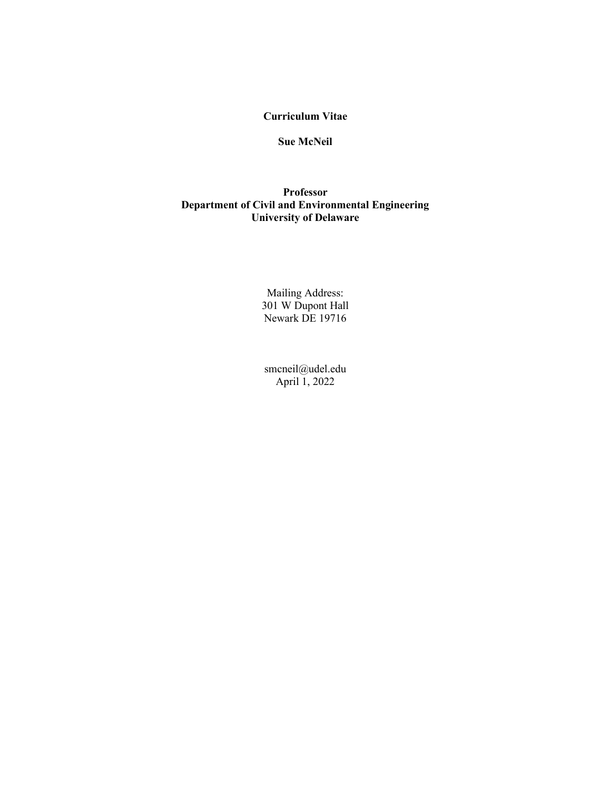# **Curriculum Vitae**

## **Sue McNeil**

# **Professor Department of Civil and Environmental Engineering University of Delaware**

Mailing Address: 301 W Dupont Hall Newark DE 19716

smcneil@udel.edu April 1, 2022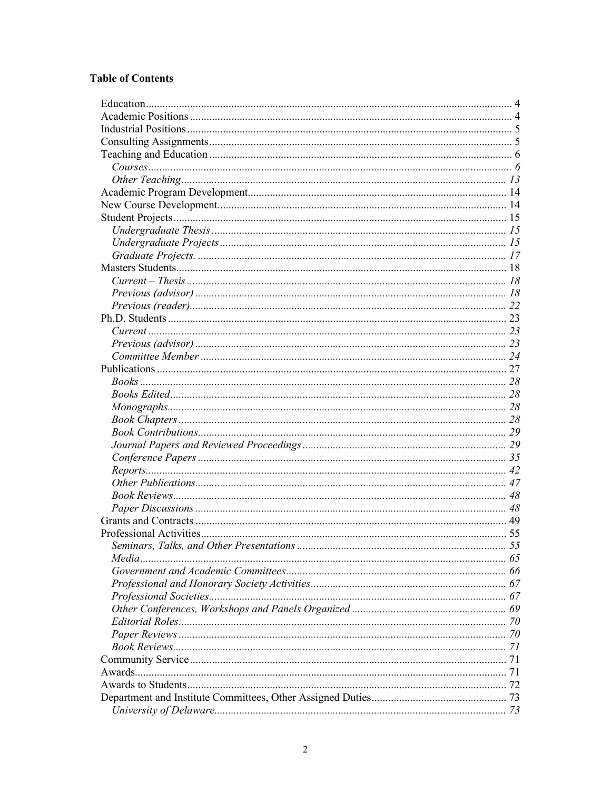# **Table of Contents**

| Seminars, Talks, and Other Presentations |  |
|------------------------------------------|--|
|                                          |  |
|                                          |  |
|                                          |  |
|                                          |  |
|                                          |  |
|                                          |  |
|                                          |  |
|                                          |  |
|                                          |  |
|                                          |  |
|                                          |  |
|                                          |  |
|                                          |  |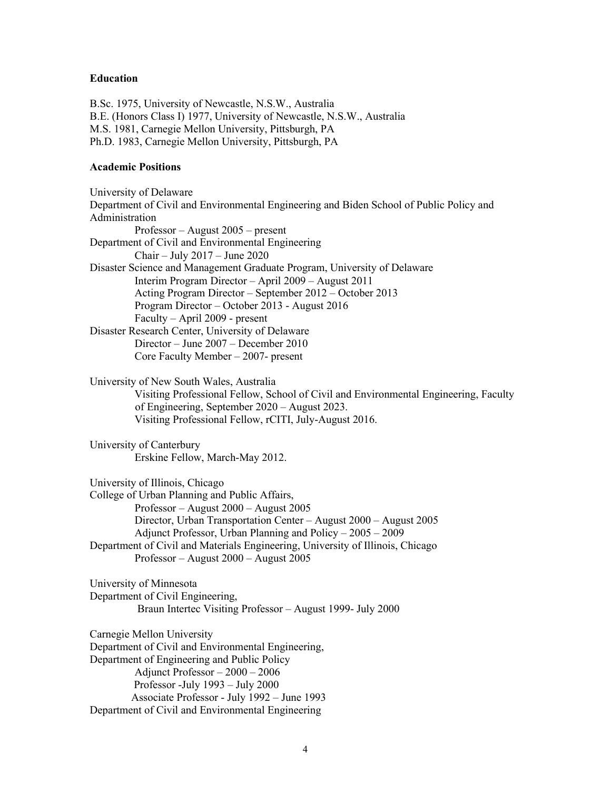#### **Education**

B.Sc. 1975, University of Newcastle, N.S.W., Australia B.E. (Honors Class I) 1977, University of Newcastle, N.S.W., Australia M.S. 1981, Carnegie Mellon University, Pittsburgh, PA Ph.D. 1983, Carnegie Mellon University, Pittsburgh, PA

#### **Academic Positions**

University of Delaware Department of Civil and Environmental Engineering and Biden School of Public Policy and Administration Professor – August 2005 – present Department of Civil and Environmental Engineering Chair – July 2017 – June 2020 Disaster Science and Management Graduate Program, University of Delaware Interim Program Director – April 2009 – August 2011 Acting Program Director – September 2012 – October 2013 Program Director – October 2013 - August 2016 Faculty – April 2009 - present Disaster Research Center, University of Delaware Director – June 2007 – December 2010 Core Faculty Member – 2007- present University of New South Wales, Australia Visiting Professional Fellow, School of Civil and Environmental Engineering, Faculty of Engineering, September 2020 – August 2023. Visiting Professional Fellow, rCITI, July-August 2016. University of Canterbury Erskine Fellow, March-May 2012. University of Illinois, Chicago College of Urban Planning and Public Affairs, Professor – August 2000 – August 2005 Director, Urban Transportation Center – August 2000 – August 2005 Adjunct Professor, Urban Planning and Policy – 2005 – 2009 Department of Civil and Materials Engineering, University of Illinois, Chicago Professor – August 2000 – August 2005 University of Minnesota Department of Civil Engineering, Braun Intertec Visiting Professor – August 1999- July 2000 Carnegie Mellon University Department of Civil and Environmental Engineering, Department of Engineering and Public Policy Adjunct Professor – 2000 – 2006 Professor -July 1993 – July 2000 Associate Professor - July 1992 – June 1993 Department of Civil and Environmental Engineering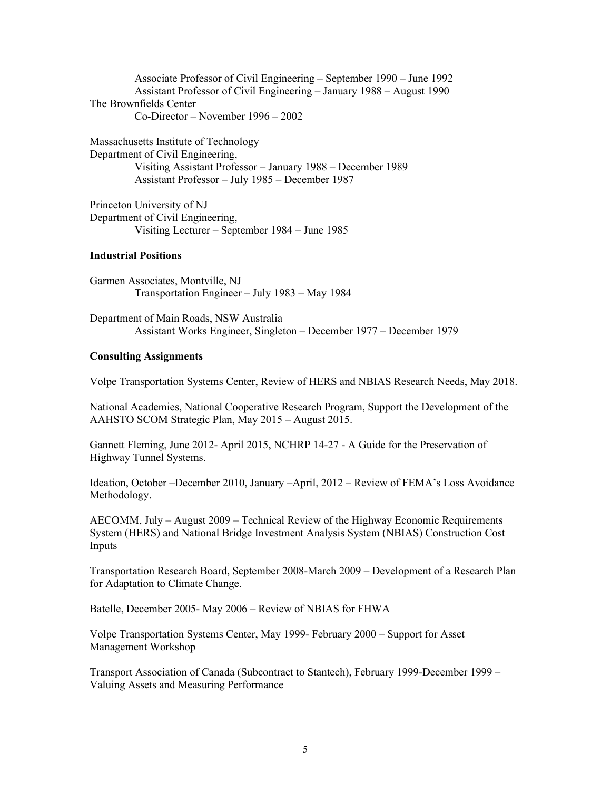Associate Professor of Civil Engineering – September 1990 – June 1992 Assistant Professor of Civil Engineering – January 1988 – August 1990 The Brownfields Center Co-Director – November 1996 – 2002

Massachusetts Institute of Technology Department of Civil Engineering, Visiting Assistant Professor – January 1988 – December 1989 Assistant Professor – July 1985 – December 1987

Princeton University of NJ Department of Civil Engineering, Visiting Lecturer – September 1984 – June 1985

#### **Industrial Positions**

Garmen Associates, Montville, NJ Transportation Engineer – July 1983 – May 1984

Department of Main Roads, NSW Australia Assistant Works Engineer, Singleton – December 1977 – December 1979

#### **Consulting Assignments**

Volpe Transportation Systems Center, Review of HERS and NBIAS Research Needs, May 2018.

National Academies, National Cooperative Research Program, Support the Development of the AAHSTO SCOM Strategic Plan, May 2015 – August 2015.

Gannett Fleming, June 2012- April 2015, NCHRP 14-27 - A Guide for the Preservation of Highway Tunnel Systems.

Ideation, October –December 2010, January –April, 2012 – Review of FEMA's Loss Avoidance Methodology.

AECOMM, July – August 2009 – Technical Review of the Highway Economic Requirements System (HERS) and National Bridge Investment Analysis System (NBIAS) Construction Cost Inputs

Transportation Research Board, September 2008-March 2009 – Development of a Research Plan for Adaptation to Climate Change.

Batelle, December 2005- May 2006 – Review of NBIAS for FHWA

Volpe Transportation Systems Center, May 1999- February 2000 – Support for Asset Management Workshop

Transport Association of Canada (Subcontract to Stantech), February 1999-December 1999 – Valuing Assets and Measuring Performance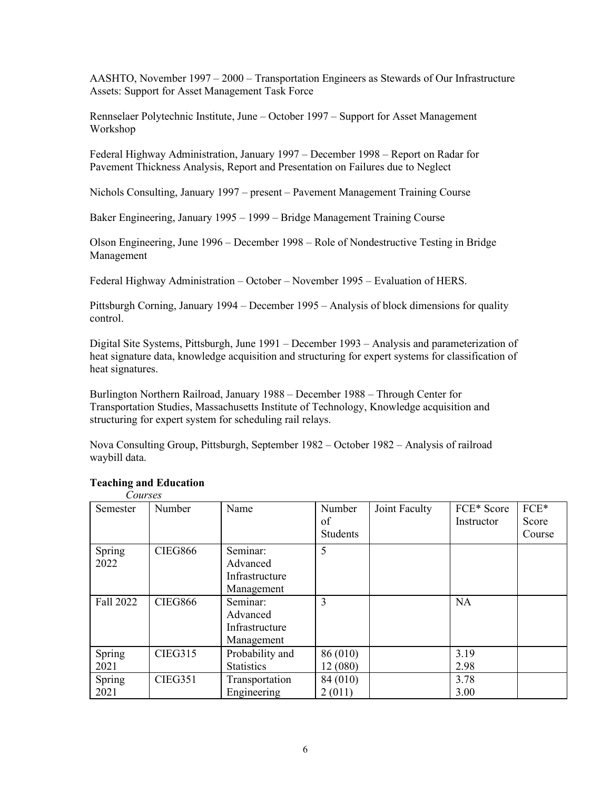AASHTO, November 1997 – 2000 – Transportation Engineers as Stewards of Our Infrastructure Assets: Support for Asset Management Task Force

Rennselaer Polytechnic Institute, June – October 1997 – Support for Asset Management Workshop

Federal Highway Administration, January 1997 – December 1998 – Report on Radar for Pavement Thickness Analysis, Report and Presentation on Failures due to Neglect

Nichols Consulting, January 1997 – present – Pavement Management Training Course

Baker Engineering, January 1995 – 1999 – Bridge Management Training Course

Olson Engineering, June 1996 – December 1998 – Role of Nondestructive Testing in Bridge Management

Federal Highway Administration – October – November 1995 – Evaluation of HERS.

Pittsburgh Corning, January 1994 – December 1995 – Analysis of block dimensions for quality control.

Digital Site Systems, Pittsburgh, June 1991 – December 1993 – Analysis and parameterization of heat signature data, knowledge acquisition and structuring for expert systems for classification of heat signatures.

Burlington Northern Railroad, January 1988 – December 1988 – Through Center for Transportation Studies, Massachusetts Institute of Technology, Knowledge acquisition and structuring for expert system for scheduling rail relays.

Nova Consulting Group, Pittsburgh, September 1982 – October 1982 – Analysis of railroad waybill data.

| CUM SCS<br>Semester | Number         | Name                                                 | Number<br>of<br><b>Students</b> | Joint Faculty | FCE* Score<br>Instructor | FCE*<br>Score<br>Course |
|---------------------|----------------|------------------------------------------------------|---------------------------------|---------------|--------------------------|-------------------------|
| Spring<br>2022      | <b>CIEG866</b> | Seminar:<br>Advanced                                 | 5                               |               |                          |                         |
|                     |                | Infrastructure<br>Management                         |                                 |               |                          |                         |
| Fall 2022           | <b>CIEG866</b> | Seminar:<br>Advanced<br>Infrastructure<br>Management | 3                               |               | <b>NA</b>                |                         |
| Spring<br>2021      | <b>CIEG315</b> | Probability and<br><b>Statistics</b>                 | 86 (010)<br>12 (080)            |               | 3.19<br>2.98             |                         |
| Spring<br>2021      | <b>CIEG351</b> | Transportation<br>Engineering                        | 84 (010)<br>2(011)              |               | 3.78<br>3.00             |                         |

#### **Teaching and Education** *Courses*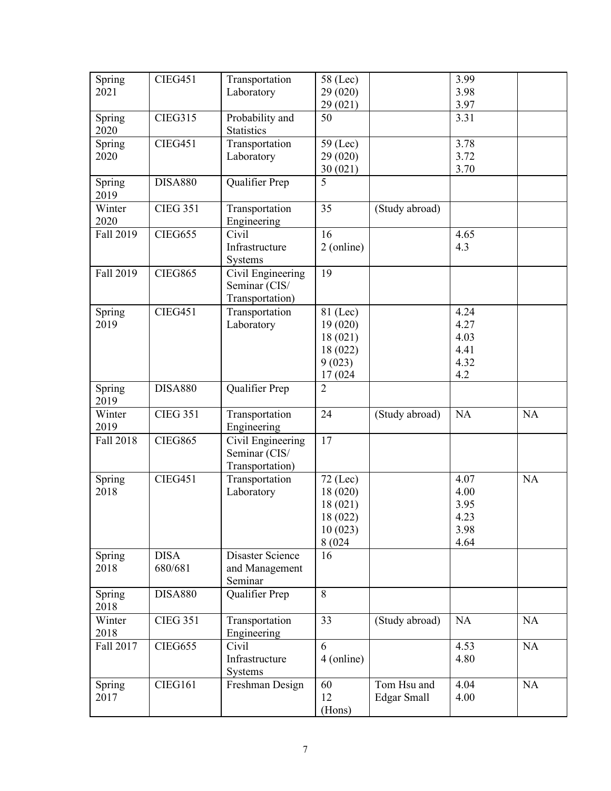| Spring         | <b>CIEG451</b>  | Transportation                | $58$ (Lec)     |                    | 3.99 |           |
|----------------|-----------------|-------------------------------|----------------|--------------------|------|-----------|
| 2021           |                 | Laboratory                    | 29 (020)       |                    | 3.98 |           |
|                |                 |                               | 29 (021)       |                    | 3.97 |           |
| Spring         | <b>CIEG315</b>  | Probability and               | 50             |                    | 3.31 |           |
| 2020           |                 | <b>Statistics</b>             |                |                    |      |           |
| Spring         | <b>CIEG451</b>  | Transportation                | $59$ (Lec)     |                    | 3.78 |           |
| 2020           |                 | Laboratory                    | 29 (020)       |                    | 3.72 |           |
|                |                 |                               | 30(021)        |                    | 3.70 |           |
| Spring         | <b>DISA880</b>  | Qualifier Prep                | 5              |                    |      |           |
| 2019           |                 |                               |                |                    |      |           |
| Winter<br>2020 | <b>CIEG 351</b> | Transportation<br>Engineering | 35             | (Study abroad)     |      |           |
| Fall 2019      | <b>CIEG655</b>  | Civil                         | 16             |                    | 4.65 |           |
|                |                 | Infrastructure                | 2 (online)     |                    | 4.3  |           |
|                |                 | Systems                       |                |                    |      |           |
| Fall 2019      | <b>CIEG865</b>  | Civil Engineering             | 19             |                    |      |           |
|                |                 | Seminar (CIS/                 |                |                    |      |           |
|                |                 | Transportation)               |                |                    |      |           |
| Spring         | <b>CIEG451</b>  | Transportation                | 81 (Lec)       |                    | 4.24 |           |
| 2019           |                 | Laboratory                    | 19(020)        |                    | 4.27 |           |
|                |                 |                               | 18(021)        |                    | 4.03 |           |
|                |                 |                               | 18 (022)       |                    | 4.41 |           |
|                |                 |                               | 9(023)         |                    | 4.32 |           |
|                |                 |                               | 17 (024)       |                    | 4.2  |           |
| Spring         | <b>DISA880</b>  | Qualifier Prep                | $\overline{2}$ |                    |      |           |
| 2019           |                 |                               |                |                    |      |           |
| Winter         | <b>CIEG 351</b> | Transportation                | 24             | (Study abroad)     | NA   | NA        |
| 2019           |                 | Engineering                   |                |                    |      |           |
| Fall 2018      | <b>CIEG865</b>  | Civil Engineering             | 17             |                    |      |           |
|                |                 | Seminar (CIS/                 |                |                    |      |           |
|                |                 | Transportation)               |                |                    |      |           |
| Spring         | <b>CIEG451</b>  | Transportation                | $72$ (Lec)     |                    | 4.07 | <b>NA</b> |
| 2018           |                 | Laboratory                    | 18(020)        |                    | 4.00 |           |
|                |                 |                               | 18 (021)       |                    | 3.95 |           |
|                |                 |                               | 18 (022)       |                    | 4.23 |           |
|                |                 |                               | 10(023)        |                    | 3.98 |           |
|                |                 |                               | 8 (024         |                    | 4.64 |           |
| Spring         | <b>DISA</b>     | <b>Disaster Science</b>       | 16             |                    |      |           |
| 2018           | 680/681         | and Management                |                |                    |      |           |
|                |                 | Seminar                       |                |                    |      |           |
| Spring         | <b>DISA880</b>  | Qualifier Prep                | 8              |                    |      |           |
| 2018           |                 |                               |                |                    |      |           |
| Winter         | <b>CIEG 351</b> | Transportation                | 33             | (Study abroad)     | NA   | <b>NA</b> |
| 2018           |                 | Engineering                   | 6              |                    |      |           |
| Fall 2017      | <b>CIEG655</b>  | Civil                         |                |                    | 4.53 | NA        |
|                |                 | Infrastructure                | 4 (online)     |                    | 4.80 |           |
|                |                 | Systems                       |                |                    |      |           |
| Spring         | CIEG161         | Freshman Design               | 60             | Tom Hsu and        | 4.04 | <b>NA</b> |
| 2017           |                 |                               | 12             | <b>Edgar Small</b> | 4.00 |           |
|                |                 |                               | (Hons)         |                    |      |           |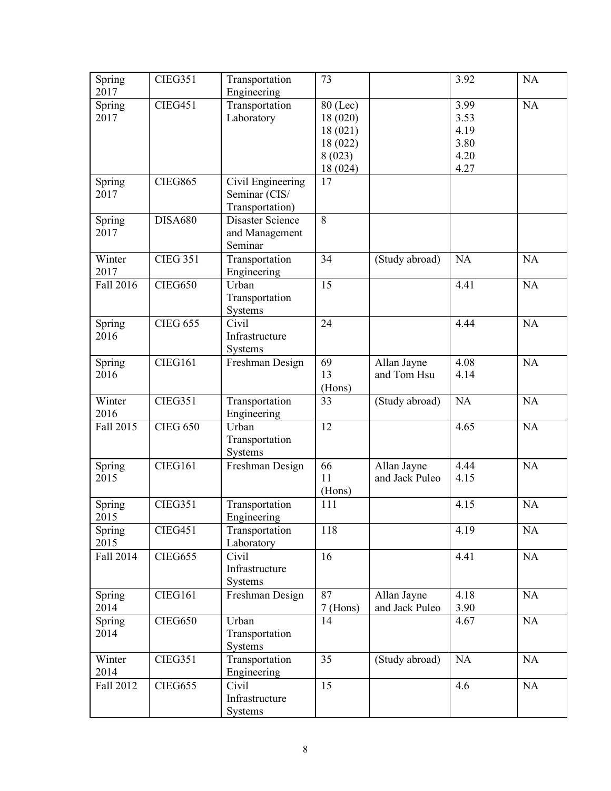| Spring         | <b>CIEG351</b>  | Transportation            | 73             |                | 3.92      | NA        |
|----------------|-----------------|---------------------------|----------------|----------------|-----------|-----------|
| 2017           |                 | Engineering               |                |                |           |           |
| Spring         | <b>CIEG451</b>  | Transportation            | 80 (Lec)       |                | 3.99      | NA        |
| 2017           |                 | Laboratory                | 18(020)        |                | 3.53      |           |
|                |                 |                           | 18 (021)       |                | 4.19      |           |
|                |                 |                           | 18 (022)       |                | 3.80      |           |
|                |                 |                           | 8(023)         |                | 4.20      |           |
|                |                 |                           | 18 (024)       |                | 4.27      |           |
| Spring         | <b>CIEG865</b>  | Civil Engineering         | 17             |                |           |           |
| 2017           |                 | Seminar (CIS/             |                |                |           |           |
|                |                 | Transportation)           |                |                |           |           |
| Spring         | <b>DISA680</b>  | Disaster Science          | $\overline{8}$ |                |           |           |
| 2017           |                 | and Management            |                |                |           |           |
|                |                 | Seminar                   |                |                |           |           |
| Winter         | <b>CIEG 351</b> | Transportation            | 34             | (Study abroad) | NA        | <b>NA</b> |
| 2017           |                 | Engineering               |                |                |           |           |
| Fall 2016      | <b>CIEG650</b>  | Urban                     | 15             |                | 4.41      | NA        |
|                |                 | Transportation            |                |                |           |           |
|                |                 | Systems                   |                |                |           |           |
| Spring         | <b>CIEG 655</b> | Civil                     | 24             |                | 4.44      | NA        |
| 2016           |                 | Infrastructure            |                |                |           |           |
|                |                 | Systems                   |                |                |           |           |
| Spring         | <b>CIEG161</b>  | Freshman Design           | 69             | Allan Jayne    | 4.08      | <b>NA</b> |
| 2016           |                 |                           | 13             | and Tom Hsu    | 4.14      |           |
|                |                 |                           |                |                |           |           |
|                | <b>CIEG351</b>  |                           | (Hons)<br>33   |                |           |           |
|                |                 |                           |                |                |           |           |
| Winter         |                 | Transportation            |                | (Study abroad) | <b>NA</b> | NA        |
| 2016           |                 | Engineering               |                |                |           |           |
| Fall 2015      | <b>CIEG 650</b> | Urban                     | 12             |                | 4.65      | $\rm NA$  |
|                |                 | Transportation            |                |                |           |           |
|                |                 | Systems                   |                |                |           |           |
| Spring         | CIEG161         | Freshman Design           | 66             | Allan Jayne    | 4.44      | NA        |
| 2015           |                 |                           | 11             | and Jack Puleo | 4.15      |           |
|                |                 |                           | (Hons)         |                |           |           |
| Spring         | <b>CIEG351</b>  | Transportation            | 111            |                | 4.15      | <b>NA</b> |
| 2015           |                 | Engineering               |                |                |           |           |
| Spring         | <b>CIEG451</b>  | Transportation            | 118            |                | 4.19      | NA        |
| 2015           |                 | Laboratory                |                |                |           |           |
| Fall 2014      | <b>CIEG655</b>  | Civil                     | 16             |                | 4.41      | NA        |
|                |                 | Infrastructure            |                |                |           |           |
|                |                 | Systems                   |                |                |           |           |
|                | CIEG161         | Freshman Design           | 87             | Allan Jayne    | 4.18      | NA        |
| Spring<br>2014 |                 |                           | $7$ (Hons)     | and Jack Puleo | 3.90      |           |
|                |                 | Urban                     | 14             |                | 4.67      |           |
| Spring<br>2014 | <b>CIEG650</b>  | Transportation            |                |                |           | NA        |
|                |                 | Systems                   |                |                |           |           |
|                |                 |                           |                |                |           |           |
| Winter         | <b>CIEG351</b>  | Transportation            | 35             | (Study abroad) | NA        | NA        |
| 2014           |                 | Engineering               |                |                |           |           |
| Fall 2012      | <b>CIEG655</b>  | Civil                     | 15             |                | 4.6       | NA        |
|                |                 | Infrastructure<br>Systems |                |                |           |           |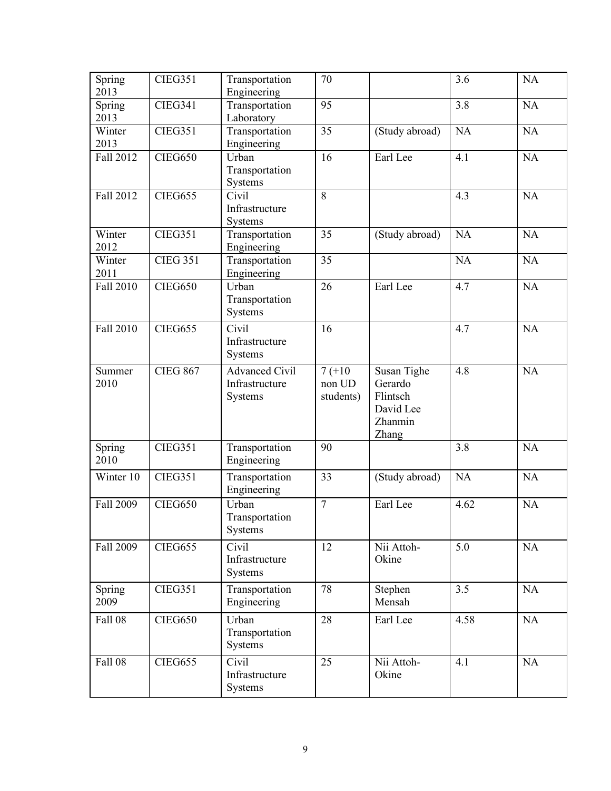| Spring<br>2013 | <b>CIEG351</b>  | Transportation<br>Engineering                      | 70                              |                                                                     | 3.6       | NA        |
|----------------|-----------------|----------------------------------------------------|---------------------------------|---------------------------------------------------------------------|-----------|-----------|
| Spring<br>2013 | <b>CIEG341</b>  | Transportation<br>Laboratory                       | 95                              |                                                                     | 3.8       | $\rm NA$  |
| Winter<br>2013 | <b>CIEG351</b>  | Transportation<br>Engineering                      | 35                              | (Study abroad)                                                      | <b>NA</b> | NA        |
| Fall 2012      | <b>CIEG650</b>  | Urban<br>Transportation<br>Systems                 | 16                              | Earl Lee                                                            | 4.1       | <b>NA</b> |
| Fall 2012      | <b>CIEG655</b>  | Civil<br>Infrastructure<br>Systems                 | 8                               |                                                                     | 4.3       | <b>NA</b> |
| Winter<br>2012 | <b>CIEG351</b>  | Transportation<br>Engineering                      | 35                              | (Study abroad)                                                      | NA        | NA        |
| Winter<br>2011 | <b>CIEG 351</b> | Transportation<br>Engineering                      | 35                              |                                                                     | <b>NA</b> | NA        |
| Fall 2010      | <b>CIEG650</b>  | Urban<br>Transportation<br>Systems                 | 26                              | Earl Lee                                                            | 4.7       | NA        |
| Fall 2010      | <b>CIEG655</b>  | Civil<br>Infrastructure<br>Systems                 | 16                              |                                                                     | 4.7       | NA        |
| Summer<br>2010 | <b>CIEG 867</b> | <b>Advanced Civil</b><br>Infrastructure<br>Systems | $7(+10)$<br>non UD<br>students) | Susan Tighe<br>Gerardo<br>Flintsch<br>David Lee<br>Zhanmin<br>Zhang | 4.8       | NA        |
| Spring<br>2010 | <b>CIEG351</b>  | Transportation<br>Engineering                      | 90                              |                                                                     | 3.8       | <b>NA</b> |
| Winter 10      | <b>CIEG351</b>  | Transportation<br>Engineering                      | 33                              | (Study abroad)                                                      | NA        | NA        |
| Fall 2009      | <b>CIEG650</b>  | Urban<br>Transportation<br>Systems                 | $\tau$                          | Earl Lee                                                            | 4.62      | <b>NA</b> |
| Fall 2009      | <b>CIEG655</b>  | Civil<br>Infrastructure<br>Systems                 | 12                              | Nii Attoh-<br>Okine                                                 | 5.0       | NA        |
| Spring<br>2009 | <b>CIEG351</b>  | Transportation<br>Engineering                      | 78                              | Stephen<br>Mensah                                                   | 3.5       | NA        |
| <b>Fall 08</b> | <b>CIEG650</b>  | Urban<br>Transportation<br>Systems                 | 28                              | Earl Lee                                                            | 4.58      | NA        |
| <b>Fall 08</b> | <b>CIEG655</b>  | Civil<br>Infrastructure<br>Systems                 | 25                              | Nii Attoh-<br>Okine                                                 | 4.1       | NA        |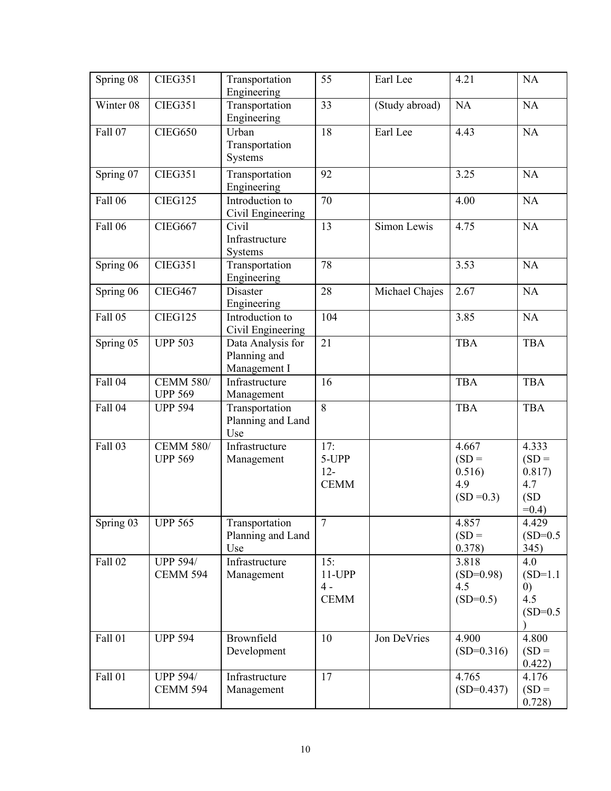| Spring 08      | <b>CIEG351</b>                     | Transportation<br>Engineering                     | 55                                    | Earl Lee       | 4.21                                              | NA                                                    |
|----------------|------------------------------------|---------------------------------------------------|---------------------------------------|----------------|---------------------------------------------------|-------------------------------------------------------|
| Winter 08      | <b>CIEG351</b>                     | Transportation<br>Engineering                     | 33                                    | (Study abroad) | NA                                                | NA                                                    |
| Fall 07        | <b>CIEG650</b>                     | Urban<br>Transportation<br>Systems                | 18                                    | Earl Lee       | 4.43                                              | <b>NA</b>                                             |
| Spring 07      | <b>CIEG351</b>                     | Transportation<br>Engineering                     | 92                                    |                | 3.25                                              | NA                                                    |
| <b>Fall 06</b> | CIEG125                            | Introduction to<br>Civil Engineering              | 70                                    |                | 4.00                                              | NA                                                    |
| Fall 06        | <b>CIEG667</b>                     | Civil<br>Infrastructure<br>Systems                | 13                                    | Simon Lewis    | 4.75                                              | <b>NA</b>                                             |
| Spring 06      | <b>CIEG351</b>                     | Transportation<br>Engineering                     | 78                                    |                | 3.53                                              | <b>NA</b>                                             |
| Spring 06      | CIEG467                            | Disaster<br>Engineering                           | 28                                    | Michael Chajes | 2.67                                              | <b>NA</b>                                             |
| Fall 05        | <b>CIEG125</b>                     | Introduction to<br>Civil Engineering              | 104                                   |                | 3.85                                              | NA                                                    |
| Spring 05      | <b>UPP 503</b>                     | Data Analysis for<br>Planning and<br>Management I | 21                                    |                | <b>TBA</b>                                        | <b>TBA</b>                                            |
| <b>Fall 04</b> | <b>CEMM 580/</b><br><b>UPP 569</b> | Infrastructure<br>Management                      | 16                                    |                | <b>TBA</b>                                        | <b>TBA</b>                                            |
| <b>Fall 04</b> | <b>UPP 594</b>                     | Transportation<br>Planning and Land<br>Use        | 8                                     |                | <b>TBA</b>                                        | <b>TBA</b>                                            |
| Fall 03        | <b>CEMM 580/</b><br><b>UPP 569</b> | Infrastructure<br>Management                      | 17:<br>5-UPP<br>$12 -$<br><b>CEMM</b> |                | 4.667<br>$(SD =$<br>0.516)<br>4.9<br>$(SD = 0.3)$ | 4.333<br>$(SD =$<br>0.817)<br>4.7<br>(SD)<br>$=0.4$ ) |
| Spring 03      | <b>UPP 565</b>                     | Transportation<br>Planning and Land<br>Use        | 7                                     |                | 4.857<br>$(SD =$<br>0.378)                        | 4.429<br>$(SD=0.5)$<br>345)                           |
| <b>Fall 02</b> | <b>UPP 594/</b><br><b>CEMM 594</b> | Infrastructure<br>Management                      | 15:<br>11-UPP<br>$4 -$<br><b>CEMM</b> |                | 3.818<br>$(SD=0.98)$<br>4.5<br>$(SD=0.5)$         | 4.0<br>$(SD=1.1)$<br>(0)<br>4.5<br>$(SD=0.5)$         |
| <b>Fall 01</b> | <b>UPP 594</b>                     | Brownfield<br>Development                         | 10                                    | Jon DeVries    | 4.900<br>$(SD=0.316)$                             | 4.800<br>$(SD =$<br>0.422)                            |
| <b>Fall 01</b> | <b>UPP 594/</b><br><b>CEMM 594</b> | Infrastructure<br>Management                      | 17                                    |                | 4.765<br>$(SD=0.437)$                             | 4.176<br>$(SD =$<br>0.728)                            |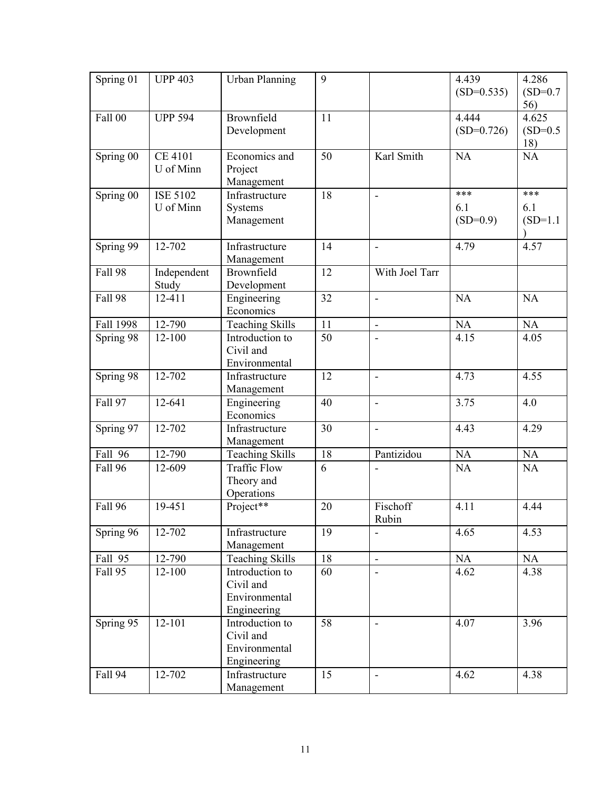| Spring 01      | <b>UPP 403</b>  | <b>Urban Planning</b>  | 9  |                          | 4.439        | 4.286      |
|----------------|-----------------|------------------------|----|--------------------------|--------------|------------|
|                |                 |                        |    |                          | $(SD=0.535)$ | $(SD=0.7)$ |
|                |                 |                        |    |                          |              | 56)        |
| <b>Fall 00</b> | <b>UPP 594</b>  | Brownfield             | 11 |                          | 4.444        | 4.625      |
|                |                 | Development            |    |                          | $(SD=0.726)$ | $(SD=0.5)$ |
|                |                 |                        |    |                          |              | 18)        |
| Spring 00      | <b>CE 4101</b>  | Economics and          | 50 | Karl Smith               | <b>NA</b>    | <b>NA</b>  |
|                | U of Minn       | Project                |    |                          |              |            |
|                |                 | Management             |    |                          |              |            |
| Spring 00      | <b>ISE 5102</b> | Infrastructure         | 18 | L,                       | ***          | ***        |
|                | U of Minn       | Systems                |    |                          | 6.1          | 6.1        |
|                |                 | Management             |    |                          | $(SD=0.9)$   | $(SD=1.1)$ |
|                |                 |                        |    |                          |              |            |
| Spring 99      | 12-702          | Infrastructure         | 14 | $\overline{\phantom{a}}$ | 4.79         | 4.57       |
|                |                 | Management             |    |                          |              |            |
| <b>Fall 98</b> | Independent     | Brownfield             | 12 | With Joel Tarr           |              |            |
|                | Study           | Development            |    |                          |              |            |
| <b>Fall 98</b> | 12-411          | Engineering            | 32 | $\blacksquare$           | <b>NA</b>    | $\rm NA$   |
|                |                 | Economics              |    |                          |              |            |
| Fall 1998      | 12-790          | <b>Teaching Skills</b> | 11 | $\blacksquare$           | NA           | NA         |
| Spring 98      | $12 - 100$      | Introduction to        | 50 |                          | 4.15         | 4.05       |
|                |                 | Civil and              |    |                          |              |            |
|                |                 | Environmental          |    |                          |              |            |
| Spring 98      | 12-702          | Infrastructure         | 12 | $\overline{a}$           | 4.73         | 4.55       |
|                |                 | Management             |    |                          |              |            |
| Fall 97        | 12-641          | Engineering            | 40 | $\frac{1}{2}$            | 3.75         | 4.0        |
|                |                 | Economics              |    |                          |              |            |
| Spring 97      | 12-702          | Infrastructure         | 30 | $\blacksquare$           | 4.43         | 4.29       |
|                |                 | Management             |    |                          |              |            |
| Fall 96        | 12-790          | <b>Teaching Skills</b> | 18 | Pantizidou               | NA           | NA         |
| Fall 96        | 12-609          | <b>Traffic Flow</b>    | 6  |                          | NA           | <b>NA</b>  |
|                |                 | Theory and             |    |                          |              |            |
|                |                 | Operations             |    |                          |              |            |
| <b>Fall 96</b> | 19-451          | Project**              | 20 | Fischoff                 | 4.11         | 4.44       |
|                |                 |                        |    | Rubin                    |              |            |
| Spring 96      | 12-702          | Infrastructure         | 19 |                          | 4.65         | 4.53       |
|                |                 | Management             |    |                          |              |            |
| Fall 95        | 12-790          | <b>Teaching Skills</b> | 18 | $\blacksquare$           | NA           | NA         |
| Fall 95        | $12 - 100$      | Introduction to        | 60 |                          | 4.62         | 4.38       |
|                |                 | Civil and              |    |                          |              |            |
|                |                 | Environmental          |    |                          |              |            |
|                |                 | Engineering            |    |                          |              |            |
| Spring 95      | 12-101          | Introduction to        | 58 | $\overline{\phantom{a}}$ | 4.07         | 3.96       |
|                |                 | Civil and              |    |                          |              |            |
|                |                 | Environmental          |    |                          |              |            |
|                |                 | Engineering            |    |                          |              |            |
| <b>Fall 94</b> | 12-702          | Infrastructure         | 15 |                          | 4.62         | 4.38       |
|                |                 | Management             |    |                          |              |            |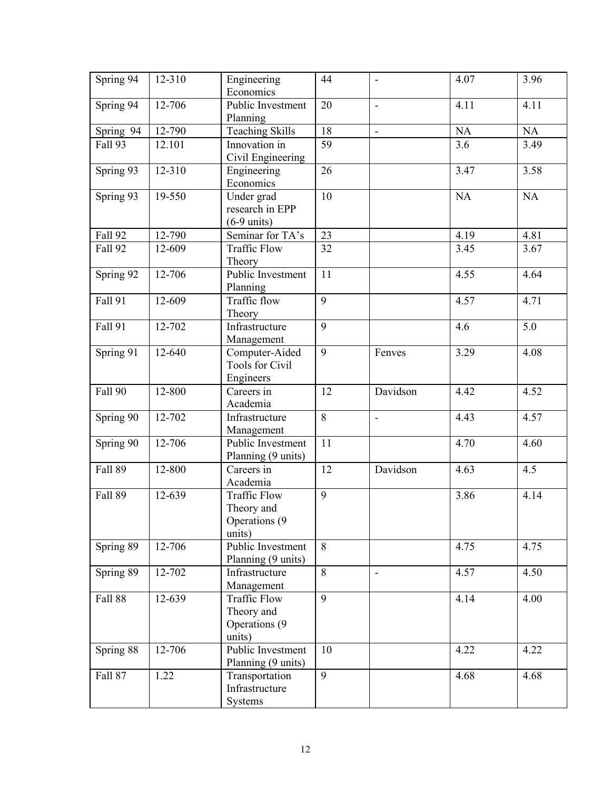| Spring 94      | 12-310 | Engineering<br>Economics                               | 44 | $\overline{\phantom{a}}$ | 4.07      | 3.96      |
|----------------|--------|--------------------------------------------------------|----|--------------------------|-----------|-----------|
| Spring 94      | 12-706 | Public Investment<br>Planning                          | 20 | $\frac{1}{2}$            | 4.11      | 4.11      |
| Spring 94      | 12-790 | Teaching Skills                                        | 18 | $\blacksquare$           | NA        | NA        |
| Fall 93        | 12.101 | Innovation in<br>Civil Engineering                     | 59 |                          | 3.6       | 3.49      |
| Spring 93      | 12-310 | Engineering<br>Economics                               | 26 |                          | 3.47      | 3.58      |
| Spring 93      | 19-550 | Under grad<br>research in EPP<br>$(6-9 \text{ units})$ | 10 |                          | <b>NA</b> | <b>NA</b> |
| <b>Fall 92</b> | 12-790 | Seminar for TA's                                       | 23 |                          | 4.19      | 4.81      |
| Fall 92        | 12-609 | <b>Traffic Flow</b><br>Theory                          | 32 |                          | 3.45      | 3.67      |
| Spring 92      | 12-706 | Public Investment<br>Planning                          | 11 |                          | 4.55      | 4.64      |
| <b>Fall 91</b> | 12-609 | Traffic flow<br>Theory                                 | 9  |                          | 4.57      | 4.71      |
| <b>Fall 91</b> | 12-702 | Infrastructure<br>Management                           | 9  |                          | 4.6       | 5.0       |
| Spring 91      | 12-640 | Computer-Aided<br><b>Tools for Civil</b><br>Engineers  | 9  | Fenves                   | 3.29      | 4.08      |
| <b>Fall 90</b> | 12-800 | Careers in<br>Academia                                 | 12 | Davidson                 | 4.42      | 4.52      |
| Spring 90      | 12-702 | Infrastructure<br>Management                           | 8  | $\blacksquare$           | 4.43      | 4.57      |
| Spring 90      | 12-706 | Public Investment<br>Planning (9 units)                | 11 |                          | 4.70      | 4.60      |
| Fall 89        | 12-800 | Careers in<br>Academia                                 | 12 | Davidson                 | 4.63      | 4.5       |
| Fall 89        | 12-639 | Traffic Flow<br>Theory and<br>Operations (9<br>units)  | 9  |                          | 3.86      | 4.14      |
| Spring 89      | 12-706 | Public Investment<br>Planning (9 units)                | 8  |                          | 4.75      | 4.75      |
| Spring 89      | 12-702 | Infrastructure<br>Management                           | 8  | $\blacksquare$           | 4.57      | 4.50      |
| <b>Fall 88</b> | 12-639 | Traffic Flow<br>Theory and<br>Operations (9<br>units)  | 9  |                          | 4.14      | 4.00      |
| Spring 88      | 12-706 | Public Investment<br>Planning (9 units)                | 10 |                          | 4.22      | 4.22      |
| <b>Fall 87</b> | 1.22   | Transportation<br>Infrastructure<br>Systems            | 9  |                          | 4.68      | 4.68      |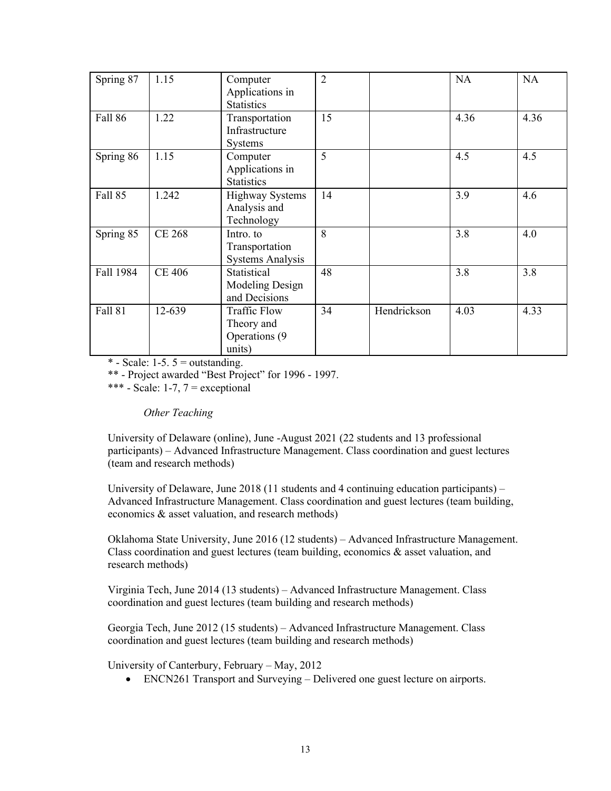| Spring 87      | 1.15          | Computer<br>Applications in<br><b>Statistics</b>             | $\overline{2}$ |             | <b>NA</b> | <b>NA</b> |
|----------------|---------------|--------------------------------------------------------------|----------------|-------------|-----------|-----------|
| Fall 86        | 1.22          | Transportation<br>Infrastructure<br><b>Systems</b>           | 15             |             | 4.36      | 4.36      |
| Spring 86      | 1.15          | Computer<br>Applications in<br><b>Statistics</b>             | 5              |             | 4.5       | 4.5       |
| Fall 85        | 1.242         | <b>Highway Systems</b><br>Analysis and<br>Technology         | 14             |             | 3.9       | 4.6       |
| Spring 85      | <b>CE 268</b> | Intro. to<br>Transportation<br><b>Systems Analysis</b>       | $\mathbf{8}$   |             | 3.8       | 4.0       |
| Fall 1984      | <b>CE 406</b> | Statistical<br>Modeling Design<br>and Decisions              | 48             |             | 3.8       | 3.8       |
| <b>Fall 81</b> | 12-639        | <b>Traffic Flow</b><br>Theory and<br>Operations (9<br>units) | 34             | Hendrickson | 4.03      | 4.33      |

 $*$  - Scale: 1-5. 5 = outstanding.

\*\* - Project awarded "Best Project" for 1996 - 1997.

\*\*\* - Scale: 1-7,  $7$  = exceptional

*Other Teaching*

University of Delaware (online), June -August 2021 (22 students and 13 professional participants) – Advanced Infrastructure Management. Class coordination and guest lectures (team and research methods)

University of Delaware, June 2018 (11 students and 4 continuing education participants) – Advanced Infrastructure Management. Class coordination and guest lectures (team building, economics & asset valuation, and research methods)

Oklahoma State University, June 2016 (12 students) – Advanced Infrastructure Management. Class coordination and guest lectures (team building, economics & asset valuation, and research methods)

Virginia Tech, June 2014 (13 students) – Advanced Infrastructure Management. Class coordination and guest lectures (team building and research methods)

Georgia Tech, June 2012 (15 students) – Advanced Infrastructure Management. Class coordination and guest lectures (team building and research methods)

University of Canterbury, February – May, 2012

• ENCN261 Transport and Surveying – Delivered one guest lecture on airports.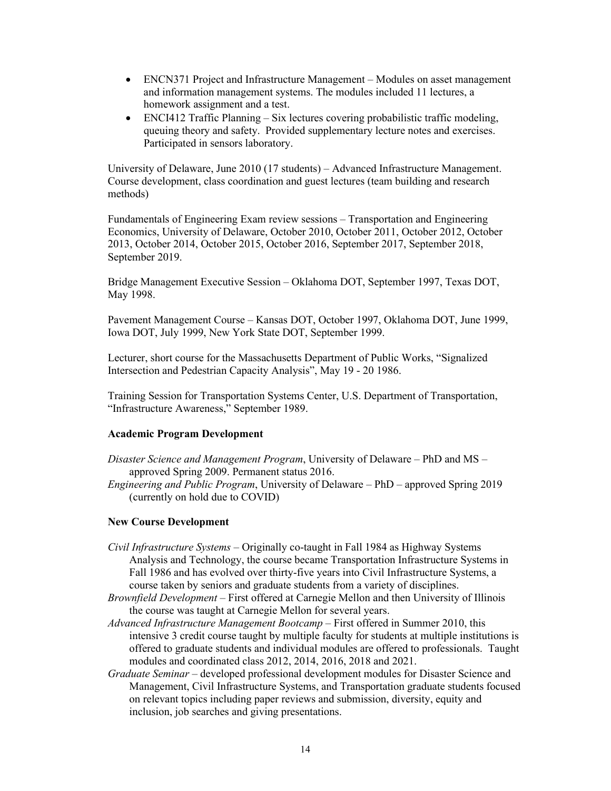- ENCN371 Project and Infrastructure Management Modules on asset management and information management systems. The modules included 11 lectures, a homework assignment and a test.
- ENCI412 Traffic Planning Six lectures covering probabilistic traffic modeling, queuing theory and safety. Provided supplementary lecture notes and exercises. Participated in sensors laboratory.

University of Delaware, June 2010 (17 students) – Advanced Infrastructure Management. Course development, class coordination and guest lectures (team building and research methods)

Fundamentals of Engineering Exam review sessions – Transportation and Engineering Economics, University of Delaware, October 2010, October 2011, October 2012, October 2013, October 2014, October 2015, October 2016, September 2017, September 2018, September 2019.

Bridge Management Executive Session – Oklahoma DOT, September 1997, Texas DOT, May 1998.

Pavement Management Course – Kansas DOT, October 1997, Oklahoma DOT, June 1999, Iowa DOT, July 1999, New York State DOT, September 1999.

Lecturer, short course for the Massachusetts Department of Public Works, "Signalized Intersection and Pedestrian Capacity Analysis", May 19 - 20 1986.

Training Session for Transportation Systems Center, U.S. Department of Transportation, "Infrastructure Awareness," September 1989.

## **Academic Program Development**

- *Disaster Science and Management Program*, University of Delaware PhD and MS approved Spring 2009. Permanent status 2016.
- *Engineering and Public Program*, University of Delaware PhD approved Spring 2019 (currently on hold due to COVID)

## **New Course Development**

- *Civil Infrastructure Systems* Originally co-taught in Fall 1984 as Highway Systems Analysis and Technology, the course became Transportation Infrastructure Systems in Fall 1986 and has evolved over thirty-five years into Civil Infrastructure Systems, a course taken by seniors and graduate students from a variety of disciplines.
- *Brownfield Development –* First offered at Carnegie Mellon and then University of Illinois the course was taught at Carnegie Mellon for several years.
- *Advanced Infrastructure Management Bootcamp* First offered in Summer 2010, this intensive 3 credit course taught by multiple faculty for students at multiple institutions is offered to graduate students and individual modules are offered to professionals. Taught modules and coordinated class 2012, 2014, 2016, 2018 and 2021.
- *Graduate Seminar*  developed professional development modules for Disaster Science and Management, Civil Infrastructure Systems, and Transportation graduate students focused on relevant topics including paper reviews and submission, diversity, equity and inclusion, job searches and giving presentations.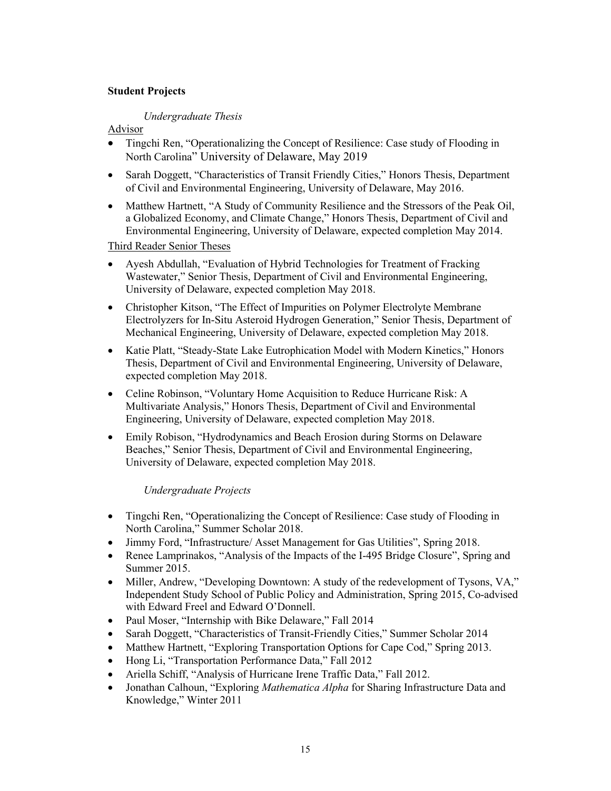# **Student Projects**

## *Undergraduate Thesis*

# Advisor

- Tingchi Ren, "Operationalizing the Concept of Resilience: Case study of Flooding in North Carolina" University of Delaware, May 2019
- Sarah Doggett, "Characteristics of Transit Friendly Cities," Honors Thesis, Department of Civil and Environmental Engineering, University of Delaware, May 2016.
- Matthew Hartnett, "A Study of Community Resilience and the Stressors of the Peak Oil, a Globalized Economy, and Climate Change," Honors Thesis, Department of Civil and Environmental Engineering, University of Delaware, expected completion May 2014.

Third Reader Senior Theses

- Ayesh Abdullah, "Evaluation of Hybrid Technologies for Treatment of Fracking Wastewater," Senior Thesis, Department of Civil and Environmental Engineering, University of Delaware, expected completion May 2018.
- Christopher Kitson, "The Effect of Impurities on Polymer Electrolyte Membrane Electrolyzers for In-Situ Asteroid Hydrogen Generation," Senior Thesis, Department of Mechanical Engineering, University of Delaware, expected completion May 2018.
- Katie Platt, "Steady-State Lake Eutrophication Model with Modern Kinetics," Honors Thesis, Department of Civil and Environmental Engineering, University of Delaware, expected completion May 2018.
- Celine Robinson, "Voluntary Home Acquisition to Reduce Hurricane Risk: A Multivariate Analysis," Honors Thesis, Department of Civil and Environmental Engineering, University of Delaware, expected completion May 2018.
- Emily Robison, "Hydrodynamics and Beach Erosion during Storms on Delaware Beaches," Senior Thesis, Department of Civil and Environmental Engineering, University of Delaware, expected completion May 2018.

## *Undergraduate Projects*

- Tingchi Ren, "Operationalizing the Concept of Resilience: Case study of Flooding in North Carolina," Summer Scholar 2018.
- Jimmy Ford, "Infrastructure/ Asset Management for Gas Utilities", Spring 2018.
- Renee Lamprinakos, "Analysis of the Impacts of the I-495 Bridge Closure", Spring and Summer 2015.
- Miller, Andrew, "Developing Downtown: A study of the redevelopment of Tysons, VA," Independent Study School of Public Policy and Administration, Spring 2015, Co-advised with Edward Freel and Edward O'Donnell.
- Paul Moser, "Internship with Bike Delaware," Fall 2014
- Sarah Doggett, "Characteristics of Transit-Friendly Cities," Summer Scholar 2014
- Matthew Hartnett, "Exploring Transportation Options for Cape Cod," Spring 2013.
- Hong Li, "Transportation Performance Data," Fall 2012
- Ariella Schiff, "Analysis of Hurricane Irene Traffic Data," Fall 2012.
- Jonathan Calhoun, "Exploring *Mathematica Alpha* for Sharing Infrastructure Data and Knowledge," Winter 2011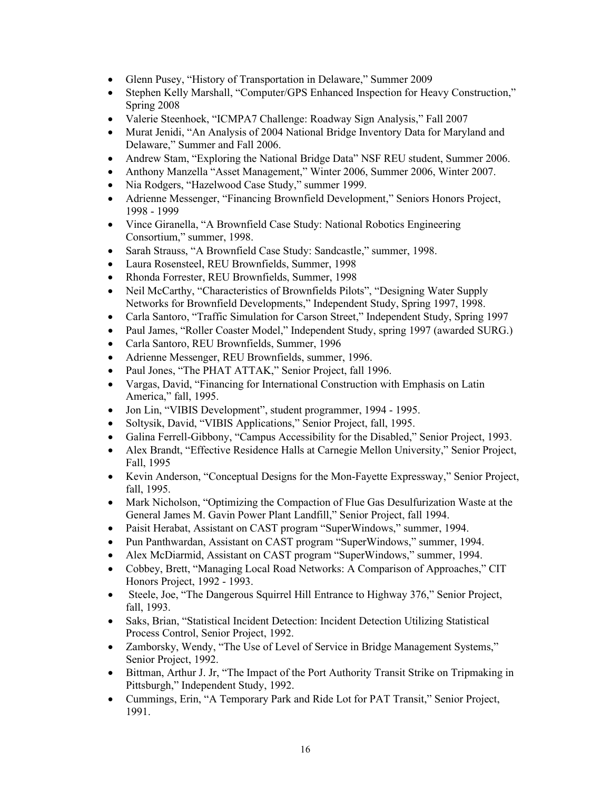- Glenn Pusey, "History of Transportation in Delaware," Summer 2009
- Stephen Kelly Marshall, "Computer/GPS Enhanced Inspection for Heavy Construction," Spring 2008
- Valerie Steenhoek, "ICMPA7 Challenge: Roadway Sign Analysis," Fall 2007
- Murat Jenidi, "An Analysis of 2004 National Bridge Inventory Data for Maryland and Delaware," Summer and Fall 2006.
- Andrew Stam, "Exploring the National Bridge Data" NSF REU student, Summer 2006.
- Anthony Manzella "Asset Management," Winter 2006, Summer 2006, Winter 2007.
- Nia Rodgers, "Hazelwood Case Study," summer 1999.
- Adrienne Messenger, "Financing Brownfield Development," Seniors Honors Project, 1998 - 1999
- Vince Giranella, "A Brownfield Case Study: National Robotics Engineering Consortium," summer, 1998.
- Sarah Strauss, "A Brownfield Case Study: Sandcastle," summer, 1998.
- Laura Rosensteel, REU Brownfields, Summer, 1998
- Rhonda Forrester, REU Brownfields, Summer, 1998
- Neil McCarthy, "Characteristics of Brownfields Pilots", "Designing Water Supply Networks for Brownfield Developments," Independent Study, Spring 1997, 1998.
- Carla Santoro, "Traffic Simulation for Carson Street," Independent Study, Spring 1997
- Paul James, "Roller Coaster Model," Independent Study, spring 1997 (awarded SURG.)
- Carla Santoro, REU Brownfields, Summer, 1996
- Adrienne Messenger, REU Brownfields, summer, 1996.
- Paul Jones, "The PHAT ATTAK," Senior Project, fall 1996.
- Vargas, David, "Financing for International Construction with Emphasis on Latin America," fall, 1995.
- Jon Lin, "VIBIS Development", student programmer, 1994 1995.
- Soltysik, David, "VIBIS Applications," Senior Project, fall, 1995.
- Galina Ferrell-Gibbony, "Campus Accessibility for the Disabled," Senior Project, 1993.
- Alex Brandt, "Effective Residence Halls at Carnegie Mellon University," Senior Project, Fall, 1995
- Kevin Anderson, "Conceptual Designs for the Mon-Fayette Expressway," Senior Project, fall, 1995.
- Mark Nicholson, "Optimizing the Compaction of Flue Gas Desulfurization Waste at the General James M. Gavin Power Plant Landfill," Senior Project, fall 1994.
- Paisit Herabat, Assistant on CAST program "SuperWindows," summer, 1994.
- Pun Panthwardan, Assistant on CAST program "SuperWindows," summer, 1994.
- Alex McDiarmid, Assistant on CAST program "SuperWindows," summer, 1994.
- Cobbey, Brett, "Managing Local Road Networks: A Comparison of Approaches," CIT Honors Project, 1992 - 1993.
- Steele, Joe, "The Dangerous Squirrel Hill Entrance to Highway 376," Senior Project, fall, 1993.
- Saks, Brian, "Statistical Incident Detection: Incident Detection Utilizing Statistical Process Control, Senior Project, 1992.
- Zamborsky, Wendy, "The Use of Level of Service in Bridge Management Systems," Senior Project, 1992.
- Bittman, Arthur J. Jr, "The Impact of the Port Authority Transit Strike on Tripmaking in Pittsburgh," Independent Study, 1992.
- Cummings, Erin, "A Temporary Park and Ride Lot for PAT Transit," Senior Project, 1991.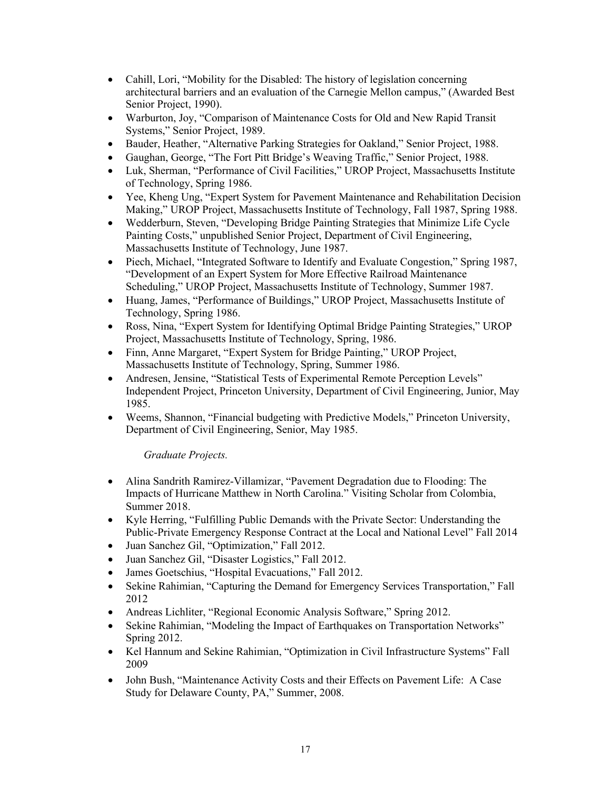- Cahill, Lori, "Mobility for the Disabled: The history of legislation concerning architectural barriers and an evaluation of the Carnegie Mellon campus," (Awarded Best Senior Project, 1990).
- Warburton, Joy, "Comparison of Maintenance Costs for Old and New Rapid Transit Systems," Senior Project, 1989.
- Bauder, Heather, "Alternative Parking Strategies for Oakland," Senior Project, 1988.
- Gaughan, George, "The Fort Pitt Bridge's Weaving Traffic," Senior Project, 1988.
- Luk, Sherman, "Performance of Civil Facilities," UROP Project, Massachusetts Institute of Technology, Spring 1986.
- Yee, Kheng Ung, "Expert System for Pavement Maintenance and Rehabilitation Decision Making," UROP Project, Massachusetts Institute of Technology, Fall 1987, Spring 1988.
- Wedderburn, Steven, "Developing Bridge Painting Strategies that Minimize Life Cycle Painting Costs," unpublished Senior Project, Department of Civil Engineering, Massachusetts Institute of Technology, June 1987.
- Piech, Michael, "Integrated Software to Identify and Evaluate Congestion," Spring 1987, "Development of an Expert System for More Effective Railroad Maintenance Scheduling," UROP Project, Massachusetts Institute of Technology, Summer 1987.
- Huang, James, "Performance of Buildings," UROP Project, Massachusetts Institute of Technology, Spring 1986.
- Ross, Nina, "Expert System for Identifying Optimal Bridge Painting Strategies," UROP Project, Massachusetts Institute of Technology, Spring, 1986.
- Finn, Anne Margaret, "Expert System for Bridge Painting," UROP Project, Massachusetts Institute of Technology, Spring, Summer 1986.
- Andresen, Jensine, "Statistical Tests of Experimental Remote Perception Levels" Independent Project, Princeton University, Department of Civil Engineering, Junior, May 1985.
- Weems, Shannon, "Financial budgeting with Predictive Models," Princeton University, Department of Civil Engineering, Senior, May 1985.

*Graduate Projects.*

- Alina Sandrith Ramirez-Villamizar, "Pavement Degradation due to Flooding: The Impacts of Hurricane Matthew in North Carolina." Visiting Scholar from Colombia, Summer 2018.
- Kyle Herring, "Fulfilling Public Demands with the Private Sector: Understanding the Public-Private Emergency Response Contract at the Local and National Level" Fall 2014
- Juan Sanchez Gil, "Optimization," Fall 2012.
- Juan Sanchez Gil, "Disaster Logistics," Fall 2012.
- James Goetschius, "Hospital Evacuations," Fall 2012.
- Sekine Rahimian, "Capturing the Demand for Emergency Services Transportation," Fall 2012
- Andreas Lichliter, "Regional Economic Analysis Software," Spring 2012.
- Sekine Rahimian, "Modeling the Impact of Earthquakes on Transportation Networks" Spring 2012.
- Kel Hannum and Sekine Rahimian, "Optimization in Civil Infrastructure Systems" Fall 2009
- John Bush, "Maintenance Activity Costs and their Effects on Pavement Life: A Case Study for Delaware County, PA," Summer, 2008.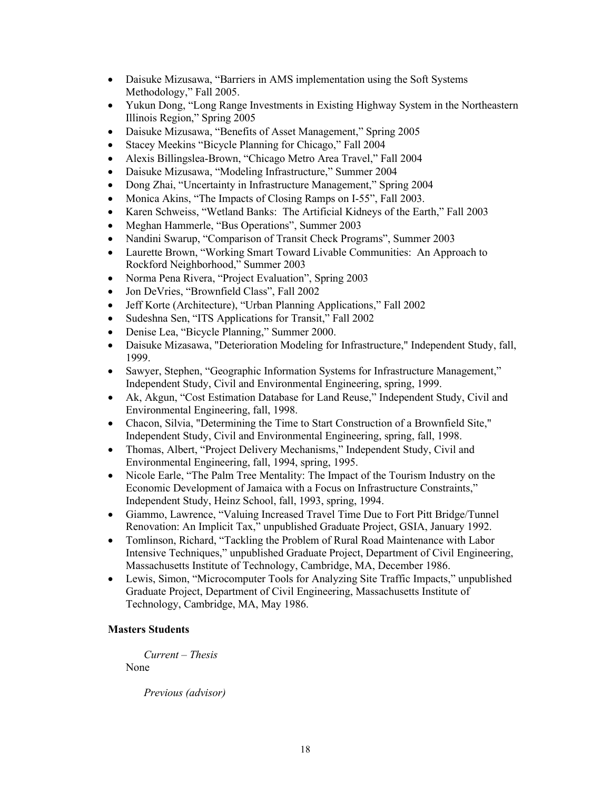- Daisuke Mizusawa, "Barriers in AMS implementation using the Soft Systems Methodology," Fall 2005.
- Yukun Dong, "Long Range Investments in Existing Highway System in the Northeastern Illinois Region," Spring 2005
- Daisuke Mizusawa, "Benefits of Asset Management," Spring 2005
- Stacey Meekins "Bicycle Planning for Chicago," Fall 2004
- Alexis Billingslea-Brown, "Chicago Metro Area Travel," Fall 2004
- Daisuke Mizusawa, "Modeling Infrastructure," Summer 2004
- Dong Zhai, "Uncertainty in Infrastructure Management," Spring 2004
- Monica Akins, "The Impacts of Closing Ramps on I-55", Fall 2003.
- Karen Schweiss, "Wetland Banks: The Artificial Kidneys of the Earth," Fall 2003
- Meghan Hammerle, "Bus Operations", Summer 2003
- Nandini Swarup, "Comparison of Transit Check Programs", Summer 2003
- Laurette Brown, "Working Smart Toward Livable Communities: An Approach to Rockford Neighborhood," Summer 2003
- Norma Pena Rivera, "Project Evaluation", Spring 2003
- Jon DeVries, "Brownfield Class", Fall 2002
- Jeff Korte (Architecture), "Urban Planning Applications," Fall 2002
- Sudeshna Sen, "ITS Applications for Transit," Fall 2002
- Denise Lea, "Bicycle Planning," Summer 2000.
- Daisuke Mizasawa, "Deterioration Modeling for Infrastructure," Independent Study, fall, 1999.
- Sawyer, Stephen, "Geographic Information Systems for Infrastructure Management," Independent Study, Civil and Environmental Engineering, spring, 1999.
- Ak, Akgun, "Cost Estimation Database for Land Reuse," Independent Study, Civil and Environmental Engineering, fall, 1998.
- Chacon, Silvia, "Determining the Time to Start Construction of a Brownfield Site," Independent Study, Civil and Environmental Engineering, spring, fall, 1998.
- Thomas, Albert, "Project Delivery Mechanisms," Independent Study, Civil and Environmental Engineering, fall, 1994, spring, 1995.
- Nicole Earle, "The Palm Tree Mentality: The Impact of the Tourism Industry on the Economic Development of Jamaica with a Focus on Infrastructure Constraints," Independent Study, Heinz School, fall, 1993, spring, 1994.
- Giammo, Lawrence, "Valuing Increased Travel Time Due to Fort Pitt Bridge/Tunnel Renovation: An Implicit Tax," unpublished Graduate Project, GSIA, January 1992.
- Tomlinson, Richard, "Tackling the Problem of Rural Road Maintenance with Labor Intensive Techniques," unpublished Graduate Project, Department of Civil Engineering, Massachusetts Institute of Technology, Cambridge, MA, December 1986.
- Lewis, Simon, "Microcomputer Tools for Analyzing Site Traffic Impacts," unpublished Graduate Project, Department of Civil Engineering, Massachusetts Institute of Technology, Cambridge, MA, May 1986.

# **Masters Students**

*Current – Thesis*

None

*Previous (advisor)*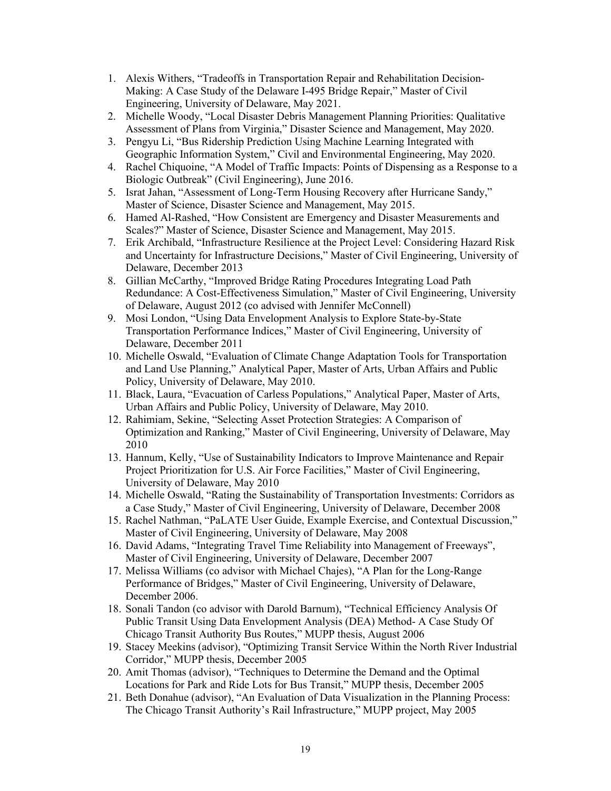- 1. Alexis Withers, "Tradeoffs in Transportation Repair and Rehabilitation Decision-Making: A Case Study of the Delaware I-495 Bridge Repair," Master of Civil Engineering, University of Delaware, May 2021.
- 2. Michelle Woody, "Local Disaster Debris Management Planning Priorities: Qualitative Assessment of Plans from Virginia," Disaster Science and Management, May 2020.
- 3. Pengyu Li, "Bus Ridership Prediction Using Machine Learning Integrated with Geographic Information System," Civil and Environmental Engineering, May 2020.
- 4. Rachel Chiquoine, "A Model of Traffic Impacts: Points of Dispensing as a Response to a Biologic Outbreak" (Civil Engineering), June 2016.
- 5. Israt Jahan, "Assessment of Long-Term Housing Recovery after Hurricane Sandy," Master of Science, Disaster Science and Management, May 2015.
- 6. Hamed Al-Rashed, "How Consistent are Emergency and Disaster Measurements and Scales?" Master of Science, Disaster Science and Management, May 2015.
- 7. Erik Archibald, "Infrastructure Resilience at the Project Level: Considering Hazard Risk and Uncertainty for Infrastructure Decisions," Master of Civil Engineering, University of Delaware, December 2013
- 8. Gillian McCarthy, "Improved Bridge Rating Procedures Integrating Load Path Redundance: A Cost-Effectiveness Simulation," Master of Civil Engineering, University of Delaware, August 2012 (co advised with Jennifer McConnell)
- 9. Mosi London, "Using Data Envelopment Analysis to Explore State-by-State Transportation Performance Indices," Master of Civil Engineering, University of Delaware, December 2011
- 10. Michelle Oswald, "Evaluation of Climate Change Adaptation Tools for Transportation and Land Use Planning," Analytical Paper, Master of Arts, Urban Affairs and Public Policy, University of Delaware, May 2010.
- 11. Black, Laura, "Evacuation of Carless Populations," Analytical Paper, Master of Arts, Urban Affairs and Public Policy, University of Delaware, May 2010.
- 12. Rahimiam, Sekine, "Selecting Asset Protection Strategies: A Comparison of Optimization and Ranking," Master of Civil Engineering, University of Delaware, May 2010
- 13. Hannum, Kelly, "Use of Sustainability Indicators to Improve Maintenance and Repair Project Prioritization for U.S. Air Force Facilities," Master of Civil Engineering, University of Delaware, May 2010
- 14. Michelle Oswald, "Rating the Sustainability of Transportation Investments: Corridors as a Case Study," Master of Civil Engineering, University of Delaware, December 2008
- 15. Rachel Nathman, "PaLATE User Guide, Example Exercise, and Contextual Discussion," Master of Civil Engineering, University of Delaware, May 2008
- 16. David Adams, "Integrating Travel Time Reliability into Management of Freeways", Master of Civil Engineering, University of Delaware, December 2007
- 17. Melissa Williams (co advisor with Michael Chajes), "A Plan for the Long-Range Performance of Bridges," Master of Civil Engineering, University of Delaware, December 2006.
- 18. Sonali Tandon (co advisor with Darold Barnum), "Technical Efficiency Analysis Of Public Transit Using Data Envelopment Analysis (DEA) Method- A Case Study Of Chicago Transit Authority Bus Routes," MUPP thesis, August 2006
- 19. Stacey Meekins (advisor), "Optimizing Transit Service Within the North River Industrial Corridor," MUPP thesis, December 2005
- 20. Amit Thomas (advisor), "Techniques to Determine the Demand and the Optimal Locations for Park and Ride Lots for Bus Transit," MUPP thesis, December 2005
- 21. Beth Donahue (advisor), "An Evaluation of Data Visualization in the Planning Process: The Chicago Transit Authority's Rail Infrastructure," MUPP project, May 2005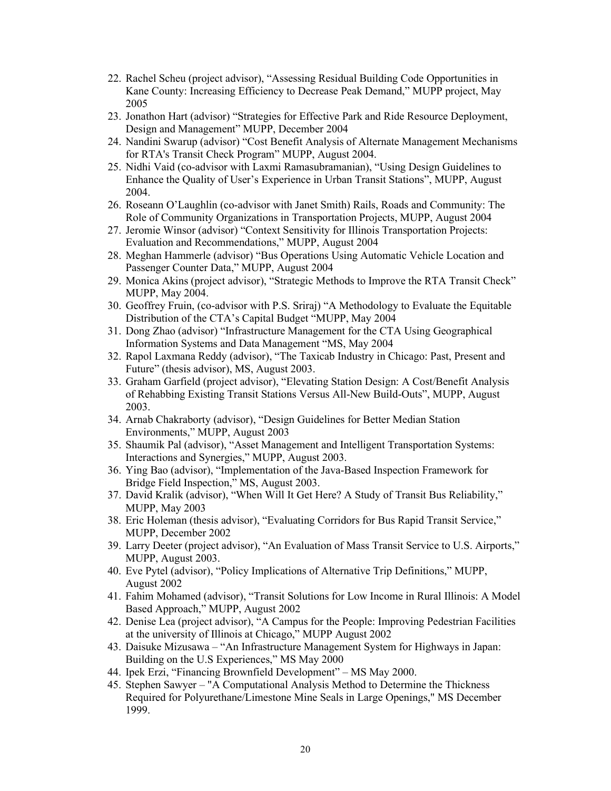- 22. Rachel Scheu (project advisor), "Assessing Residual Building Code Opportunities in Kane County: Increasing Efficiency to Decrease Peak Demand," MUPP project, May 2005
- 23. Jonathon Hart (advisor) "Strategies for Effective Park and Ride Resource Deployment, Design and Management" MUPP, December 2004
- 24. Nandini Swarup (advisor) "Cost Benefit Analysis of Alternate Management Mechanisms for RTA's Transit Check Program" MUPP, August 2004.
- 25. Nidhi Vaid (co-advisor with Laxmi Ramasubramanian), "Using Design Guidelines to Enhance the Quality of User's Experience in Urban Transit Stations", MUPP, August 2004.
- 26. Roseann O'Laughlin (co-advisor with Janet Smith) Rails, Roads and Community: The Role of Community Organizations in Transportation Projects, MUPP, August 2004
- 27. Jeromie Winsor (advisor) "Context Sensitivity for Illinois Transportation Projects: Evaluation and Recommendations," MUPP, August 2004
- 28. Meghan Hammerle (advisor) "Bus Operations Using Automatic Vehicle Location and Passenger Counter Data," MUPP, August 2004
- 29. Monica Akins (project advisor), "Strategic Methods to Improve the RTA Transit Check" MUPP, May 2004.
- 30. Geoffrey Fruin, (co-advisor with P.S. Sriraj) "A Methodology to Evaluate the Equitable Distribution of the CTA's Capital Budget "MUPP, May 2004
- 31. Dong Zhao (advisor) "Infrastructure Management for the CTA Using Geographical Information Systems and Data Management "MS, May 2004
- 32. Rapol Laxmana Reddy (advisor), "The Taxicab Industry in Chicago: Past, Present and Future" (thesis advisor), MS, August 2003.
- 33. Graham Garfield (project advisor), "Elevating Station Design: A Cost/Benefit Analysis of Rehabbing Existing Transit Stations Versus All-New Build-Outs", MUPP, August 2003.
- 34. Arnab Chakraborty (advisor), "Design Guidelines for Better Median Station Environments," MUPP, August 2003
- 35. Shaumik Pal (advisor), "Asset Management and Intelligent Transportation Systems: Interactions and Synergies," MUPP, August 2003.
- 36. Ying Bao (advisor), "Implementation of the Java-Based Inspection Framework for Bridge Field Inspection," MS, August 2003.
- 37. David Kralik (advisor), "When Will It Get Here? A Study of Transit Bus Reliability," MUPP, May 2003
- 38. Eric Holeman (thesis advisor), "Evaluating Corridors for Bus Rapid Transit Service," MUPP, December 2002
- 39. Larry Deeter (project advisor), "An Evaluation of Mass Transit Service to U.S. Airports," MUPP, August 2003.
- 40. Eve Pytel (advisor), "Policy Implications of Alternative Trip Definitions," MUPP, August 2002
- 41. Fahim Mohamed (advisor), "Transit Solutions for Low Income in Rural Illinois: A Model Based Approach," MUPP, August 2002
- 42. Denise Lea (project advisor), "A Campus for the People: Improving Pedestrian Facilities at the university of Illinois at Chicago," MUPP August 2002
- 43. Daisuke Mizusawa "An Infrastructure Management System for Highways in Japan: Building on the U.S Experiences," MS May 2000
- 44. Ipek Erzi, "Financing Brownfield Development" MS May 2000.
- 45. Stephen Sawyer "A Computational Analysis Method to Determine the Thickness Required for Polyurethane/Limestone Mine Seals in Large Openings," MS December 1999.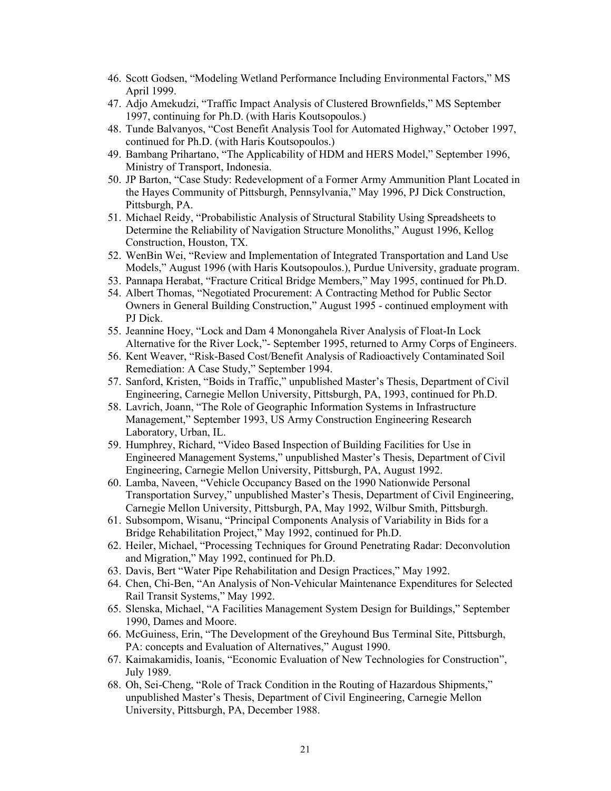- 46. Scott Godsen, "Modeling Wetland Performance Including Environmental Factors," MS April 1999.
- 47. Adjo Amekudzi, "Traffic Impact Analysis of Clustered Brownfields," MS September 1997, continuing for Ph.D. (with Haris Koutsopoulos.)
- 48. Tunde Balvanyos, "Cost Benefit Analysis Tool for Automated Highway," October 1997, continued for Ph.D. (with Haris Koutsopoulos.)
- 49. Bambang Prihartano, "The Applicability of HDM and HERS Model," September 1996, Ministry of Transport, Indonesia.
- 50. JP Barton, "Case Study: Redevelopment of a Former Army Ammunition Plant Located in the Hayes Community of Pittsburgh, Pennsylvania," May 1996, PJ Dick Construction, Pittsburgh, PA.
- 51. Michael Reidy, "Probabilistic Analysis of Structural Stability Using Spreadsheets to Determine the Reliability of Navigation Structure Monoliths," August 1996, Kellog Construction, Houston, TX.
- 52. WenBin Wei, "Review and Implementation of Integrated Transportation and Land Use Models," August 1996 (with Haris Koutsopoulos.), Purdue University, graduate program.
- 53. Pannapa Herabat, "Fracture Critical Bridge Members," May 1995, continued for Ph.D.
- 54. Albert Thomas, "Negotiated Procurement: A Contracting Method for Public Sector Owners in General Building Construction," August 1995 - continued employment with PJ Dick.
- 55. Jeannine Hoey, "Lock and Dam 4 Monongahela River Analysis of Float-In Lock Alternative for the River Lock,"- September 1995, returned to Army Corps of Engineers.
- 56. Kent Weaver, "Risk-Based Cost/Benefit Analysis of Radioactively Contaminated Soil Remediation: A Case Study," September 1994.
- 57. Sanford, Kristen, "Boids in Traffic," unpublished Master's Thesis, Department of Civil Engineering, Carnegie Mellon University, Pittsburgh, PA, 1993, continued for Ph.D.
- 58. Lavrich, Joann, "The Role of Geographic Information Systems in Infrastructure Management," September 1993, US Army Construction Engineering Research Laboratory, Urban, IL.
- 59. Humphrey, Richard, "Video Based Inspection of Building Facilities for Use in Engineered Management Systems," unpublished Master's Thesis, Department of Civil Engineering, Carnegie Mellon University, Pittsburgh, PA, August 1992.
- 60. Lamba, Naveen, "Vehicle Occupancy Based on the 1990 Nationwide Personal Transportation Survey," unpublished Master's Thesis, Department of Civil Engineering, Carnegie Mellon University, Pittsburgh, PA, May 1992, Wilbur Smith, Pittsburgh.
- 61. Subsompom, Wisanu, "Principal Components Analysis of Variability in Bids for a Bridge Rehabilitation Project," May 1992, continued for Ph.D.
- 62. Heiler, Michael, "Processing Techniques for Ground Penetrating Radar: Deconvolution and Migration," May 1992, continued for Ph.D.
- 63. Davis, Bert "Water Pipe Rehabilitation and Design Practices," May 1992.
- 64. Chen, Chi-Ben, "An Analysis of Non-Vehicular Maintenance Expenditures for Selected Rail Transit Systems," May 1992.
- 65. Slenska, Michael, "A Facilities Management System Design for Buildings," September 1990, Dames and Moore.
- 66. McGuiness, Erin, "The Development of the Greyhound Bus Terminal Site, Pittsburgh, PA: concepts and Evaluation of Alternatives," August 1990.
- 67. Kaimakamidis, Ioanis, "Economic Evaluation of New Technologies for Construction", July 1989.
- 68. Oh, Sei-Cheng, "Role of Track Condition in the Routing of Hazardous Shipments," unpublished Master's Thesis, Department of Civil Engineering, Carnegie Mellon University, Pittsburgh, PA, December 1988.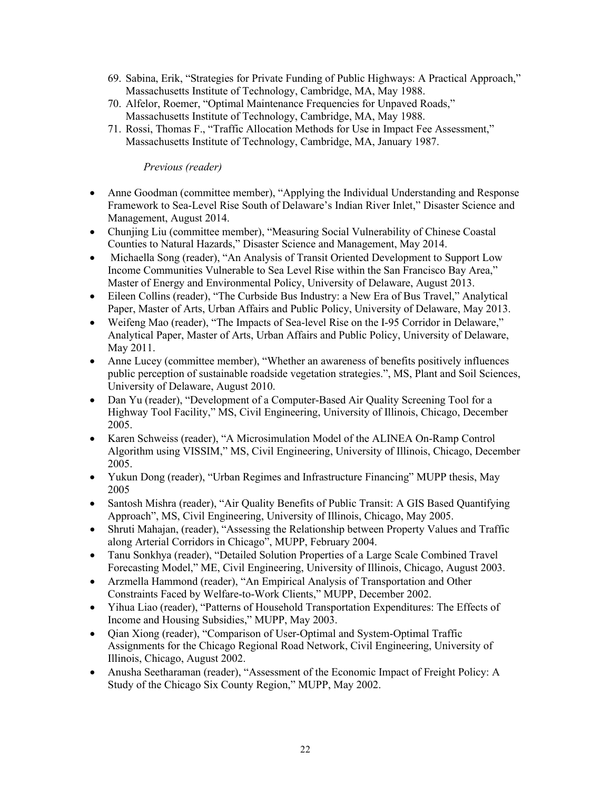- 69. Sabina, Erik, "Strategies for Private Funding of Public Highways: A Practical Approach," Massachusetts Institute of Technology, Cambridge, MA, May 1988.
- 70. Alfelor, Roemer, "Optimal Maintenance Frequencies for Unpaved Roads," Massachusetts Institute of Technology, Cambridge, MA, May 1988.
- 71. Rossi, Thomas F., "Traffic Allocation Methods for Use in Impact Fee Assessment," Massachusetts Institute of Technology, Cambridge, MA, January 1987.

## *Previous (reader)*

- Anne Goodman (committee member), "Applying the Individual Understanding and Response Framework to Sea-Level Rise South of Delaware's Indian River Inlet," Disaster Science and Management, August 2014.
- Chunjing Liu (committee member), "Measuring Social Vulnerability of Chinese Coastal Counties to Natural Hazards," Disaster Science and Management, May 2014.
- Michaella Song (reader), "An Analysis of Transit Oriented Development to Support Low Income Communities Vulnerable to Sea Level Rise within the San Francisco Bay Area," Master of Energy and Environmental Policy, University of Delaware, August 2013.
- Eileen Collins (reader), "The Curbside Bus Industry: a New Era of Bus Travel," Analytical Paper, Master of Arts, Urban Affairs and Public Policy, University of Delaware, May 2013.
- Weifeng Mao (reader), "The Impacts of Sea-level Rise on the I-95 Corridor in Delaware," Analytical Paper, Master of Arts, Urban Affairs and Public Policy, University of Delaware, May 2011.
- Anne Lucey (committee member), "Whether an awareness of benefits positively influences public perception of sustainable roadside vegetation strategies.", MS, Plant and Soil Sciences, University of Delaware, August 2010.
- Dan Yu (reader), "Development of a Computer-Based Air Quality Screening Tool for a Highway Tool Facility," MS, Civil Engineering, University of Illinois, Chicago, December 2005.
- Karen Schweiss (reader), "A Microsimulation Model of the ALINEA On-Ramp Control Algorithm using VISSIM," MS, Civil Engineering, University of Illinois, Chicago, December 2005.
- Yukun Dong (reader), "Urban Regimes and Infrastructure Financing" MUPP thesis, May 2005
- Santosh Mishra (reader), "Air Quality Benefits of Public Transit: A GIS Based Quantifying Approach", MS, Civil Engineering, University of Illinois, Chicago, May 2005.
- Shruti Mahajan, (reader), "Assessing the Relationship between Property Values and Traffic along Arterial Corridors in Chicago", MUPP, February 2004.
- Tanu Sonkhya (reader), "Detailed Solution Properties of a Large Scale Combined Travel Forecasting Model," ME, Civil Engineering, University of Illinois, Chicago, August 2003.
- Arzmella Hammond (reader), "An Empirical Analysis of Transportation and Other Constraints Faced by Welfare-to-Work Clients," MUPP, December 2002.
- Yihua Liao (reader), "Patterns of Household Transportation Expenditures: The Effects of Income and Housing Subsidies," MUPP, May 2003.
- Qian Xiong (reader), "Comparison of User-Optimal and System-Optimal Traffic Assignments for the Chicago Regional Road Network, Civil Engineering, University of Illinois, Chicago, August 2002.
- Anusha Seetharaman (reader), "Assessment of the Economic Impact of Freight Policy: A Study of the Chicago Six County Region," MUPP, May 2002.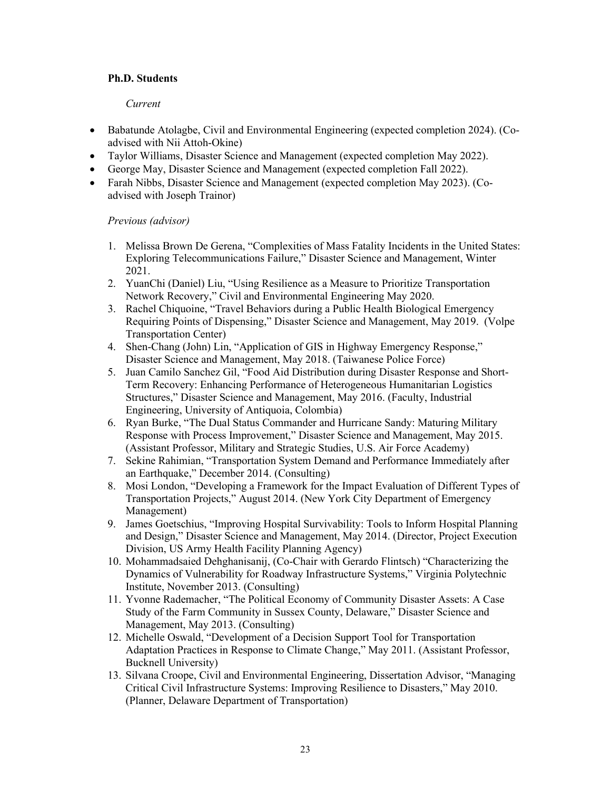## **Ph.D. Students**

## *Current*

- Babatunde Atolagbe, Civil and Environmental Engineering (expected completion 2024). (Coadvised with Nii Attoh-Okine)
- Taylor Williams, Disaster Science and Management (expected completion May 2022).
- George May, Disaster Science and Management (expected completion Fall 2022).
- Farah Nibbs, Disaster Science and Management (expected completion May 2023). (Coadvised with Joseph Trainor)

# *Previous (advisor)*

- 1. Melissa Brown De Gerena, "Complexities of Mass Fatality Incidents in the United States: Exploring Telecommunications Failure," Disaster Science and Management, Winter 2021.
- 2. YuanChi (Daniel) Liu, "Using Resilience as a Measure to Prioritize Transportation Network Recovery," Civil and Environmental Engineering May 2020.
- 3. Rachel Chiquoine, "Travel Behaviors during a Public Health Biological Emergency Requiring Points of Dispensing," Disaster Science and Management, May 2019. (Volpe Transportation Center)
- 4. Shen-Chang (John) Lin, "Application of GIS in Highway Emergency Response," Disaster Science and Management, May 2018. (Taiwanese Police Force)
- 5. Juan Camilo Sanchez Gil, "Food Aid Distribution during Disaster Response and Short-Term Recovery: Enhancing Performance of Heterogeneous Humanitarian Logistics Structures," Disaster Science and Management, May 2016. (Faculty, Industrial Engineering, University of Antiquoia, Colombia)
- 6. Ryan Burke, "The Dual Status Commander and Hurricane Sandy: Maturing Military Response with Process Improvement," Disaster Science and Management, May 2015. (Assistant Professor, Military and Strategic Studies, U.S. Air Force Academy)
- 7. Sekine Rahimian, "Transportation System Demand and Performance Immediately after an Earthquake," December 2014. (Consulting)
- 8. Mosi London, "Developing a Framework for the Impact Evaluation of Different Types of Transportation Projects," August 2014. (New York City Department of Emergency Management)
- 9. James Goetschius, "Improving Hospital Survivability: Tools to Inform Hospital Planning and Design," Disaster Science and Management, May 2014. (Director, Project Execution Division, US Army Health Facility Planning Agency)
- 10. Mohammadsaied Dehghanisanij, (Co-Chair with Gerardo Flintsch) "Characterizing the Dynamics of Vulnerability for Roadway Infrastructure Systems," Virginia Polytechnic Institute, November 2013. (Consulting)
- 11. Yvonne Rademacher, "The Political Economy of Community Disaster Assets: A Case Study of the Farm Community in Sussex County, Delaware," Disaster Science and Management, May 2013. (Consulting)
- 12. Michelle Oswald, "Development of a Decision Support Tool for Transportation Adaptation Practices in Response to Climate Change," May 2011. (Assistant Professor, Bucknell University)
- 13. Silvana Croope, Civil and Environmental Engineering, Dissertation Advisor, "Managing Critical Civil Infrastructure Systems: Improving Resilience to Disasters," May 2010. (Planner, Delaware Department of Transportation)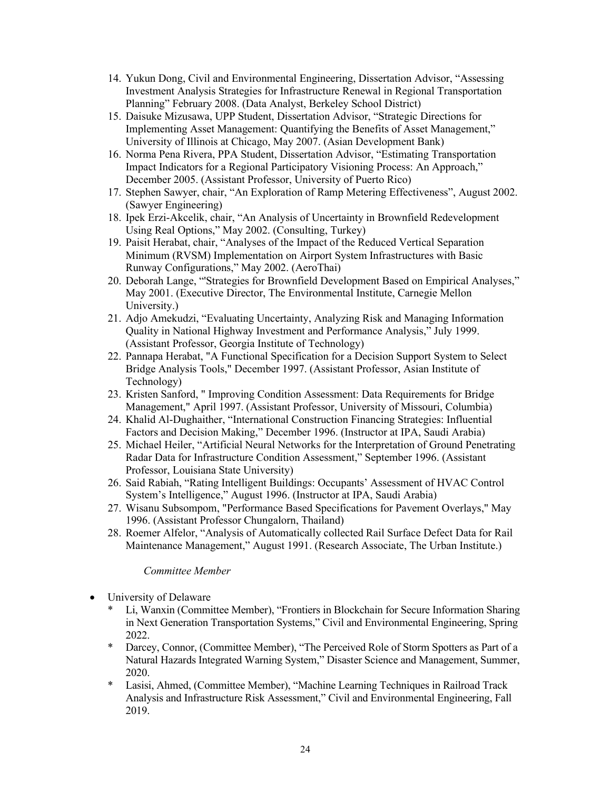- 14. Yukun Dong, Civil and Environmental Engineering, Dissertation Advisor, "Assessing Investment Analysis Strategies for Infrastructure Renewal in Regional Transportation Planning" February 2008. (Data Analyst, Berkeley School District)
- 15. Daisuke Mizusawa, UPP Student, Dissertation Advisor, "Strategic Directions for Implementing Asset Management: Quantifying the Benefits of Asset Management," University of Illinois at Chicago, May 2007. (Asian Development Bank)
- 16. Norma Pena Rivera, PPA Student, Dissertation Advisor, "Estimating Transportation Impact Indicators for a Regional Participatory Visioning Process: An Approach," December 2005. (Assistant Professor, University of Puerto Rico)
- 17. Stephen Sawyer, chair, "An Exploration of Ramp Metering Effectiveness", August 2002. (Sawyer Engineering)
- 18. Ipek Erzi-Akcelik, chair, "An Analysis of Uncertainty in Brownfield Redevelopment Using Real Options," May 2002. (Consulting, Turkey)
- 19. Paisit Herabat, chair, "Analyses of the Impact of the Reduced Vertical Separation Minimum (RVSM) Implementation on Airport System Infrastructures with Basic Runway Configurations," May 2002. (AeroThai)
- 20. Deborah Lange, "'Strategies for Brownfield Development Based on Empirical Analyses," May 2001. (Executive Director, The Environmental Institute, Carnegie Mellon University.)
- 21. Adjo Amekudzi, "Evaluating Uncertainty, Analyzing Risk and Managing Information Quality in National Highway Investment and Performance Analysis," July 1999. (Assistant Professor, Georgia Institute of Technology)
- 22. Pannapa Herabat, "A Functional Specification for a Decision Support System to Select Bridge Analysis Tools," December 1997. (Assistant Professor, Asian Institute of Technology)
- 23. Kristen Sanford, " Improving Condition Assessment: Data Requirements for Bridge Management," April 1997. (Assistant Professor, University of Missouri, Columbia)
- 24. Khalid Al-Dughaither, "International Construction Financing Strategies: Influential Factors and Decision Making," December 1996. (Instructor at IPA, Saudi Arabia)
- 25. Michael Heiler, "Artificial Neural Networks for the Interpretation of Ground Penetrating Radar Data for Infrastructure Condition Assessment," September 1996. (Assistant Professor, Louisiana State University)
- 26. Said Rabiah, "Rating Intelligent Buildings: Occupants' Assessment of HVAC Control System's Intelligence," August 1996. (Instructor at IPA, Saudi Arabia)
- 27. Wisanu Subsompom, "Performance Based Specifications for Pavement Overlays," May 1996. (Assistant Professor Chungalorn, Thailand)
- 28. Roemer Alfelor, "Analysis of Automatically collected Rail Surface Defect Data for Rail Maintenance Management," August 1991. (Research Associate, The Urban Institute.)

## *Committee Member*

- University of Delaware
	- Li, Wanxin (Committee Member), "Frontiers in Blockchain for Secure Information Sharing in Next Generation Transportation Systems," Civil and Environmental Engineering, Spring 2022.
	- \* Darcey, Connor, (Committee Member), "The Perceived Role of Storm Spotters as Part of a Natural Hazards Integrated Warning System," Disaster Science and Management, Summer, 2020.
	- \* Lasisi, Ahmed, (Committee Member), "Machine Learning Techniques in Railroad Track Analysis and Infrastructure Risk Assessment," Civil and Environmental Engineering, Fall 2019.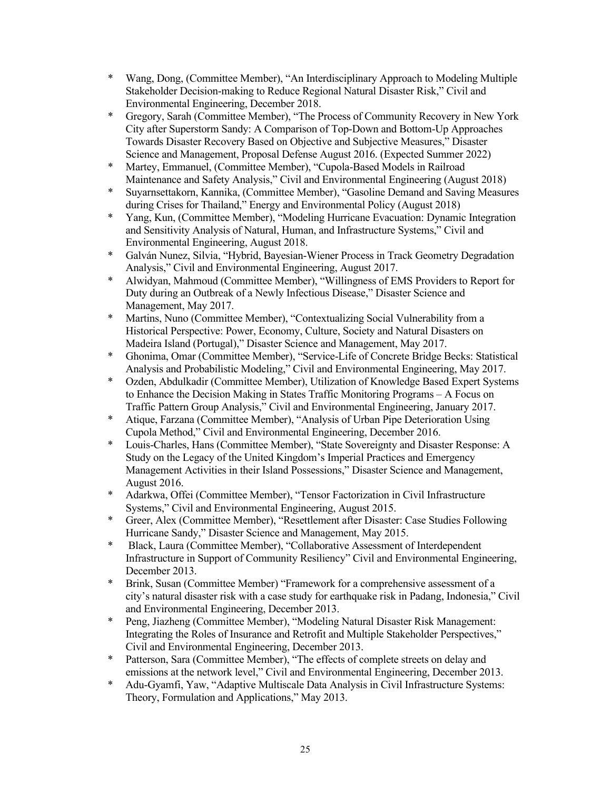- \* Wang, Dong, (Committee Member), "An Interdisciplinary Approach to Modeling Multiple Stakeholder Decision-making to Reduce Regional Natural Disaster Risk," Civil and Environmental Engineering, December 2018.
- \* Gregory, Sarah (Committee Member), "The Process of Community Recovery in New York City after Superstorm Sandy: A Comparison of Top-Down and Bottom-Up Approaches Towards Disaster Recovery Based on Objective and Subjective Measures," Disaster Science and Management, Proposal Defense August 2016. (Expected Summer 2022)
- \* Martey, Emmanuel, (Committee Member), "Cupola-Based Models in Railroad Maintenance and Safety Analysis," Civil and Environmental Engineering (August 2018)
- \* Suyarnsettakorn, Kannika, (Committee Member), "Gasoline Demand and Saving Measures during Crises for Thailand," Energy and Environmental Policy (August 2018)
- \* Yang, Kun, (Committee Member), "Modeling Hurricane Evacuation: Dynamic Integration and Sensitivity Analysis of Natural, Human, and Infrastructure Systems," Civil and Environmental Engineering, August 2018.
- \* Galván Nunez, Silvia, "Hybrid, Bayesian-Wiener Process in Track Geometry Degradation Analysis," Civil and Environmental Engineering, August 2017.
- \* Alwidyan, Mahmoud (Committee Member), "Willingness of EMS Providers to Report for Duty during an Outbreak of a Newly Infectious Disease," Disaster Science and Management, May 2017.
- \* Martins, Nuno (Committee Member), "Contextualizing Social Vulnerability from a Historical Perspective: Power, Economy, Culture, Society and Natural Disasters on Madeira Island (Portugal)," Disaster Science and Management, May 2017.
- \* Ghonima, Omar (Committee Member), "Service-Life of Concrete Bridge Becks: Statistical Analysis and Probabilistic Modeling," Civil and Environmental Engineering, May 2017.
- \* Ozden, Abdulkadir (Committee Member), Utilization of Knowledge Based Expert Systems to Enhance the Decision Making in States Traffic Monitoring Programs – A Focus on Traffic Pattern Group Analysis," Civil and Environmental Engineering, January 2017.
- \* Atique, Farzana (Committee Member), "Analysis of Urban Pipe Deterioration Using Cupola Method," Civil and Environmental Engineering, December 2016.
- \* Louis-Charles, Hans (Committee Member), "State Sovereignty and Disaster Response: A Study on the Legacy of the United Kingdom's Imperial Practices and Emergency Management Activities in their Island Possessions," Disaster Science and Management, August 2016.
- \* Adarkwa, Offei (Committee Member), "Tensor Factorization in Civil Infrastructure Systems," Civil and Environmental Engineering, August 2015.
- \* Greer, Alex (Committee Member), "Resettlement after Disaster: Case Studies Following Hurricane Sandy," Disaster Science and Management, May 2015.
- \* Black, Laura (Committee Member), "Collaborative Assessment of Interdependent Infrastructure in Support of Community Resiliency" Civil and Environmental Engineering, December 2013.
- \* Brink, Susan (Committee Member) "Framework for a comprehensive assessment of a city's natural disaster risk with a case study for earthquake risk in Padang, Indonesia," Civil and Environmental Engineering, December 2013.
- \* Peng, Jiazheng (Committee Member), "Modeling Natural Disaster Risk Management: Integrating the Roles of Insurance and Retrofit and Multiple Stakeholder Perspectives," Civil and Environmental Engineering, December 2013.
- \* Patterson, Sara (Committee Member), "The effects of complete streets on delay and emissions at the network level," Civil and Environmental Engineering, December 2013.
- \* Adu-Gyamfi, Yaw, "Adaptive Multiscale Data Analysis in Civil Infrastructure Systems: Theory, Formulation and Applications," May 2013.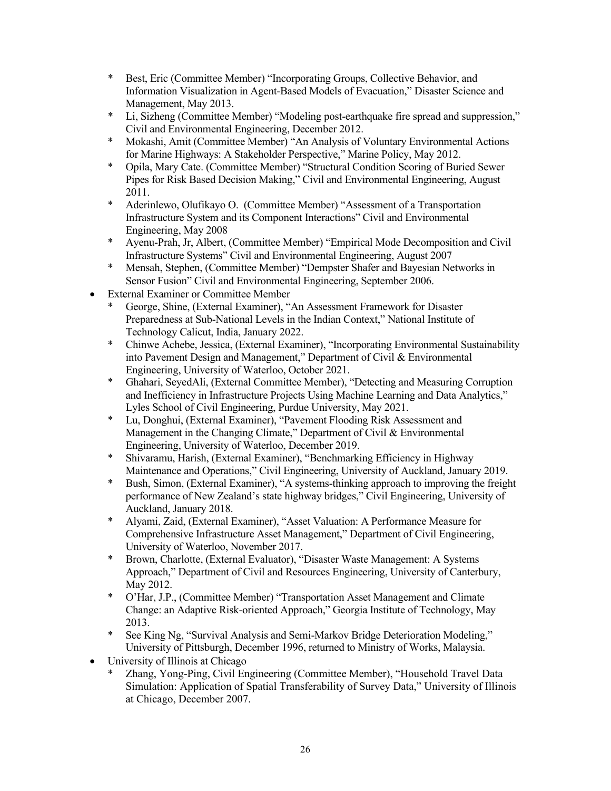- \* Best, Eric (Committee Member) "Incorporating Groups, Collective Behavior, and Information Visualization in Agent-Based Models of Evacuation," Disaster Science and Management, May 2013.
- \* Li, Sizheng (Committee Member) "Modeling post-earthquake fire spread and suppression," Civil and Environmental Engineering, December 2012.
- \* Mokashi, Amit (Committee Member) "An Analysis of Voluntary Environmental Actions for Marine Highways: A Stakeholder Perspective," Marine Policy, May 2012.
- \* Opila, Mary Cate. (Committee Member) "Structural Condition Scoring of Buried Sewer Pipes for Risk Based Decision Making," Civil and Environmental Engineering, August 2011.
- \* Aderinlewo, Olufikayo O. (Committee Member) "Assessment of a Transportation Infrastructure System and its Component Interactions" Civil and Environmental Engineering, May 2008
- \* Ayenu-Prah, Jr, Albert, (Committee Member) "Empirical Mode Decomposition and Civil Infrastructure Systems" Civil and Environmental Engineering, August 2007
- \* Mensah, Stephen, (Committee Member) "Dempster Shafer and Bayesian Networks in Sensor Fusion" Civil and Environmental Engineering, September 2006.
- External Examiner or Committee Member
	- \* George, Shine, (External Examiner), "An Assessment Framework for Disaster Preparedness at Sub-National Levels in the Indian Context," National Institute of Technology Calicut, India, January 2022.
	- \* Chinwe Achebe, Jessica, (External Examiner), "Incorporating Environmental Sustainability into Pavement Design and Management," Department of Civil & Environmental Engineering, University of Waterloo, October 2021.
	- \* Ghahari, SeyedAli, (External Committee Member), "Detecting and Measuring Corruption and Inefficiency in Infrastructure Projects Using Machine Learning and Data Analytics," Lyles School of Civil Engineering, Purdue University, May 2021.
	- \* Lu, Donghui, (External Examiner), "Pavement Flooding Risk Assessment and Management in the Changing Climate," Department of Civil & Environmental Engineering, University of Waterloo, December 2019.
	- \* Shivaramu, Harish, (External Examiner), "Benchmarking Efficiency in Highway Maintenance and Operations," Civil Engineering, University of Auckland, January 2019.
	- \* Bush, Simon, (External Examiner), "A systems-thinking approach to improving the freight performance of New Zealand's state highway bridges," Civil Engineering, University of Auckland, January 2018.
	- \* Alyami, Zaid, (External Examiner), "Asset Valuation: A Performance Measure for Comprehensive Infrastructure Asset Management," Department of Civil Engineering, University of Waterloo, November 2017.
	- \* Brown, Charlotte, (External Evaluator), "Disaster Waste Management: A Systems Approach," Department of Civil and Resources Engineering, University of Canterbury, May 2012.
	- \* O'Har, J.P., (Committee Member) "Transportation Asset Management and Climate Change: an Adaptive Risk-oriented Approach," Georgia Institute of Technology, May 2013.
	- \* See King Ng, "Survival Analysis and Semi-Markov Bridge Deterioration Modeling," University of Pittsburgh, December 1996, returned to Ministry of Works, Malaysia.
- University of Illinois at Chicago
	- \* Zhang, Yong-Ping, Civil Engineering (Committee Member), "Household Travel Data Simulation: Application of Spatial Transferability of Survey Data," University of Illinois at Chicago, December 2007.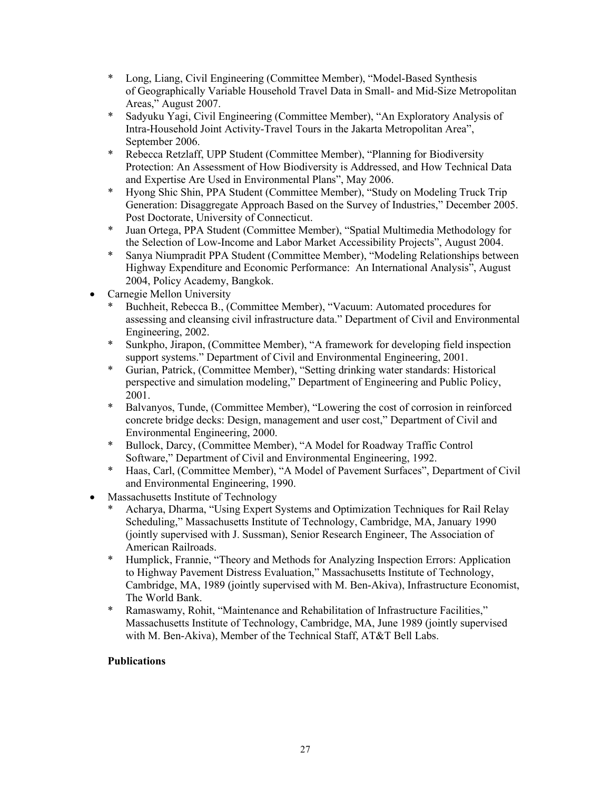- \* Long, Liang, Civil Engineering (Committee Member), "Model-Based Synthesis of Geographically Variable Household Travel Data in Small- and Mid-Size Metropolitan Areas," August 2007.
- \* Sadyuku Yagi, Civil Engineering (Committee Member), "An Exploratory Analysis of Intra-Household Joint Activity-Travel Tours in the Jakarta Metropolitan Area", September 2006.
- \* Rebecca Retzlaff, UPP Student (Committee Member), "Planning for Biodiversity Protection: An Assessment of How Biodiversity is Addressed, and How Technical Data and Expertise Are Used in Environmental Plans", May 2006.
- \* Hyong Shic Shin, PPA Student (Committee Member), "Study on Modeling Truck Trip Generation: Disaggregate Approach Based on the Survey of Industries," December 2005. Post Doctorate, University of Connecticut.
- \* Juan Ortega, PPA Student (Committee Member), "Spatial Multimedia Methodology for the Selection of Low-Income and Labor Market Accessibility Projects", August 2004.
- \* Sanya Niumpradit PPA Student (Committee Member), "Modeling Relationships between Highway Expenditure and Economic Performance: An International Analysis", August 2004, Policy Academy, Bangkok.
- Carnegie Mellon University
	- Buchheit, Rebecca B., (Committee Member), "Vacuum: Automated procedures for assessing and cleansing civil infrastructure data." Department of Civil and Environmental Engineering, 2002.
	- \* Sunkpho, Jirapon, (Committee Member), "A framework for developing field inspection support systems." Department of Civil and Environmental Engineering, 2001.
	- \* Gurian, Patrick, (Committee Member), "Setting drinking water standards: Historical perspective and simulation modeling," Department of Engineering and Public Policy, 2001.
	- \* Balvanyos, Tunde, (Committee Member), "Lowering the cost of corrosion in reinforced concrete bridge decks: Design, management and user cost," Department of Civil and Environmental Engineering, 2000.
	- \* Bullock, Darcy, (Committee Member), "A Model for Roadway Traffic Control Software," Department of Civil and Environmental Engineering, 1992.
	- \* Haas, Carl, (Committee Member), "A Model of Pavement Surfaces", Department of Civil and Environmental Engineering, 1990.
- Massachusetts Institute of Technology
	- Acharya, Dharma, "Using Expert Systems and Optimization Techniques for Rail Relay Scheduling," Massachusetts Institute of Technology, Cambridge, MA, January 1990 (jointly supervised with J. Sussman), Senior Research Engineer, The Association of American Railroads.
	- \* Humplick, Frannie, "Theory and Methods for Analyzing Inspection Errors: Application to Highway Pavement Distress Evaluation," Massachusetts Institute of Technology, Cambridge, MA, 1989 (jointly supervised with M. Ben-Akiva), Infrastructure Economist, The World Bank.
	- \* Ramaswamy, Rohit, "Maintenance and Rehabilitation of Infrastructure Facilities," Massachusetts Institute of Technology, Cambridge, MA, June 1989 (jointly supervised with M. Ben-Akiva), Member of the Technical Staff, AT&T Bell Labs.

# **Publications**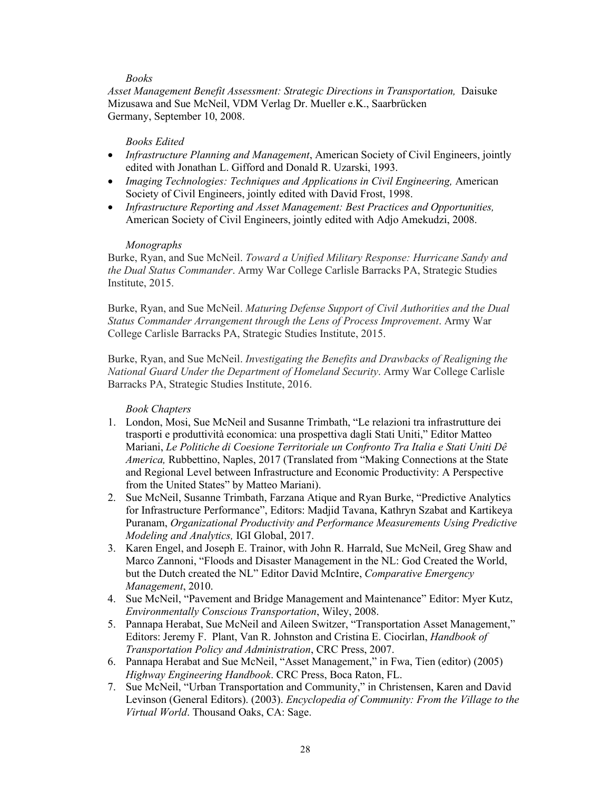## *Books*

*Asset Management Benefit Assessment: Strategic Directions in Transportation,* Daisuke Mizusawa and Sue McNeil, VDM Verlag Dr. Mueller e.K., Saarbrücken Germany, September 10, 2008.

#### *Books Edited*

- *Infrastructure Planning and Management*, American Society of Civil Engineers, jointly edited with Jonathan L. Gifford and Donald R. Uzarski, 1993.
- *Imaging Technologies: Techniques and Applications in Civil Engineering, American* Society of Civil Engineers, jointly edited with David Frost, 1998.
- *Infrastructure Reporting and Asset Management: Best Practices and Opportunities,*  American Society of Civil Engineers, jointly edited with Adjo Amekudzi, 2008.

#### *Monographs*

Burke, Ryan, and Sue McNeil. *Toward a Unified Military Response: Hurricane Sandy and the Dual Status Commander*. Army War College Carlisle Barracks PA, Strategic Studies Institute, 2015.

Burke, Ryan, and Sue McNeil. *Maturing Defense Support of Civil Authorities and the Dual Status Commander Arrangement through the Lens of Process Improvement*. Army War College Carlisle Barracks PA, Strategic Studies Institute, 2015.

Burke, Ryan, and Sue McNeil. *Investigating the Benefits and Drawbacks of Realigning the National Guard Under the Department of Homeland Security*. Army War College Carlisle Barracks PA, Strategic Studies Institute, 2016.

## *Book Chapters*

- 1. London, Mosi, Sue McNeil and Susanne Trimbath, "Le relazioni tra infrastrutture dei trasporti e produttività economica: una prospettiva dagli Stati Uniti," Editor Matteo Mariani, *Le Politiche di Coesione Territoriale un Confronto Tra Italia e Stati Uniti Dê America,* Rubbettino, Naples, 2017 (Translated from "Making Connections at the State and Regional Level between Infrastructure and Economic Productivity: A Perspective from the United States" by Matteo Mariani).
- 2. Sue McNeil, Susanne Trimbath, Farzana Atique and Ryan Burke, "Predictive Analytics for Infrastructure Performance", Editors: Madjid Tavana, Kathryn Szabat and Kartikeya Puranam, *[Organizational Productivity and Performance Measurements Using Predictive](http://www.igi-global.com/book/organizational-productivity-performance-measurements-using/147735)  [Modeling and Analytics,](http://www.igi-global.com/book/organizational-productivity-performance-measurements-using/147735)* IGI Global, 2017.
- 3. Karen Engel, and Joseph E. Trainor, with John R. Harrald, Sue McNeil, Greg Shaw and Marco Zannoni, "Floods and Disaster Management in the NL: God Created the World, but the Dutch created the NL" Editor David McIntire, *Comparative Emergency Management*, 2010.
- 4. Sue McNeil, "Pavement and Bridge Management and Maintenance" Editor: Myer Kutz, *Environmentally Conscious Transportation*, Wiley, 2008.
- 5. Pannapa Herabat, Sue McNeil and Aileen Switzer, "Transportation Asset Management," Editors: Jeremy F. Plant, Van R. Johnston and Cristina E. Ciocirlan, *Handbook of Transportation Policy and Administration*, CRC Press, 2007.
- 6. Pannapa Herabat and Sue McNeil, "Asset Management," in Fwa, Tien (editor) (2005) *Highway Engineering Handbook*. CRC Press, Boca Raton, FL.
- 7. Sue McNeil, "Urban Transportation and Community," in Christensen, Karen and David Levinson (General Editors). (2003). *Encyclopedia of Community: From the Village to the Virtual World*. Thousand Oaks, CA: Sage.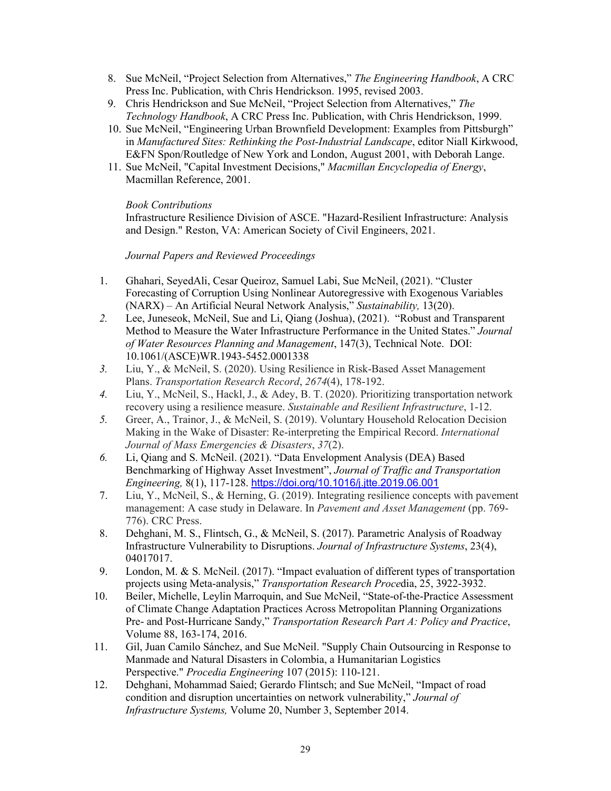- 8. Sue McNeil, "Project Selection from Alternatives," *The Engineering Handbook*, A CRC Press Inc. Publication, with Chris Hendrickson. 1995, revised 2003.
- 9. Chris Hendrickson and Sue McNeil, "Project Selection from Alternatives," *The Technology Handbook*, A CRC Press Inc. Publication, with Chris Hendrickson, 1999.
- 10. Sue McNeil, "Engineering Urban Brownfield Development: Examples from Pittsburgh" in *Manufactured Sites: Rethinking the Post-Industrial Landscape*, editor Niall Kirkwood, E&FN Spon/Routledge of New York and London, August 2001, with Deborah Lange.
- 11. Sue McNeil, "Capital Investment Decisions," *Macmillan Encyclopedia of Energy*, Macmillan Reference, 2001.

## *Book Contributions*

Infrastructure Resilience Division of ASCE. "Hazard-Resilient Infrastructure: Analysis and Design." Reston, VA: American Society of Civil Engineers, 2021.

## *Journal Papers and Reviewed Proceedings*

- 1. Ghahari, SeyedAli, Cesar Queiroz, Samuel Labi, Sue McNeil, (2021). "Cluster Forecasting of Corruption Using Nonlinear Autoregressive with Exogenous Variables (NARX) – An Artificial Neural Network Analysis," *Sustainability,* 13(20).
- *2.* Lee, Juneseok, McNeil, Sue and Li, Qiang (Joshua), (2021). "Robust and Transparent Method to Measure the Water Infrastructure Performance in the United States." *Journal of Water Resources Planning and Management*, 147(3), Technical Note. DOI: 10.1061/(ASCE)WR.1943-5452.0001338
- *3.* Liu, Y., & McNeil, S. (2020). Using Resilience in Risk-Based Asset Management Plans. *Transportation Research Record*, *2674*(4), 178-192.
- *4.* Liu, Y., McNeil, S., Hackl, J., & Adey, B. T. (2020). Prioritizing transportation network recovery using a resilience measure. *Sustainable and Resilient Infrastructure*, 1-12.
- *5.* Greer, A., Trainor, J., & McNeil, S. (2019). Voluntary Household Relocation Decision Making in the Wake of Disaster: Re-interpreting the Empirical Record. *International Journal of Mass Emergencies & Disasters*, *37*(2).
- *6.* Li, Qiang and S. McNeil. (2021). "Data Envelopment Analysis (DEA) Based Benchmarking of Highway Asset Investment", *Journal of Traffic and Transportation Engineering,* 8(1), 117-128. <https://doi.org/10.1016/j.jtte.2019.06.001>
- 7. Liu, Y., McNeil, S., & Herning, G. (2019). Integrating resilience concepts with pavement management: A case study in Delaware. In *Pavement and Asset Management* (pp. 769- 776). CRC Press.
- 8. Dehghani, M. S., Flintsch, G., & McNeil, S. (2017). Parametric Analysis of Roadway Infrastructure Vulnerability to Disruptions. *Journal of Infrastructure Systems*, 23(4), 04017017.
- 9. London, M. & S. McNeil. (2017). "Impact evaluation of different types of transportation projects using Meta-analysis," *Transportation Research Proce*dia, 25, 3922-3932.
- 10. Beiler, Michelle, Leylin Marroquin, and Sue McNeil, "State-of-the-Practice Assessment of Climate Change Adaptation Practices Across Metropolitan Planning Organizations Pre- and Post-Hurricane Sandy," *Transportation Research Part A: Policy and Practice*, Volume 88, 163-174, 2016.
- 11. Gil, Juan Camilo Sánchez, and Sue McNeil. "Supply Chain Outsourcing in Response to Manmade and Natural Disasters in Colombia, a Humanitarian Logistics Perspective." *Procedia Engineering* 107 (2015): 110-121.
- 12. Dehghani, Mohammad Saied; Gerardo Flintsch; and Sue McNeil, "Impact of road condition and disruption uncertainties on network vulnerability," *Journal of Infrastructure Systems,* Volume 20, Number 3, September 2014.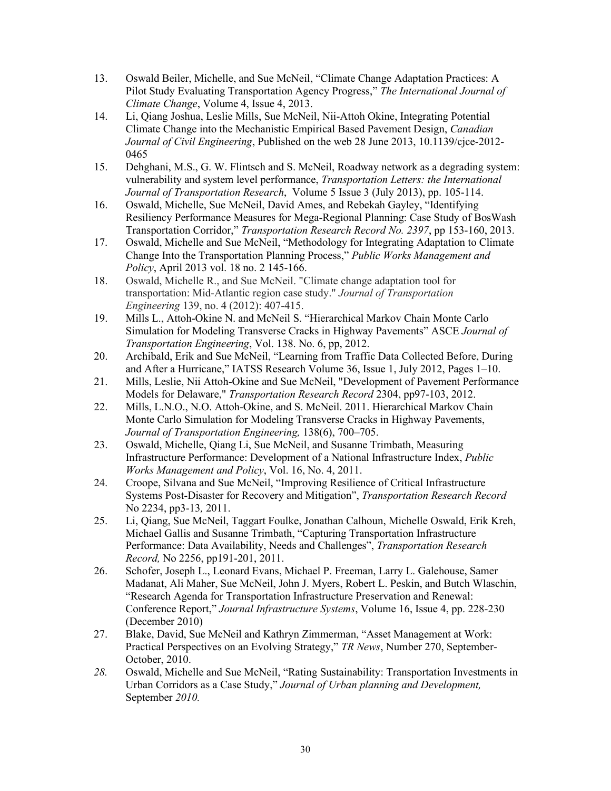- 13. Oswald Beiler, Michelle, and Sue McNeil, ["Climate Change Adaptation Practices: A](http://ijc.cgpublisher.com/product/pub.185/prod.217)  [Pilot Study Evaluating Transportation Agency Progress,](http://ijc.cgpublisher.com/product/pub.185/prod.217)" *The International Journal of Climate Change*, Volume 4, Issue 4, 2013.
- 14. Li, Qiang Joshua, Leslie Mills, Sue McNeil, Nii-Attoh Okine, Integrating Potential Climate Change into the Mechanistic Empirical Based Pavement Design, *Canadian Journal of Civil Engineering*, Published on the web 28 June 2013, 10.1139/cjce-2012- 0465
- 15. Dehghani, M.S., G. W. Flintsch [and](http://www.ingentaconnect.com/content/maney/trl/pre-prints/1942786713Z.0000000006#aff_1) S. McNeil, Roadway network as a degrading system: vulnerability and system level performance, *[Transportation Letters: the International](http://www.ingentaconnect.com/content/maney/trl)  [Journal of Transportation Research](http://www.ingentaconnect.com/content/maney/trl)*, Volume 5 Issue 3 (July 2013), pp. 105-114.
- 16. Oswald, Michelle, Sue McNeil, David Ames, and Rebekah Gayley, "Identifying Resiliency Performance Measures for Mega-Regional Planning: Case Study of BosWash Transportation Corridor," *Transportation Research Record No. 2397*, pp 153-160, 2013.
- 17. Oswald, Michelle and Sue McNeil, "Methodology for Integrating Adaptation to Climate Change Into the Transportation Planning Process," *Public Works Management and Policy*, April 2013 vol. 18 no. 2 145-166.
- 18. Oswald, Michelle R., and Sue McNeil. "Climate change adaptation tool for transportation: Mid-Atlantic region case study." *Journal of Transportation Engineering* 139, no. 4 (2012): 407-415.
- 19. Mills L., Attoh-Okine N. and McNeil S. "Hierarchical Markov Chain Monte Carlo Simulation for Modeling Transverse Cracks in Highway Pavements" ASCE *Journal of Transportation Engineering*, Vol. 138. No. 6, pp, 2012.
- 20. Archibald, Erik and Sue McNeil, "Learning from Traffic Data Collected Before, During and After a Hurricane," IATSS Research [Volume 36, Issue 1,](http://0-www.sciencedirect.com.precise.petronas.com.my/science/journal/03861112/36/1) July 2012, Pages 1–10.
- 21. Mills, Leslie, Nii Attoh-Okine and Sue McNeil, "Development of Pavement Performance Models for Delaware," *Transportation Research Record* 2304, pp97-103, 2012.
- 22. Mills, L.N.O., N.O. Attoh-Okine, and S. McNeil. 2011. [Hierarchical Markov Chain](http://ascelibrary.org/teo/resource/3/jtpexx/291)  [Monte Carlo Simulation for Modeling Transverse Cracks in Highway Pavements,](http://ascelibrary.org/teo/resource/3/jtpexx/291) *Journal of Transportation Engineering,* 138(6), 700–705.
- 23. Oswald, Michelle, Qiang Li, Sue McNeil, and Susanne Trimbath, Measuring Infrastructure Performance: Development of a National Infrastructure Index, *Public Works Management and Policy*, Vol. 16, No. 4, 2011.
- 24. Croope, Silvana and Sue McNeil, "Improving Resilience of Critical Infrastructure Systems Post-Disaster for Recovery and Mitigation", *Transportation Research Record* No 2234, pp3-13*,* 2011.
- 25. Li, Qiang, Sue McNeil, Taggart Foulke, Jonathan Calhoun, Michelle Oswald, Erik Kreh, Michael Gallis and Susanne Trimbath, "Capturing Transportation Infrastructure Performance: Data Availability, Needs and Challenges", *Transportation Research Record,* No 2256, pp191-201, 2011.
- 26. Schofer, Joseph L., Leonard Evans, Michael P. Freeman, Larry L. Galehouse, Samer Madanat, Ali Maher, Sue McNeil, John J. Myers, Robert L. Peskin, and Butch Wlaschin, "Research Agenda for Transportation Infrastructure Preservation and Renewal: Conference Report," *Journal Infrastructure Systems*, Volume 16, Issue 4, pp. 228-230 (December 2010)
- 27. Blake, David, Sue McNeil and Kathryn Zimmerman, "Asset Management at Work: Practical Perspectives on an Evolving Strategy," *TR News*, Number 270, September-October, 2010.
- *28.* Oswald, Michelle and Sue McNeil, "Rating Sustainability: Transportation Investments in Urban Corridors as a Case Study," *Journal of Urban planning and Development,*  September *2010.*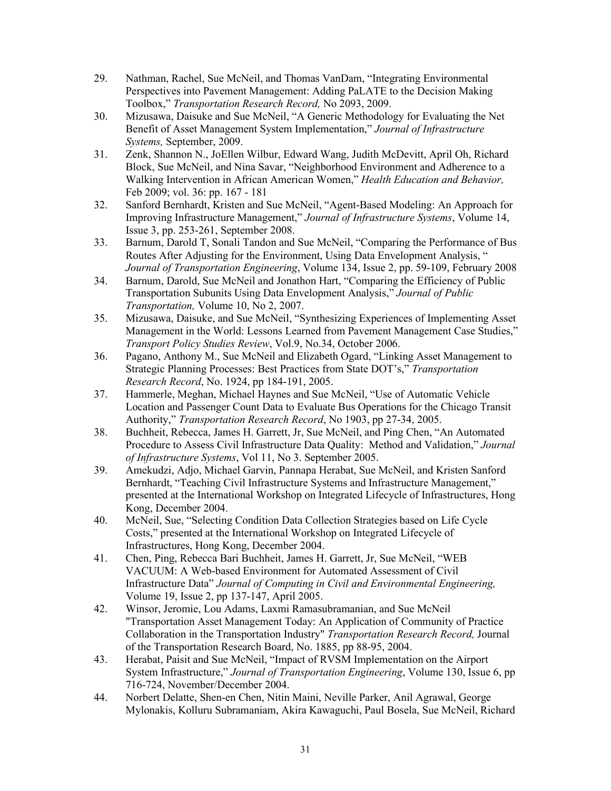- 29. Nathman, Rachel, Sue McNeil, and Thomas VanDam, "Integrating Environmental Perspectives into Pavement Management: Adding PaLATE to the Decision Making Toolbox," *Transportation Research Record,* No 2093, 2009.
- 30. Mizusawa, Daisuke and Sue McNeil, "A Generic Methodology for Evaluating the Net Benefit of Asset Management System Implementation," *Journal of Infrastructure Systems,* September, 2009.
- 31. Zenk, Shannon N., JoEllen Wilbur, Edward Wang, Judith McDevitt, April Oh, Richard Block, Sue McNeil, and Nina Savar, "Neighborhood Environment and Adherence to a Walking Intervention in African American Women," *Health Education and Behavior,* Feb 2009; vol. 36: pp. 167 - 181
- 32. Sanford Bernhardt, Kristen and Sue McNeil, "Agent-Based Modeling: An Approach for Improving Infrastructure Management," *Journal of Infrastructure Systems*, Volume 14, Issue 3, pp. 253-261, September 2008.
- 33. Barnum, Darold T, Sonali Tandon and Sue McNeil, "Comparing the Performance of Bus Routes After Adjusting for the Environment, Using Data Envelopment Analysis, " *Journal of Transportation Engineering*, Volume 134, Issue 2, pp. 59-109, February 2008
- 34. Barnum, Darold, Sue McNeil and Jonathon Hart, "Comparing the Efficiency of Public Transportation Subunits Using Data Envelopment Analysis," *Journal of Public Transportation,* Volume 10, No 2, 2007.
- 35. Mizusawa, Daisuke, and Sue McNeil, "Synthesizing Experiences of Implementing Asset Management in the World: Lessons Learned from Pavement Management Case Studies," *Transport Policy Studies Review*, Vol.9, No.34, October 2006.
- 36. Pagano, Anthony M., Sue McNeil and Elizabeth Ogard, "Linking Asset Management to Strategic Planning Processes: Best Practices from State DOT's," *Transportation Research Record*, No. 1924, pp 184-191, 2005.
- 37. Hammerle, Meghan, Michael Haynes and Sue McNeil, "Use of Automatic Vehicle Location and Passenger Count Data to Evaluate Bus Operations for the Chicago Transit Authority," *Transportation Research Record*, No 1903, pp 27-34, 2005.
- 38. Buchheit, Rebecca, James H. Garrett, Jr, Sue McNeil, and Ping Chen, "An Automated Procedure to Assess Civil Infrastructure Data Quality: Method and Validation," *Journal of Infrastructure Systems*, Vol 11, No 3. September 2005.
- 39. Amekudzi, Adjo, Michael Garvin, Pannapa Herabat, Sue McNeil, and Kristen Sanford Bernhardt, "Teaching Civil Infrastructure Systems and Infrastructure Management," presented at the International Workshop on Integrated Lifecycle of Infrastructures, Hong Kong, December 2004.
- 40. McNeil, Sue, "Selecting Condition Data Collection Strategies based on Life Cycle Costs," presented at the International Workshop on Integrated Lifecycle of Infrastructures, Hong Kong, December 2004.
- 41. Chen, Ping, Rebecca Bari Buchheit, James H. Garrett, Jr, Sue McNeil, "WEB VACUUM: A Web-based Environment for Automated Assessment of Civil Infrastructure Data" *Journal of Computing in Civil and Environmental Engineering,* Volume 19, Issue 2, pp 137-147, April 2005.
- 42. Winsor, Jeromie, Lou Adams, Laxmi Ramasubramanian, and Sue McNeil "Transportation Asset Management Today: An Application of Community of Practice Collaboration in the Transportation Industry" *Transportation Research Record,* Journal of the Transportation Research Board, No. 1885, pp 88-95, 2004.
- 43. Herabat, Paisit and Sue McNeil, "Impact of RVSM Implementation on the Airport System Infrastructure," *Journal of Transportation Engineering*, Volume 130, Issue 6, pp 716-724, November/December 2004.
- 44. Norbert Delatte, Shen-en Chen, Nitin Maini, Neville Parker, Anil Agrawal, George Mylonakis, Kolluru Subramaniam, Akira Kawaguchi, Paul Bosela, Sue McNeil, Richard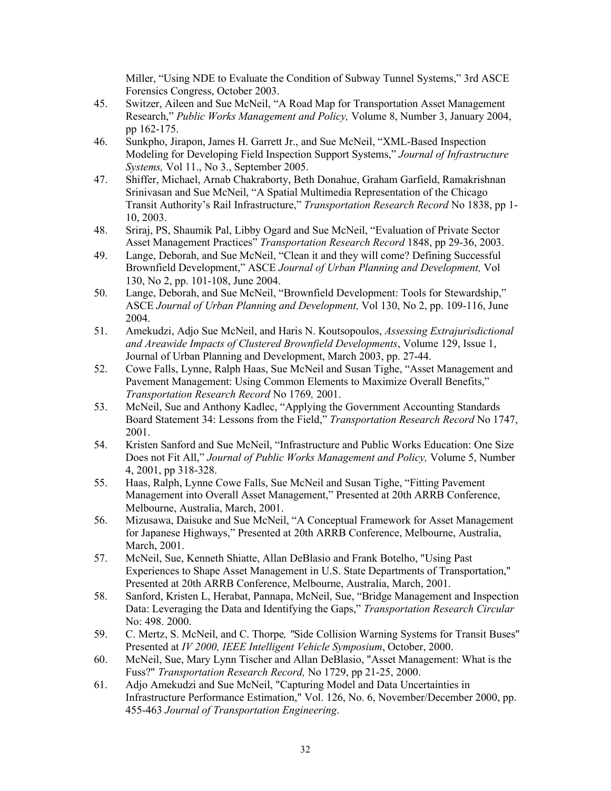Miller, "Using NDE to Evaluate the Condition of Subway Tunnel Systems," 3rd ASCE Forensics Congress, October 2003.

- 45. Switzer, Aileen and Sue McNeil, "A Road Map for Transportation Asset Management Research," *Public Works Management and Policy,* Volume 8, Number 3, January 2004, pp 162-175.
- 46. Sunkpho, Jirapon, James H. Garrett Jr., and Sue McNeil, "XML-Based Inspection Modeling for Developing Field Inspection Support Systems," *Journal of Infrastructure Systems,* Vol 11., No 3., September 2005.
- 47. Shiffer, Michael, Arnab Chakraborty, Beth Donahue, Graham Garfield, Ramakrishnan Srinivasan and Sue McNeil, "A Spatial Multimedia Representation of the Chicago Transit Authority's Rail Infrastructure," *Transportation Research Record* No 1838, pp 1- 10, 2003.
- 48. Sriraj, PS, Shaumik Pal, Libby Ogard and Sue McNeil, "Evaluation of Private Sector Asset Management Practices" *Transportation Research Record* 1848, pp 29-36, 2003.
- 49. Lange, Deborah, and Sue McNeil, "Clean it and they will come? Defining Successful Brownfield Development," ASCE *Journal of Urban Planning and Development,* Vol 130, No 2, pp. 101-108, June 2004.
- 50. Lange, Deborah, and Sue McNeil, "Brownfield Development: Tools for Stewardship," ASCE *Journal of Urban Planning and Development,* Vol 130, No 2, pp. 109-116, June 2004.
- 51. Amekudzi, Adjo Sue McNeil, and Haris N. Koutsopoulos, *Assessing Extrajurisdictional and Areawide Impacts of Clustered Brownfield Developments*, Volume 129, Issue 1, Journal of Urban Planning and Development, March 2003, pp. 27-44.
- 52. Cowe Falls, Lynne, Ralph Haas, Sue McNeil and Susan Tighe, "Asset Management and Pavement Management: Using Common Elements to Maximize Overall Benefits," *Transportation Research Record* No 1769*,* 2001.
- 53. McNeil, Sue and Anthony Kadlec, "Applying the Government Accounting Standards Board Statement 34: Lessons from the Field," *Transportation Research Record* No 1747, 2001.
- 54. Kristen Sanford and Sue McNeil, "Infrastructure and Public Works Education: One Size Does not Fit All," *Journal of Public Works Management and Policy,* Volume 5, Number 4, 2001, pp 318-328.
- 55. Haas, Ralph, Lynne Cowe Falls, Sue McNeil and Susan Tighe, "Fitting Pavement Management into Overall Asset Management," Presented at 20th ARRB Conference, Melbourne, Australia, March, 2001.
- 56. Mizusawa, Daisuke and Sue McNeil, "A Conceptual Framework for Asset Management for Japanese Highways," Presented at 20th ARRB Conference, Melbourne, Australia, March, 2001.
- 57. McNeil, Sue, Kenneth Shiatte, Allan DeBlasio and Frank Botelho, "Using Past Experiences to Shape Asset Management in U.S. State Departments of Transportation," Presented at 20th ARRB Conference, Melbourne, Australia, March, 2001.
- 58. Sanford, Kristen L, Herabat, Pannapa, McNeil, Sue, "Bridge Management and Inspection Data: Leveraging the Data and Identifying the Gaps," *Transportation Research Circular* No: 498. 2000.
- 59. [C. Mertz,](https://d.docs.live.net/people/mertz_christoph.html) S. McNeil, and [C. Thorpe](https://d.docs.live.net/people/thorpe_charles.html)*, "*Side Collision Warning Systems for Transit Buses" Presented at *IV 2000, IEEE Intelligent Vehicle Symposium*, October, 2000.
- 60. McNeil, Sue, Mary Lynn Tischer and Allan DeBlasio, "Asset Management: What is the Fuss?" *Transportation Research Record,* No 1729, pp 21-25, 2000.
- 61. Adjo Amekudzi and Sue McNeil, "Capturing Model and Data Uncertainties in Infrastructure Performance Estimation," Vol. 126, No. 6, November/December 2000, pp. 455-463 *Journal of Transportation Engineering*.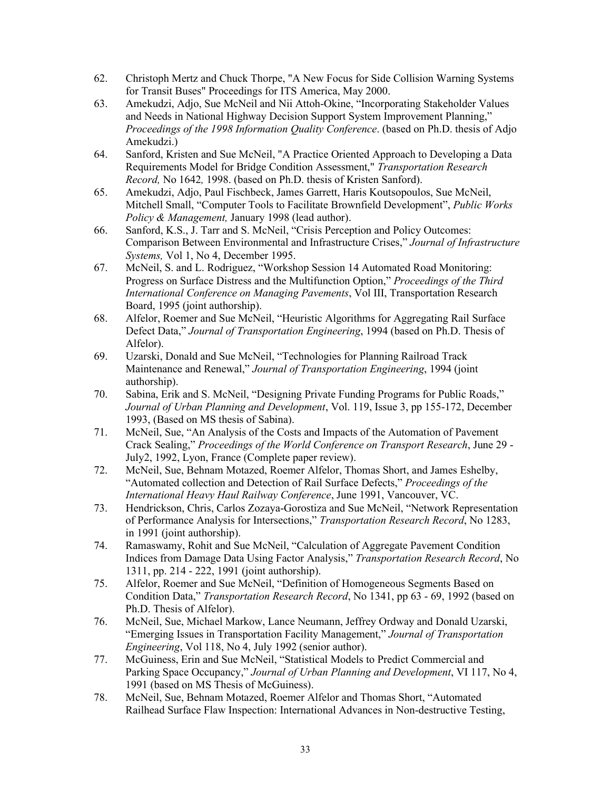- 62. Christoph Mertz and Chuck Thorpe, "A New Focus for Side Collision Warning Systems for Transit Buses" Proceedings for ITS America, May 2000.
- 63. Amekudzi, Adjo, Sue McNeil and Nii Attoh-Okine, "Incorporating Stakeholder Values and Needs in National Highway Decision Support System Improvement Planning," *Proceedings of the 1998 Information Quality Conference*. (based on Ph.D. thesis of Adjo Amekudzi.)
- 64. Sanford, Kristen and Sue McNeil, "A Practice Oriented Approach to Developing a Data Requirements Model for Bridge Condition Assessment," *Transportation Research Record,* No 1642*,* 1998. (based on Ph.D. thesis of Kristen Sanford).
- 65. Amekudzi, Adjo, Paul Fischbeck, James Garrett, Haris Koutsopoulos, Sue McNeil, Mitchell Small, "Computer Tools to Facilitate Brownfield Development", *Public Works Policy & Management,* January 1998 (lead author).
- 66. Sanford, K.S., J. Tarr and S. McNeil, "Crisis Perception and Policy Outcomes: Comparison Between Environmental and Infrastructure Crises," *Journal of Infrastructure Systems,* Vol 1, No 4, December 1995.
- 67. McNeil, S. and L. Rodriguez, "Workshop Session 14 Automated Road Monitoring: Progress on Surface Distress and the Multifunction Option," *Proceedings of the Third International Conference on Managing Pavements*, Vol III, Transportation Research Board, 1995 (joint authorship).
- 68. Alfelor, Roemer and Sue McNeil, "Heuristic Algorithms for Aggregating Rail Surface Defect Data," *Journal of Transportation Engineering*, 1994 (based on Ph.D. Thesis of Alfelor).
- 69. Uzarski, Donald and Sue McNeil, "Technologies for Planning Railroad Track Maintenance and Renewal," *Journal of Transportation Engineering*, 1994 (joint authorship).
- 70. Sabina, Erik and S. McNeil, "Designing Private Funding Programs for Public Roads," *Journal of Urban Planning and Development*, Vol. 119, Issue 3, pp 155-172, December 1993, (Based on MS thesis of Sabina).
- 71. McNeil, Sue, "An Analysis of the Costs and Impacts of the Automation of Pavement Crack Sealing," *Proceedings of the World Conference on Transport Research*, June 29 - July2, 1992, Lyon, France (Complete paper review).
- 72. McNeil, Sue, Behnam Motazed, Roemer Alfelor, Thomas Short, and James Eshelby, "Automated collection and Detection of Rail Surface Defects," *Proceedings of the International Heavy Haul Railway Conference*, June 1991, Vancouver, VC.
- 73. Hendrickson, Chris, Carlos Zozaya-Gorostiza and Sue McNeil, "Network Representation of Performance Analysis for Intersections," *Transportation Research Record*, No 1283, in 1991 (joint authorship).
- 74. Ramaswamy, Rohit and Sue McNeil, "Calculation of Aggregate Pavement Condition Indices from Damage Data Using Factor Analysis," *Transportation Research Record*, No 1311, pp. 214 - 222, 1991 (joint authorship).
- 75. Alfelor, Roemer and Sue McNeil, "Definition of Homogeneous Segments Based on Condition Data," *Transportation Research Record*, No 1341, pp 63 - 69, 1992 (based on Ph.D. Thesis of Alfelor).
- 76. McNeil, Sue, Michael Markow, Lance Neumann, Jeffrey Ordway and Donald Uzarski, "Emerging Issues in Transportation Facility Management," *Journal of Transportation Engineering*, Vol 118, No 4, July 1992 (senior author).
- 77. McGuiness, Erin and Sue McNeil, "Statistical Models to Predict Commercial and Parking Space Occupancy," *Journal of Urban Planning and Development*, VI 117, No 4, 1991 (based on MS Thesis of McGuiness).
- 78. McNeil, Sue, Behnam Motazed, Roemer Alfelor and Thomas Short, "Automated Railhead Surface Flaw Inspection: International Advances in Non-destructive Testing,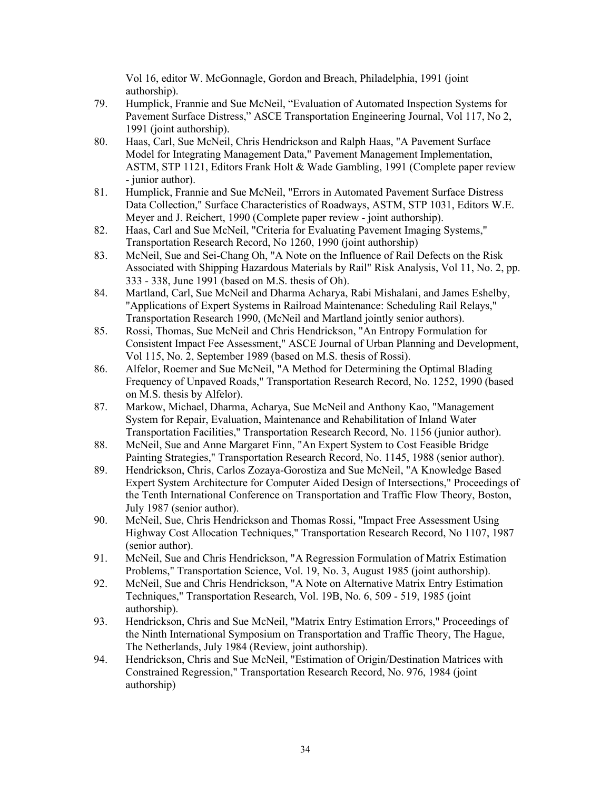Vol 16, editor W. McGonnagle, Gordon and Breach, Philadelphia, 1991 (joint authorship).

- 79. Humplick, Frannie and Sue McNeil, "Evaluation of Automated Inspection Systems for Pavement Surface Distress," ASCE Transportation Engineering Journal, Vol 117, No 2, 1991 (joint authorship).
- 80. Haas, Carl, Sue McNeil, Chris Hendrickson and Ralph Haas, "A Pavement Surface Model for Integrating Management Data," Pavement Management Implementation, ASTM, STP 1121, Editors Frank Holt & Wade Gambling, 1991 (Complete paper review - junior author).
- 81. Humplick, Frannie and Sue McNeil, "Errors in Automated Pavement Surface Distress Data Collection," Surface Characteristics of Roadways, ASTM, STP 1031, Editors W.E. Meyer and J. Reichert, 1990 (Complete paper review - joint authorship).
- 82. Haas, Carl and Sue McNeil, "Criteria for Evaluating Pavement Imaging Systems," Transportation Research Record, No 1260, 1990 (joint authorship)
- 83. McNeil, Sue and Sei-Chang Oh, "A Note on the Influence of Rail Defects on the Risk Associated with Shipping Hazardous Materials by Rail" Risk Analysis, Vol 11, No. 2, pp. 333 - 338, June 1991 (based on M.S. thesis of Oh).
- 84. Martland, Carl, Sue McNeil and Dharma Acharya, Rabi Mishalani, and James Eshelby, "Applications of Expert Systems in Railroad Maintenance: Scheduling Rail Relays," Transportation Research 1990, (McNeil and Martland jointly senior authors).
- 85. Rossi, Thomas, Sue McNeil and Chris Hendrickson, "An Entropy Formulation for Consistent Impact Fee Assessment," ASCE Journal of Urban Planning and Development, Vol 115, No. 2, September 1989 (based on M.S. thesis of Rossi).
- 86. Alfelor, Roemer and Sue McNeil, "A Method for Determining the Optimal Blading Frequency of Unpaved Roads," Transportation Research Record, No. 1252, 1990 (based on M.S. thesis by Alfelor).
- 87. Markow, Michael, Dharma, Acharya, Sue McNeil and Anthony Kao, "Management System for Repair, Evaluation, Maintenance and Rehabilitation of Inland Water Transportation Facilities," Transportation Research Record, No. 1156 (junior author).
- 88. McNeil, Sue and Anne Margaret Finn, "An Expert System to Cost Feasible Bridge Painting Strategies," Transportation Research Record, No. 1145, 1988 (senior author).
- 89. Hendrickson, Chris, Carlos Zozaya-Gorostiza and Sue McNeil, "A Knowledge Based Expert System Architecture for Computer Aided Design of Intersections," Proceedings of the Tenth International Conference on Transportation and Traffic Flow Theory, Boston, July 1987 (senior author).
- 90. McNeil, Sue, Chris Hendrickson and Thomas Rossi, "Impact Free Assessment Using Highway Cost Allocation Techniques," Transportation Research Record, No 1107, 1987 (senior author).
- 91. McNeil, Sue and Chris Hendrickson, "A Regression Formulation of Matrix Estimation Problems," Transportation Science, Vol. 19, No. 3, August 1985 (joint authorship).
- 92. McNeil, Sue and Chris Hendrickson, "A Note on Alternative Matrix Entry Estimation Techniques," Transportation Research, Vol. 19B, No. 6, 509 - 519, 1985 (joint authorship).
- 93. Hendrickson, Chris and Sue McNeil, "Matrix Entry Estimation Errors," Proceedings of the Ninth International Symposium on Transportation and Traffic Theory, The Hague, The Netherlands, July 1984 (Review, joint authorship).
- 94. Hendrickson, Chris and Sue McNeil, "Estimation of Origin/Destination Matrices with Constrained Regression," Transportation Research Record, No. 976, 1984 (joint authorship)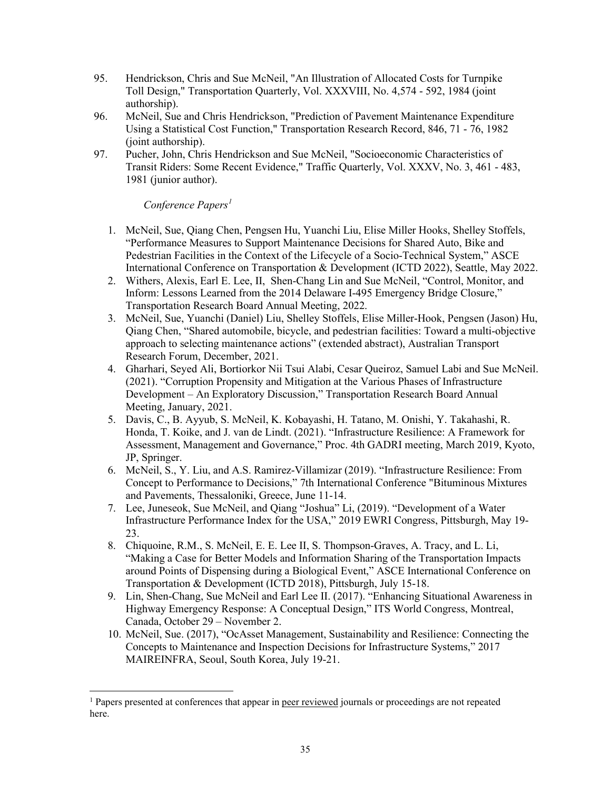- 95. Hendrickson, Chris and Sue McNeil, "An Illustration of Allocated Costs for Turnpike Toll Design," Transportation Quarterly, Vol. XXXVIII, No. 4,574 - 592, 1984 (joint authorship).
- 96. McNeil, Sue and Chris Hendrickson, "Prediction of Pavement Maintenance Expenditure Using a Statistical Cost Function," Transportation Research Record, 846, 71 - 76, 1982 (joint authorship).
- 97. Pucher, John, Chris Hendrickson and Sue McNeil, "Socioeconomic Characteristics of Transit Riders: Some Recent Evidence," Traffic Quarterly, Vol. XXXV, No. 3, 461 - 483, 1981 (junior author).

## *Conference Papers[1](#page-34-0)*

- 1. McNeil, Sue, Qiang Chen, Pengsen Hu, Yuanchi Liu, Elise Miller Hooks, Shelley Stoffels, "Performance Measures to Support Maintenance Decisions for Shared Auto, Bike and Pedestrian Facilities in the Context of the Lifecycle of a Socio-Technical System," ASCE International Conference on Transportation & Development (ICTD 2022), Seattle, May 2022.
- 2. Withers, Alexis, Earl E. Lee, II, Shen-Chang Lin and Sue McNeil, "Control, Monitor, and Inform: Lessons Learned from the 2014 Delaware I-495 Emergency Bridge Closure," Transportation Research Board Annual Meeting, 2022.
- 3. McNeil, Sue, Yuanchi (Daniel) Liu, Shelley Stoffels, Elise Miller-Hook, Pengsen (Jason) Hu, Qiang Chen, "Shared automobile, bicycle, and pedestrian facilities: Toward a multi-objective approach to selecting maintenance actions" (extended abstract), Australian Transport Research Forum, December, 2021.
- 4. Gharhari, Seyed Ali, Bortiorkor Nii Tsui Alabi, Cesar Queiroz, Samuel Labi and Sue McNeil. (2021). "Corruption Propensity and Mitigation at the Various Phases of Infrastructure Development – An Exploratory Discussion," Transportation Research Board Annual Meeting, January, 2021.
- 5. Davis, C., B. Ayyub, S. McNeil, K. Kobayashi, H. Tatano, M. Onishi, Y. Takahashi, R. Honda, T. Koike, and J. van de Lindt. (2021). "Infrastructure Resilience: A Framework for Assessment, Management and Governance," Proc. 4th GADRI meeting, March 2019, Kyoto, JP, Springer.
- 6. McNeil, S., Y. Liu, and A.S. Ramirez-Villamizar (2019). "Infrastructure Resilience: From Concept to Performance to Decisions," 7th International Conference "Bituminous Mixtures and Pavements, Thessaloniki, Greece, June 11-14.
- 7. Lee, Juneseok, Sue McNeil, and Qiang "Joshua" Li, (2019). "Development of a Water Infrastructure Performance Index for the USA," 2019 EWRI Congress, Pittsburgh, May 19- 23.
- 8. Chiquoine, R.M., S. McNeil, E. E. Lee II, S. Thompson-Graves, A. Tracy, and L. Li, "Making a Case for Better Models and Information Sharing of the Transportation Impacts around Points of Dispensing during a Biological Event," ASCE International Conference on Transportation & Development (ICTD 2018), Pittsburgh, July 15-18.
- 9. Lin, Shen-Chang, Sue McNeil and Earl Lee II. (2017). "Enhancing Situational Awareness in Highway Emergency Response: A Conceptual Design," ITS World Congress, Montreal, Canada, October 29 – November 2.
- 10. McNeil, Sue. (2017), "OcAsset Management, Sustainability and Resilience: Connecting the Concepts to Maintenance and Inspection Decisions for Infrastructure Systems," 2017 MAIREINFRA, Seoul, South Korea, July 19-21.

<span id="page-34-0"></span><sup>&</sup>lt;sup>1</sup> Papers presented at conferences that appear in <u>peer reviewed</u> journals or proceedings are not repeated here.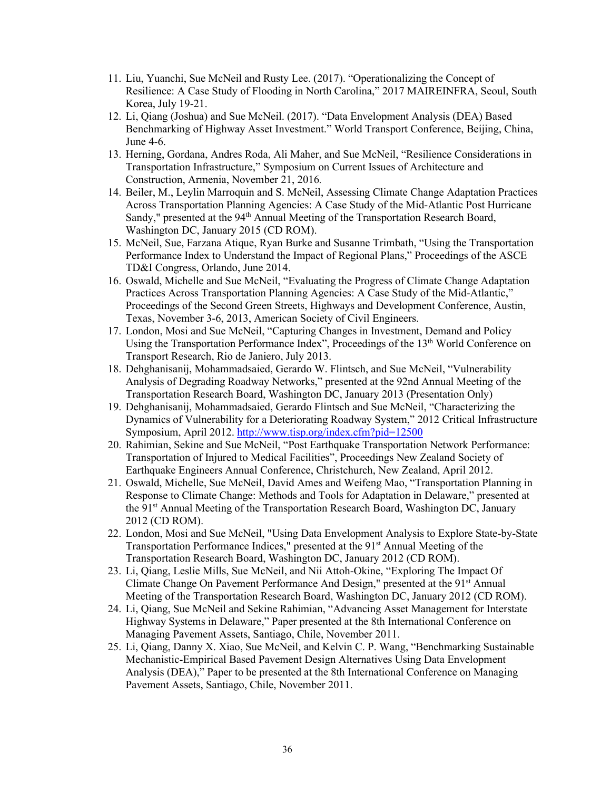- 11. Liu, Yuanchi, Sue McNeil and Rusty Lee. (2017). "Operationalizing the Concept of Resilience: A Case Study of Flooding in North Carolina," 2017 MAIREINFRA, Seoul, South Korea, July 19-21.
- 12. Li, Qiang (Joshua) and Sue McNeil. (2017). "Data Envelopment Analysis (DEA) Based Benchmarking of Highway Asset Investment." World Transport Conference, Beijing, China, June 4-6.
- 13. Herning, Gordana, Andres Roda, Ali Maher, and Sue McNeil, "Resilience Considerations in Transportation Infrastructure," Symposium on Current Issues of Architecture and Construction, Armenia, November 21, 2016*.*
- 14. Beiler, M., Leylin Marroquin and S. McNeil, Assessing Climate Change Adaptation Practices Across Transportation Planning Agencies: A Case Study of the Mid-Atlantic Post Hurricane Sandy," presented at the 94<sup>th</sup> Annual Meeting of the Transportation Research Board, Washington DC, January 2015 (CD ROM).
- 15. McNeil, Sue, Farzana Atique, Ryan Burke and Susanne Trimbath, "Using the Transportation Performance Index to Understand the Impact of Regional Plans," Proceedings of the ASCE TD&I Congress, Orlando, June 2014.
- 16. Oswald, Michelle and Sue McNeil, "Evaluating the Progress of Climate Change Adaptation Practices Across Transportation Planning Agencies: A Case Study of the Mid-Atlantic," Proceedings of the Second Green Streets, Highways and Development Conference, Austin, Texas, November 3-6, 2013, American Society of Civil Engineers.
- 17. London, Mosi and Sue McNeil, "Capturing Changes in Investment, Demand and Policy Using the Transportation Performance Index", Proceedings of the 13<sup>th</sup> World Conference on Transport Research, Rio de Janiero, July 2013.
- 18. Dehghanisanij, Mohammadsaied, Gerardo W. Flintsch, and Sue McNeil, "Vulnerability Analysis of Degrading Roadway Networks," presented at the 92nd Annual Meeting of the Transportation Research Board, Washington DC, January 2013 (Presentation Only)
- 19. Dehghanisanij, Mohammadsaied, Gerardo Flintsch and Sue McNeil, "Characterizing the Dynamics of Vulnerability for a Deteriorating Roadway System," 2012 Critical Infrastructure Symposium, April 2012.<http://www.tisp.org/index.cfm?pid=12500>
- 20. Rahimian, Sekine and Sue McNeil, "Post Earthquake Transportation Network Performance: Transportation of Injured to Medical Facilities", Proceedings New Zealand Society of Earthquake Engineers Annual Conference, Christchurch, New Zealand, April 2012.
- 21. Oswald, Michelle, Sue McNeil, David Ames and Weifeng Mao, "Transportation Planning in Response to Climate Change: Methods and Tools for Adaptation in Delaware," presented at the 91st Annual Meeting of the Transportation Research Board, Washington DC, January 2012 (CD ROM).
- 22. London, Mosi and Sue McNeil, "Using Data Envelopment Analysis to Explore State-by-State Transportation Performance Indices," presented at the 91<sup>st</sup> Annual Meeting of the Transportation Research Board, Washington DC, January 2012 (CD ROM).
- 23. Li, Qiang, Leslie Mills, Sue McNeil, and Nii Attoh-Okine, "Exploring The Impact Of Climate Change On Pavement Performance And Design," presented at the 91<sup>st</sup> Annual Meeting of the Transportation Research Board, Washington DC, January 2012 (CD ROM).
- 24. Li, Qiang, Sue McNeil and Sekine Rahimian, "Advancing Asset Management for Interstate Highway Systems in Delaware," Paper presented at the 8th International Conference on Managing Pavement Assets, Santiago, Chile, November 2011.
- 25. Li, Qiang, Danny X. Xiao, Sue McNeil, and Kelvin C. P. Wang, "Benchmarking Sustainable Mechanistic-Empirical Based Pavement Design Alternatives Using Data Envelopment Analysis (DEA)," Paper to be presented at the 8th International Conference on Managing Pavement Assets, Santiago, Chile, November 2011.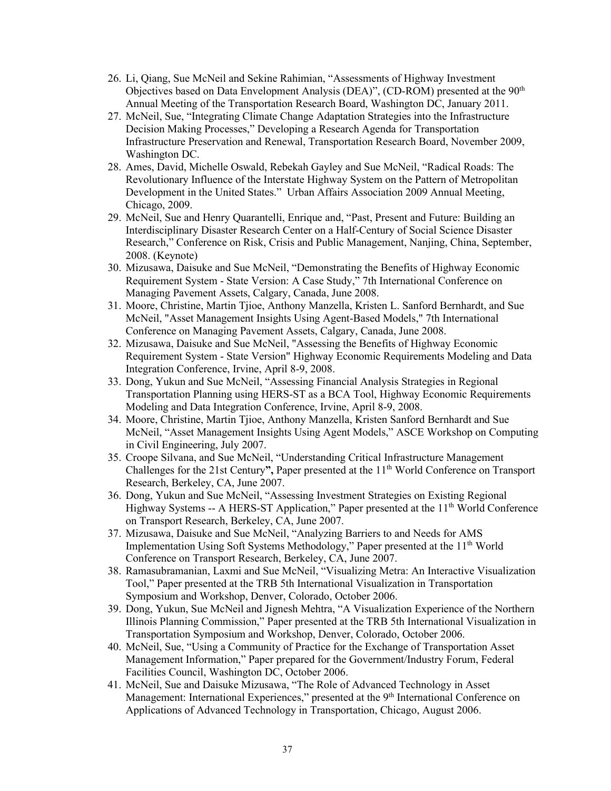- 26. Li, Qiang, Sue McNeil and Sekine Rahimian, "Assessments of Highway Investment Objectives based on Data Envelopment Analysis (DEA)", (CD-ROM) presented at the 90<sup>th</sup> Annual Meeting of the Transportation Research Board, Washington DC, January 2011.
- 27. McNeil, Sue, "Integrating Climate Change Adaptation Strategies into the Infrastructure Decision Making Processes," Developing a Research Agenda for Transportation Infrastructure Preservation and Renewal, Transportation Research Board, November 2009, Washington DC.
- 28. Ames, David, Michelle Oswald, Rebekah Gayley and Sue McNeil, "Radical Roads: The Revolutionary Influence of the Interstate Highway System on the Pattern of Metropolitan Development in the United States." Urban Affairs Association 2009 Annual Meeting, Chicago, 2009.
- 29. McNeil, Sue and Henry Quarantelli, Enrique and, "Past, Present and Future: Building an Interdisciplinary Disaster Research Center on a Half-Century of Social Science Disaster Research," Conference on Risk, Crisis and Public Management, Nanjing, China, September, 2008. (Keynote)
- 30. Mizusawa, Daisuke and Sue McNeil, "Demonstrating the Benefits of Highway Economic Requirement System - State Version: A Case Study," 7th International Conference on Managing Pavement Assets, Calgary, Canada, June 2008.
- 31. Moore, Christine, Martin Tjioe, Anthony Manzella, Kristen L. Sanford Bernhardt, and Sue McNeil, "Asset Management Insights Using Agent-Based Models," 7th International Conference on Managing Pavement Assets, Calgary, Canada, June 2008.
- 32. Mizusawa, Daisuke and Sue McNeil, "Assessing the Benefits of Highway Economic Requirement System - State Version" Highway Economic Requirements Modeling and Data Integration Conference, Irvine, April 8-9, 2008.
- 33. Dong, Yukun and Sue McNeil, "Assessing Financial Analysis Strategies in Regional Transportation Planning using HERS-ST as a BCA Tool, Highway Economic Requirements Modeling and Data Integration Conference, Irvine, April 8-9, 2008.
- 34. Moore, Christine, Martin Tjioe, Anthony Manzella, Kristen Sanford Bernhardt and Sue McNeil, "Asset Management Insights Using Agent Models," ASCE Workshop on Computing in Civil Engineering, July 2007.
- 35. Croope Silvana, and Sue McNeil, "Understanding Critical Infrastructure Management Challenges for the 21st Century", Paper presented at the 11<sup>th</sup> World Conference on Transport Research, Berkeley, CA, June 2007.
- 36. Dong, Yukun and Sue McNeil, "Assessing Investment Strategies on Existing Regional Highway Systems -- A HERS-ST Application," Paper presented at the  $11<sup>th</sup>$  World Conference on Transport Research, Berkeley, CA, June 2007.
- 37. Mizusawa, Daisuke and Sue McNeil, "Analyzing Barriers to and Needs for AMS Implementation Using Soft Systems Methodology," Paper presented at the 11<sup>th</sup> World Conference on Transport Research, Berkeley, CA, June 2007.
- 38. Ramasubramanian, Laxmi and Sue McNeil, "Visualizing Metra: An Interactive Visualization Tool," Paper presented at the TRB 5th International Visualization in Transportation Symposium and Workshop, Denver, Colorado, October 2006.
- 39. Dong, Yukun, Sue McNeil and Jignesh Mehtra, "A Visualization Experience of the Northern Illinois Planning Commission," Paper presented at the TRB 5th International Visualization in Transportation Symposium and Workshop, Denver, Colorado, October 2006.
- 40. McNeil, Sue, "Using a Community of Practice for the Exchange of Transportation Asset Management Information," Paper prepared for the Government/Industry Forum, Federal Facilities Council, Washington DC, October 2006.
- 41. McNeil, Sue and Daisuke Mizusawa, "The Role of Advanced Technology in Asset Management: International Experiences," presented at the 9<sup>th</sup> International Conference on Applications of Advanced Technology in Transportation, Chicago, August 2006.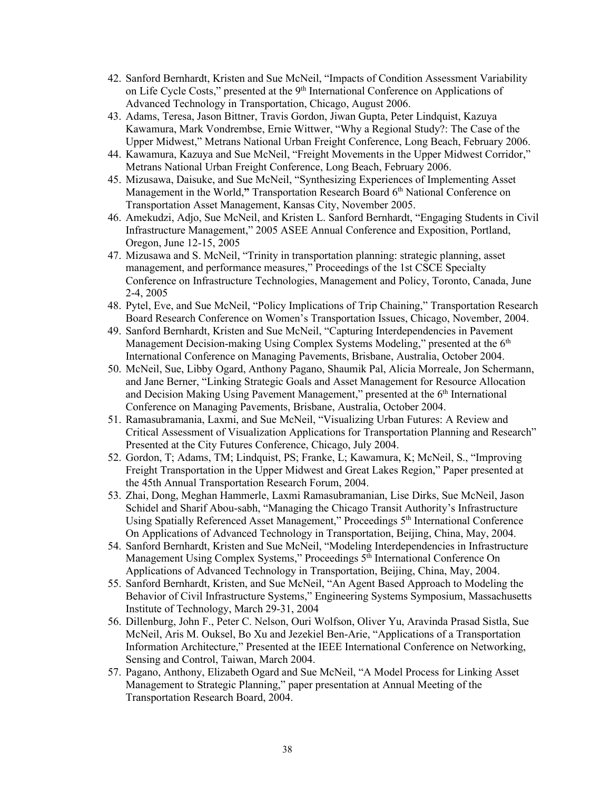- 42. Sanford Bernhardt, Kristen and Sue McNeil, "Impacts of Condition Assessment Variability on Life Cycle Costs," presented at the 9<sup>th</sup> International Conference on Applications of Advanced Technology in Transportation, Chicago, August 2006.
- 43. Adams, Teresa, Jason Bittner, Travis Gordon, Jiwan Gupta, Peter Lindquist, Kazuya Kawamura, Mark Vondrembse, Ernie Wittwer, "Why a Regional Study?: The Case of the Upper Midwest," Metrans National Urban Freight Conference, Long Beach, February 2006.
- 44. Kawamura, Kazuya and Sue McNeil, "Freight Movements in the Upper Midwest Corridor," Metrans National Urban Freight Conference, Long Beach, February 2006.
- 45. Mizusawa, Daisuke, and Sue McNeil, "Synthesizing Experiences of Implementing Asset Management in the World,**"** Transportation Research Board 6th National Conference on Transportation Asset Management, Kansas City, November 2005.
- 46. Amekudzi, Adjo, Sue McNeil, and Kristen L. Sanford Bernhardt, "Engaging Students in Civil Infrastructure Management," 2005 ASEE Annual Conference and Exposition, Portland, Oregon, June 12-15, 2005
- 47. Mizusawa and S. McNeil, "Trinity in transportation planning: strategic planning, asset management, and performance measures," Proceedings of the 1st CSCE Specialty Conference on Infrastructure Technologies, Management and Policy, Toronto, Canada, June 2-4, 2005
- 48. Pytel, Eve, and Sue McNeil, "Policy Implications of Trip Chaining," Transportation Research Board Research Conference on Women's Transportation Issues, Chicago, November, 2004.
- 49. Sanford Bernhardt, Kristen and Sue McNeil, "Capturing Interdependencies in Pavement Management Decision-making Using Complex Systems Modeling," presented at the  $6<sup>th</sup>$ International Conference on Managing Pavements, Brisbane, Australia, October 2004.
- 50. McNeil, Sue, Libby Ogard, Anthony Pagano, Shaumik Pal, Alicia Morreale, Jon Schermann, and Jane Berner, "Linking Strategic Goals and Asset Management for Resource Allocation and Decision Making Using Pavement Management," presented at the 6<sup>th</sup> International Conference on Managing Pavements, Brisbane, Australia, October 2004.
- 51. Ramasubramania, Laxmi, and Sue McNeil, "Visualizing Urban Futures: A Review and Critical Assessment of Visualization Applications for Transportation Planning and Research" Presented at the City Futures Conference, Chicago, July 2004.
- 52. Gordon, T; Adams, TM; Lindquist, PS; Franke, L; Kawamura, K; McNeil, S., "Improving Freight Transportation in the Upper Midwest and Great Lakes Region," Paper presented at the 45th Annual Transportation Research Forum, 2004.
- 53. Zhai, Dong, Meghan Hammerle, Laxmi Ramasubramanian, Lise Dirks, Sue McNeil, Jason Schidel and Sharif Abou-sabh, "Managing the Chicago Transit Authority's Infrastructure Using Spatially Referenced Asset Management," Proceedings 5th International Conference On Applications of Advanced Technology in Transportation, Beijing, China, May, 2004.
- 54. Sanford Bernhardt, Kristen and Sue McNeil, "Modeling Interdependencies in Infrastructure Management Using Complex Systems," Proceedings 5<sup>th</sup> International Conference On Applications of Advanced Technology in Transportation, Beijing, China, May, 2004.
- 55. Sanford Bernhardt, Kristen, and Sue McNeil, "An Agent Based Approach to Modeling the Behavior of Civil Infrastructure Systems," Engineering Systems Symposium, Massachusetts Institute of Technology, March 29-31, 2004
- 56. Dillenburg, John F., Peter C. Nelson, Ouri Wolfson, Oliver Yu, Aravinda Prasad Sistla, Sue McNeil, Aris M. Ouksel, Bo Xu and Jezekiel Ben-Arie, "Applications of a Transportation Information Architecture," Presented at the IEEE International Conference on Networking, Sensing and Control, Taiwan, March 2004.
- 57. Pagano, Anthony, Elizabeth Ogard and Sue McNeil, "A Model Process for Linking Asset Management to Strategic Planning," paper presentation at Annual Meeting of the Transportation Research Board, 2004.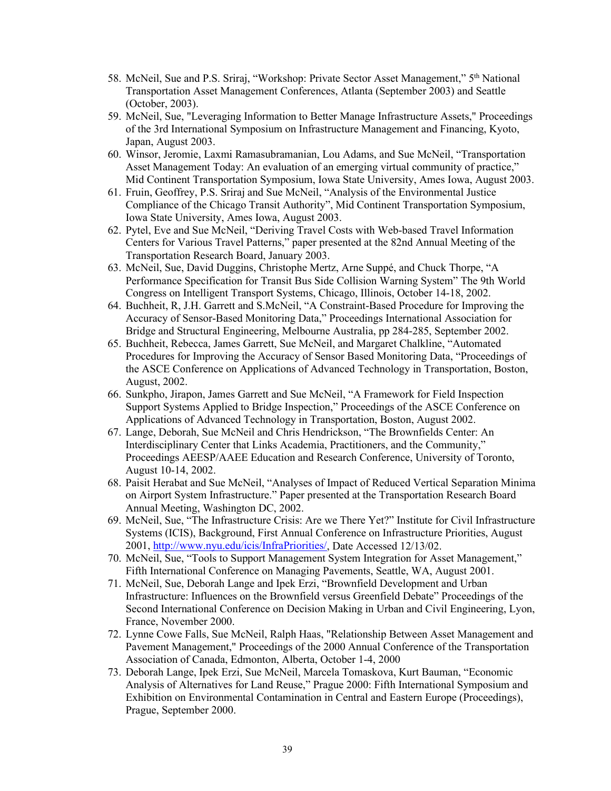- 58. McNeil, Sue and P.S. Sriraj, "Workshop: Private Sector Asset Management," 5<sup>th</sup> National Transportation Asset Management Conferences, Atlanta (September 2003) and Seattle (October, 2003).
- 59. McNeil, Sue, "Leveraging Information to Better Manage Infrastructure Assets," Proceedings of the 3rd International Symposium on Infrastructure Management and Financing, Kyoto, Japan, August 2003.
- 60. Winsor, Jeromie, Laxmi Ramasubramanian, Lou Adams, and Sue McNeil, "Transportation Asset Management Today: An evaluation of an emerging virtual community of practice," Mid Continent Transportation Symposium, Iowa State University, Ames Iowa, August 2003.
- 61. Fruin, Geoffrey, P.S. Sriraj and Sue McNeil, "Analysis of the Environmental Justice Compliance of the Chicago Transit Authority", Mid Continent Transportation Symposium, Iowa State University, Ames Iowa, August 2003.
- 62. Pytel, Eve and Sue McNeil, "Deriving Travel Costs with Web-based Travel Information Centers for Various Travel Patterns," paper presented at the 82nd Annual Meeting of the Transportation Research Board, January 2003.
- 63. McNeil, Sue, David Duggins, Christophe Mertz, Arne Suppé, and Chuck Thorpe, "A Performance Specification for Transit Bus Side Collision Warning System" The 9th World Congress on Intelligent Transport Systems, Chicago, Illinois, October 14-18, 2002.
- 64. Buchheit, R, J.H. Garrett and S.McNeil, "A Constraint-Based Procedure for Improving the Accuracy of Sensor-Based Monitoring Data," Proceedings International Association for Bridge and Structural Engineering, Melbourne Australia, pp 284-285, September 2002.
- 65. Buchheit, Rebecca, James Garrett, Sue McNeil, and Margaret Chalkline, "Automated Procedures for Improving the Accuracy of Sensor Based Monitoring Data, "Proceedings of the ASCE Conference on Applications of Advanced Technology in Transportation, Boston, August, 2002.
- 66. Sunkpho, Jirapon, James Garrett and Sue McNeil, "A Framework for Field Inspection Support Systems Applied to Bridge Inspection," Proceedings of the ASCE Conference on Applications of Advanced Technology in Transportation, Boston, August 2002.
- 67. Lange, Deborah, Sue McNeil and Chris Hendrickson, "The Brownfields Center: An Interdisciplinary Center that Links Academia, Practitioners, and the Community," Proceedings AEESP/AAEE Education and Research Conference, University of Toronto, August 10-14, 2002.
- 68. Paisit Herabat and Sue McNeil, "Analyses of Impact of Reduced Vertical Separation Minima on Airport System Infrastructure." Paper presented at the Transportation Research Board Annual Meeting, Washington DC, 2002.
- 69. McNeil, Sue, "The Infrastructure Crisis: Are we There Yet?" Institute for Civil Infrastructure Systems (ICIS), Background, First Annual Conference on Infrastructure Priorities, August 2001, [http://www.nyu.edu/icis/InfraPriorities/,](http://www.nyu.edu/icis/InfraPriorities/) Date Accessed 12/13/02.
- 70. McNeil, Sue, "Tools to Support Management System Integration for Asset Management," Fifth International Conference on Managing Pavements, Seattle, WA, August 2001.
- 71. McNeil, Sue, Deborah Lange and Ipek Erzi, "Brownfield Development and Urban Infrastructure: Influences on the Brownfield versus Greenfield Debate" Proceedings of the Second International Conference on Decision Making in Urban and Civil Engineering, Lyon, France, November 2000.
- 72. Lynne Cowe Falls, Sue McNeil, Ralph Haas, "Relationship Between Asset Management and Pavement Management," Proceedings of the 2000 Annual Conference of the Transportation Association of Canada, Edmonton, Alberta, October 1-4, 2000
- 73. Deborah Lange, Ipek Erzi, Sue McNeil, Marcela Tomaskova, Kurt Bauman, "Economic Analysis of Alternatives for Land Reuse," Prague 2000: Fifth International Symposium and Exhibition on Environmental Contamination in Central and Eastern Europe (Proceedings), Prague, September 2000.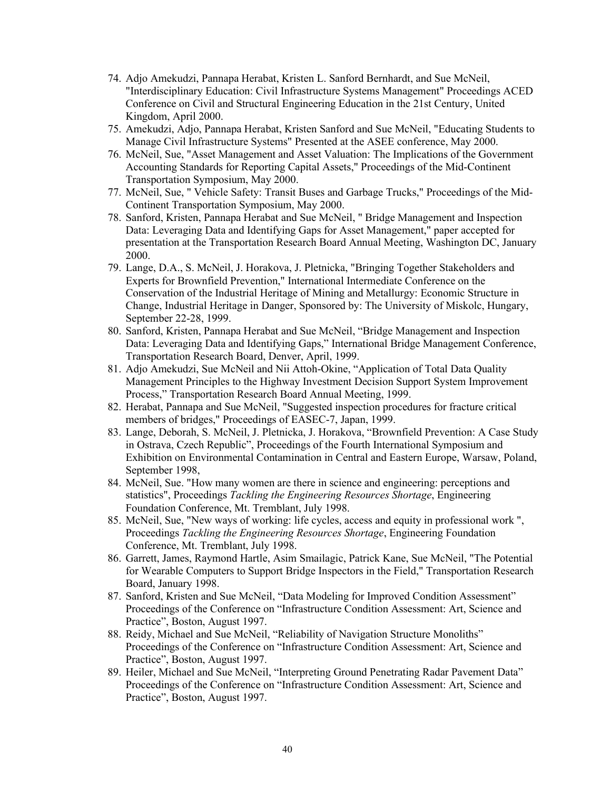- 74. Adjo Amekudzi, Pannapa Herabat, Kristen L. Sanford Bernhardt, and Sue McNeil, "Interdisciplinary Education: Civil Infrastructure Systems Management" Proceedings ACED Conference on Civil and Structural Engineering Education in the 21st Century, United Kingdom, April 2000.
- 75. Amekudzi, Adjo, Pannapa Herabat, Kristen Sanford and Sue McNeil, "Educating Students to Manage Civil Infrastructure Systems" Presented at the ASEE conference, May 2000.
- 76. McNeil, Sue, "Asset Management and Asset Valuation: The Implications of the Government Accounting Standards for Reporting Capital Assets," Proceedings of the Mid-Continent Transportation Symposium, May 2000.
- 77. McNeil, Sue, " Vehicle Safety: Transit Buses and Garbage Trucks," Proceedings of the Mid-Continent Transportation Symposium, May 2000.
- 78. Sanford, Kristen, Pannapa Herabat and Sue McNeil, " Bridge Management and Inspection Data: Leveraging Data and Identifying Gaps for Asset Management," paper accepted for presentation at the Transportation Research Board Annual Meeting, Washington DC, January 2000.
- 79. Lange, D.A., S. McNeil, J. Horakova, J. Pletnicka, "Bringing Together Stakeholders and Experts for Brownfield Prevention," International Intermediate Conference on the Conservation of the Industrial Heritage of Mining and Metallurgy: Economic Structure in Change, Industrial Heritage in Danger, Sponsored by: The University of Miskolc, Hungary, September 22-28, 1999.
- 80. Sanford, Kristen, Pannapa Herabat and Sue McNeil, "Bridge Management and Inspection Data: Leveraging Data and Identifying Gaps," International Bridge Management Conference, Transportation Research Board, Denver, April, 1999.
- 81. Adjo Amekudzi, Sue McNeil and Nii Attoh-Okine, "Application of Total Data Quality Management Principles to the Highway Investment Decision Support System Improvement Process," Transportation Research Board Annual Meeting, 1999.
- 82. Herabat, Pannapa and Sue McNeil, "Suggested inspection procedures for fracture critical members of bridges," Proceedings of EASEC-7, Japan, 1999.
- 83. Lange, Deborah, S. McNeil, J. Pletnicka, J. Horakova, "Brownfield Prevention: A Case Study in Ostrava, Czech Republic", Proceedings of the Fourth International Symposium and Exhibition on Environmental Contamination in Central and Eastern Europe, Warsaw, Poland, September 1998,
- 84. McNeil, Sue. "How many women are there in science and engineering: perceptions and statistics", Proceedings *Tackling the Engineering Resources Shortage*, Engineering Foundation Conference, Mt. Tremblant, July 1998.
- 85. McNeil, Sue, "New ways of working: life cycles, access and equity in professional work ", Proceedings *Tackling the Engineering Resources Shortage*, Engineering Foundation Conference, Mt. Tremblant, July 1998.
- 86. Garrett, James, Raymond Hartle, Asim Smailagic, Patrick Kane, Sue McNeil, "The Potential for Wearable Computers to Support Bridge Inspectors in the Field," Transportation Research Board, January 1998.
- 87. Sanford, Kristen and Sue McNeil, "Data Modeling for Improved Condition Assessment" Proceedings of the Conference on "Infrastructure Condition Assessment: Art, Science and Practice", Boston, August 1997.
- 88. Reidy, Michael and Sue McNeil, "Reliability of Navigation Structure Monoliths" Proceedings of the Conference on "Infrastructure Condition Assessment: Art, Science and Practice", Boston, August 1997.
- 89. Heiler, Michael and Sue McNeil, "Interpreting Ground Penetrating Radar Pavement Data" Proceedings of the Conference on "Infrastructure Condition Assessment: Art, Science and Practice", Boston, August 1997.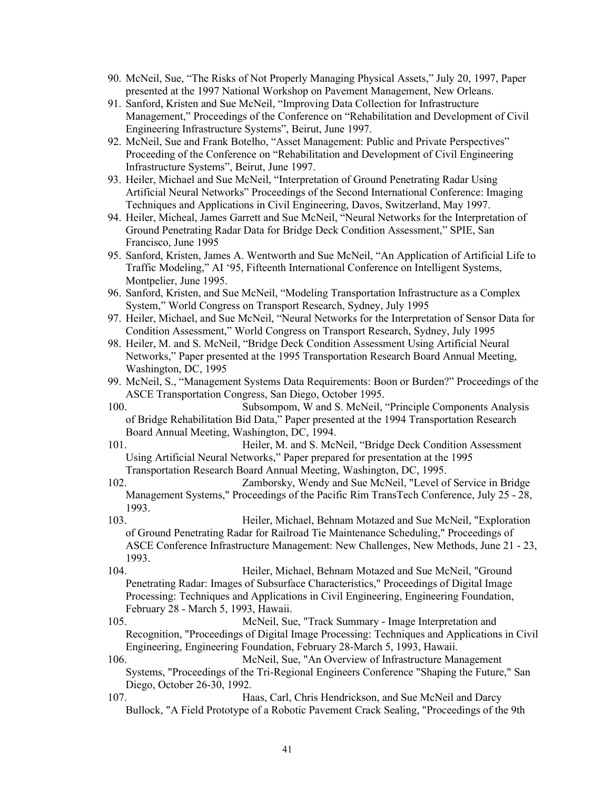- 90. McNeil, Sue, "The Risks of Not Properly Managing Physical Assets," July 20, 1997, Paper presented at the 1997 National Workshop on Pavement Management, New Orleans.
- 91. Sanford, Kristen and Sue McNeil, "Improving Data Collection for Infrastructure Management," Proceedings of the Conference on "Rehabilitation and Development of Civil Engineering Infrastructure Systems", Beirut, June 1997.
- 92. McNeil, Sue and Frank Botelho, "Asset Management: Public and Private Perspectives" Proceeding of the Conference on "Rehabilitation and Development of Civil Engineering Infrastructure Systems", Beirut, June 1997.
- 93. Heiler, Michael and Sue McNeil, "Interpretation of Ground Penetrating Radar Using Artificial Neural Networks" Proceedings of the Second International Conference: Imaging Techniques and Applications in Civil Engineering, Davos, Switzerland, May 1997.
- 94. Heiler, Micheal, James Garrett and Sue McNeil, "Neural Networks for the Interpretation of Ground Penetrating Radar Data for Bridge Deck Condition Assessment," SPIE, San Francisco, June 1995
- 95. Sanford, Kristen, James A. Wentworth and Sue McNeil, "An Application of Artificial Life to Traffic Modeling," AI '95, Fifteenth International Conference on Intelligent Systems, Montpelier, June 1995.
- 96. Sanford, Kristen, and Sue McNeil, "Modeling Transportation Infrastructure as a Complex System," World Congress on Transport Research, Sydney, July 1995
- 97. Heiler, Michael, and Sue McNeil, "Neural Networks for the Interpretation of Sensor Data for Condition Assessment," World Congress on Transport Research, Sydney, July 1995
- 98. Heiler, M. and S. McNeil, "Bridge Deck Condition Assessment Using Artificial Neural Networks," Paper presented at the 1995 Transportation Research Board Annual Meeting, Washington, DC, 1995
- 99. McNeil, S., "Management Systems Data Requirements: Boon or Burden?" Proceedings of the ASCE Transportation Congress, San Diego, October 1995.
- 100. Subsompom, W and S. McNeil, "Principle Components Analysis of Bridge Rehabilitation Bid Data," Paper presented at the 1994 Transportation Research Board Annual Meeting, Washington, DC, 1994.
- 101. Heiler, M. and S. McNeil, "Bridge Deck Condition Assessment Using Artificial Neural Networks," Paper prepared for presentation at the 1995 Transportation Research Board Annual Meeting, Washington, DC, 1995.

102. Zamborsky, Wendy and Sue McNeil, "Level of Service in Bridge Management Systems," Proceedings of the Pacific Rim TransTech Conference, July 25 - 28, 1993.

103. Heiler, Michael, Behnam Motazed and Sue McNeil, "Exploration of Ground Penetrating Radar for Railroad Tie Maintenance Scheduling," Proceedings of ASCE Conference Infrastructure Management: New Challenges, New Methods, June 21 - 23, 1993.

104. Heiler, Michael, Behnam Motazed and Sue McNeil, "Ground Penetrating Radar: Images of Subsurface Characteristics," Proceedings of Digital Image Processing: Techniques and Applications in Civil Engineering, Engineering Foundation, February 28 - March 5, 1993, Hawaii.

105. McNeil, Sue, "Track Summary - Image Interpretation and Recognition, "Proceedings of Digital Image Processing: Techniques and Applications in Civil Engineering, Engineering Foundation, February 28-March 5, 1993, Hawaii.

106. McNeil, Sue, "An Overview of Infrastructure Management Systems, "Proceedings of the Tri-Regional Engineers Conference "Shaping the Future," San Diego, October 26-30, 1992.

107. Haas, Carl, Chris Hendrickson, and Sue McNeil and Darcy Bullock, "A Field Prototype of a Robotic Pavement Crack Sealing, "Proceedings of the 9th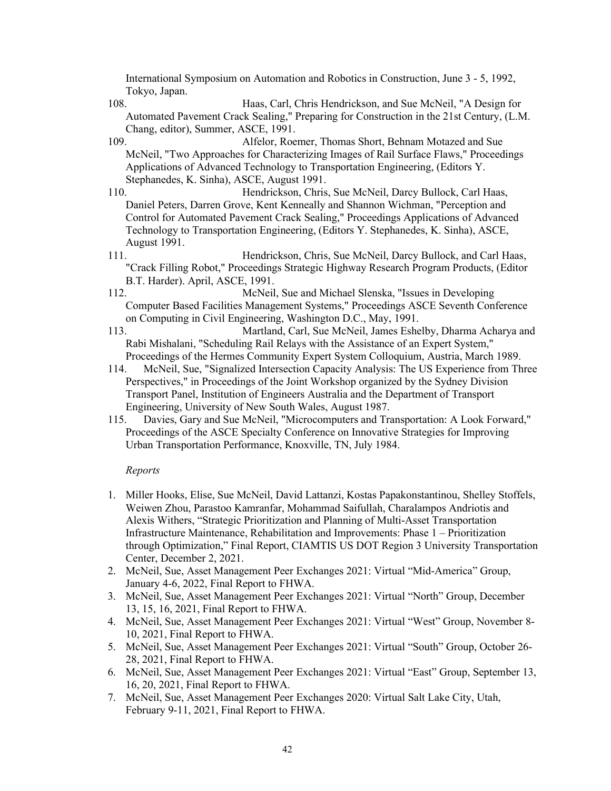International Symposium on Automation and Robotics in Construction, June 3 - 5, 1992, Tokyo, Japan.

108. Haas, Carl, Chris Hendrickson, and Sue McNeil, "A Design for Automated Pavement Crack Sealing," Preparing for Construction in the 21st Century, (L.M. Chang, editor), Summer, ASCE, 1991.

109. Alfelor, Roemer, Thomas Short, Behnam Motazed and Sue McNeil, "Two Approaches for Characterizing Images of Rail Surface Flaws," Proceedings Applications of Advanced Technology to Transportation Engineering, (Editors Y. Stephanedes, K. Sinha), ASCE, August 1991.

110. Hendrickson, Chris, Sue McNeil, Darcy Bullock, Carl Haas, Daniel Peters, Darren Grove, Kent Kenneally and Shannon Wichman, "Perception and Control for Automated Pavement Crack Sealing," Proceedings Applications of Advanced Technology to Transportation Engineering, (Editors Y. Stephanedes, K. Sinha), ASCE, August 1991.

111. Hendrickson, Chris, Sue McNeil, Darcy Bullock, and Carl Haas, "Crack Filling Robot," Proceedings Strategic Highway Research Program Products, (Editor B.T. Harder). April, ASCE, 1991.

112. McNeil, Sue and Michael Slenska, "Issues in Developing Computer Based Facilities Management Systems," Proceedings ASCE Seventh Conference on Computing in Civil Engineering, Washington D.C., May, 1991.

113. Martland, Carl, Sue McNeil, James Eshelby, Dharma Acharya and Rabi Mishalani, "Scheduling Rail Relays with the Assistance of an Expert System," Proceedings of the Hermes Community Expert System Colloquium, Austria, March 1989.

- 114. McNeil, Sue, "Signalized Intersection Capacity Analysis: The US Experience from Three Perspectives," in Proceedings of the Joint Workshop organized by the Sydney Division Transport Panel, Institution of Engineers Australia and the Department of Transport Engineering, University of New South Wales, August 1987.
- 115. Davies, Gary and Sue McNeil, "Microcomputers and Transportation: A Look Forward," Proceedings of the ASCE Specialty Conference on Innovative Strategies for Improving Urban Transportation Performance, Knoxville, TN, July 1984.

## *Reports*

- 1. Miller Hooks, Elise, Sue McNeil, David Lattanzi, Kostas Papakonstantinou, Shelley Stoffels, Weiwen Zhou, Parastoo Kamranfar, Mohammad Saifullah, Charalampos Andriotis and Alexis Withers, "Strategic Prioritization and Planning of Multi-Asset Transportation Infrastructure Maintenance, Rehabilitation and Improvements: Phase 1 – Prioritization through Optimization," Final Report, CIAMTIS US DOT Region 3 University Transportation Center, December 2, 2021.
- 2. McNeil, Sue, Asset Management Peer Exchanges 2021: Virtual "Mid-America" Group, January 4-6, 2022, Final Report to FHWA.
- 3. McNeil, Sue, Asset Management Peer Exchanges 2021: Virtual "North" Group, December 13, 15, 16, 2021, Final Report to FHWA.
- 4. McNeil, Sue, Asset Management Peer Exchanges 2021: Virtual "West" Group, November 8- 10, 2021, Final Report to FHWA.
- 5. McNeil, Sue, Asset Management Peer Exchanges 2021: Virtual "South" Group, October 26- 28, 2021, Final Report to FHWA.
- 6. McNeil, Sue, Asset Management Peer Exchanges 2021: Virtual "East" Group, September 13, 16, 20, 2021, Final Report to FHWA.
- 7. McNeil, Sue, Asset Management Peer Exchanges 2020: Virtual Salt Lake City, Utah, February 9-11, 2021, Final Report to FHWA.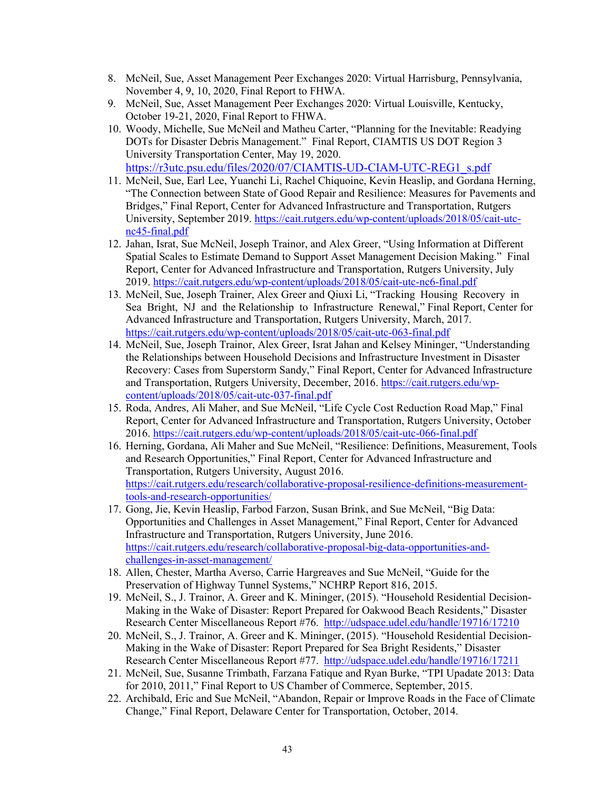- 8. McNeil, Sue, Asset Management Peer Exchanges 2020: Virtual Harrisburg, Pennsylvania, November 4, 9, 10, 2020, Final Report to FHWA.
- 9. McNeil, Sue, Asset Management Peer Exchanges 2020: Virtual Louisville, Kentucky, October 19-21, 2020, Final Report to FHWA.
- 10. Woody, Michelle, Sue McNeil and Matheu Carter, "Planning for the Inevitable: Readying DOTs for Disaster Debris Management." Final Report, CIAMTIS US DOT Region 3 University Transportation Center, May 19, 2020. [https://r3utc.psu.edu/files/2020/07/CIAMTIS-UD-CIAM-UTC-REG1\\_s.pdf](https://r3utc.psu.edu/files/2020/07/CIAMTIS-UD-CIAM-UTC-REG1_s.pdf)
- 11. McNeil, Sue, Earl Lee, Yuanchi Li, Rachel Chiquoine, Kevin Heaslip, and Gordana Herning, "The Connection between State of Good Repair and Resilience: Measures for Pavements and Bridges," Final Report, Center for Advanced Infrastructure and Transportation, Rutgers University, September 2019. [https://cait.rutgers.edu/wp-content/uploads/2018/05/cait-utc](https://cait.rutgers.edu/wp-content/uploads/2018/05/cait-utc-nc45-final.pdf)[nc45-final.pdf](https://cait.rutgers.edu/wp-content/uploads/2018/05/cait-utc-nc45-final.pdf)
- 12. Jahan, Israt, Sue McNeil, Joseph Trainor, and Alex Greer, "Using Information at Different Spatial Scales to Estimate Demand to Support Asset Management Decision Making." Final Report, Center for Advanced Infrastructure and Transportation, Rutgers University, July 2019.<https://cait.rutgers.edu/wp-content/uploads/2018/05/cait-utc-nc6-final.pdf>
- 13. McNeil, Sue, Joseph Trainer, Alex Greer and Qiuxi Li, "Tracking Housing Recovery in Sea Bright, NJ and the Relationship to Infrastructure Renewal," Final Report, Center for Advanced Infrastructure and Transportation, Rutgers University, March, 2017. <https://cait.rutgers.edu/wp-content/uploads/2018/05/cait-utc-063-final.pdf>
- 14. McNeil, Sue, Joseph Trainor, Alex Greer, Israt Jahan and Kelsey Mininger, "Understanding the Relationships between Household Decisions and Infrastructure Investment in Disaster Recovery: Cases from Superstorm Sandy," Final Report, Center for Advanced Infrastructure and Transportation, Rutgers University, December, 2016. [https://cait.rutgers.edu/wp](https://cait.rutgers.edu/wp-content/uploads/2018/05/cait-utc-037-final.pdf)[content/uploads/2018/05/cait-utc-037-final.pdf](https://cait.rutgers.edu/wp-content/uploads/2018/05/cait-utc-037-final.pdf)
- 15. Roda, Andres, Ali Maher, and Sue McNeil, "Life Cycle Cost Reduction Road Map," Final Report, Center for Advanced Infrastructure and Transportation, Rutgers University, October 2016.<https://cait.rutgers.edu/wp-content/uploads/2018/05/cait-utc-066-final.pdf>
- 16. Herning, Gordana, Ali Maher and Sue McNeil, "Resilience: Definitions, Measurement, Tools and Research Opportunities," Final Report, Center for Advanced Infrastructure and Transportation, Rutgers University, August 2016. [https://cait.rutgers.edu/research/collaborative-proposal-resilience-definitions-measurement](https://cait.rutgers.edu/research/collaborative-proposal-resilience-definitions-measurement-tools-and-research-opportunities/)[tools-and-research-opportunities/](https://cait.rutgers.edu/research/collaborative-proposal-resilience-definitions-measurement-tools-and-research-opportunities/)
- 17. Gong, Jie, Kevin Heaslip, Farbod Farzon, Susan Brink, and Sue McNeil, "Big Data: Opportunities and Challenges in Asset Management," Final Report, Center for Advanced Infrastructure and Transportation, Rutgers University, June 2016. [https://cait.rutgers.edu/research/collaborative-proposal-big-data-opportunities-and](https://cait.rutgers.edu/research/collaborative-proposal-big-data-opportunities-and-challenges-in-asset-management/)[challenges-in-asset-management/](https://cait.rutgers.edu/research/collaborative-proposal-big-data-opportunities-and-challenges-in-asset-management/)
- 18. Allen, Chester, Martha Averso, Carrie Hargreaves and Sue McNeil, "Guide for the Preservation of Highway Tunnel Systems," NCHRP Report 816, 2015.
- 19. McNeil, S., J. Trainor, A. Greer and K. Mininger, (2015). "Household Residential Decision-Making in the Wake of Disaster: Report Prepared for Oakwood Beach Residents," Disaster Research Center Miscellaneous Report #76. http://udspace.udel.edu/handle/19716/17210
- 20. McNeil, S., J. Trainor, A. Greer and K. Mininger, (2015). "Household Residential Decision-Making in the Wake of Disaster: Report Prepared for Sea Bright Residents," Disaster Research Center Miscellaneous Report #77. <http://udspace.udel.edu/handle/19716/17211>
- 21. McNeil, Sue, Susanne Trimbath, Farzana Fatique and Ryan Burke, "TPI Upadate 2013: Data for 2010, 2011," Final Report to US Chamber of Commerce, September, 2015.
- 22. Archibald, Eric and Sue McNeil, "Abandon, Repair or Improve Roads in the Face of Climate Change," Final Report, Delaware Center for Transportation, October, 2014.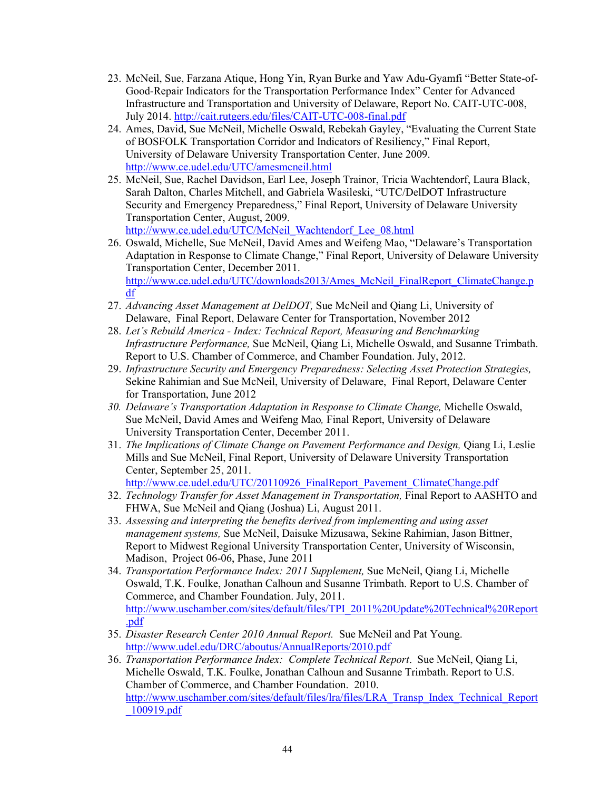- 23. McNeil, Sue, Farzana Atique, Hong Yin, Ryan Burke and Yaw Adu-Gyamfi "Better State-of-Good-Repair Indicators for the Transportation Performance Index" Center for Advanced Infrastructure and Transportation and University of Delaware, Report No. CAIT-UTC-008, July 2014.<http://cait.rutgers.edu/files/CAIT-UTC-008-final.pdf>
- 24. Ames, David, Sue McNeil, Michelle Oswald, Rebekah Gayley, "Evaluating the Current State of BOSFOLK Transportation Corridor and Indicators of Resiliency," Final Report, University of Delaware University Transportation Center, June 2009. <http://www.ce.udel.edu/UTC/amesmcneil.html>
- 25. McNeil, Sue, Rachel Davidson, Earl Lee, Joseph Trainor, Tricia Wachtendorf, Laura Black, Sarah Dalton, Charles Mitchell, and Gabriela Wasileski, "UTC/DelDOT Infrastructure Security and Emergency Preparedness," Final Report, University of Delaware University Transportation Center, August, 2009. [http://www.ce.udel.edu/UTC/McNeil\\_Wachtendorf\\_Lee\\_08.html](http://www.ce.udel.edu/UTC/McNeil_Wachtendorf_Lee_08.html)

26. Oswald, Michelle, Sue McNeil, David Ames and Weifeng Mao, "Delaware's Transportation Adaptation in Response to Climate Change," Final Report, University of Delaware University Transportation Center, December 2011.

[http://www.ce.udel.edu/UTC/downloads2013/Ames\\_McNeil\\_FinalReport\\_ClimateChange.p](http://www.ce.udel.edu/UTC/downloads2013/Ames_McNeil_FinalReport_ClimateChange.pdf) [df](http://www.ce.udel.edu/UTC/downloads2013/Ames_McNeil_FinalReport_ClimateChange.pdf)

- 27. *Advancing Asset Management at DelDOT,* Sue McNeil and Qiang Li, University of Delaware, Final Report, Delaware Center for Transportation, November 2012
- 28. *Let's Rebuild America Index: Technical Report, Measuring and Benchmarking Infrastructure Performance,* Sue McNeil, Qiang Li, Michelle Oswald, and Susanne Trimbath. Report to U.S. Chamber of Commerce, and Chamber Foundation. July, 2012.
- 29. *Infrastructure Security and Emergency Preparedness: Selecting Asset Protection Strategies,*  Sekine Rahimian and Sue McNeil, University of Delaware, Final Report, Delaware Center for Transportation, June 2012
- *30. Delaware's Transportation Adaptation in Response to Climate Change,* Michelle Oswald, Sue McNeil, David Ames and Weifeng Mao*,* Final Report, University of Delaware University Transportation Center, December 2011.
- 31. *The Implications of Climate Change on Pavement Performance and Design,* Qiang Li, Leslie Mills and Sue McNeil, Final Report, University of Delaware University Transportation Center, September 25, 2011. [http://www.ce.udel.edu/UTC/20110926\\_FinalReport\\_Pavement\\_ClimateChange.pdf](http://www.ce.udel.edu/UTC/20110926_FinalReport_Pavement_ClimateChange.pdf)
- 32. *Technology Transfer for Asset Management in Transportation,* Final Report to AASHTO and FHWA, Sue McNeil and Qiang (Joshua) Li, August 2011.
- 33. *Assessing and interpreting the benefits derived from implementing and using asset management systems,* Sue McNeil, Daisuke Mizusawa, Sekine Rahimian, Jason Bittner, Report to Midwest Regional University Transportation Center, University of Wisconsin, Madison, Project 06-06, Phase, June 2011
- 34. *Transportation Performance Index: 2011 Supplement,* Sue McNeil, Qiang Li, Michelle Oswald, T.K. Foulke, Jonathan Calhoun and Susanne Trimbath. Report to U.S. Chamber of Commerce, and Chamber Foundation. July, 2011. [http://www.uschamber.com/sites/default/files/TPI\\_2011%20Update%20Technical%20Report](http://www.uschamber.com/sites/default/files/TPI_2011%20Update%20Technical%20Report.pdf) [.pdf](http://www.uschamber.com/sites/default/files/TPI_2011%20Update%20Technical%20Report.pdf)
- 35. *Disaster Research Center 2010 Annual Report.* Sue McNeil and Pat Young. <http://www.udel.edu/DRC/aboutus/AnnualReports/2010.pdf>
- 36. *Transportation Performance Index: Complete Technical Report*. Sue McNeil, Qiang Li, Michelle Oswald, T.K. Foulke, Jonathan Calhoun and Susanne Trimbath. Report to U.S. Chamber of Commerce, and Chamber Foundation. 2010. [http://www.uschamber.com/sites/default/files/lra/files/LRA\\_Transp\\_Index\\_Technical\\_Report](http://www.uschamber.com/sites/default/files/lra/files/LRA_Transp_Index_Technical_Report_100919.pdf) [\\_100919.pdf](http://www.uschamber.com/sites/default/files/lra/files/LRA_Transp_Index_Technical_Report_100919.pdf)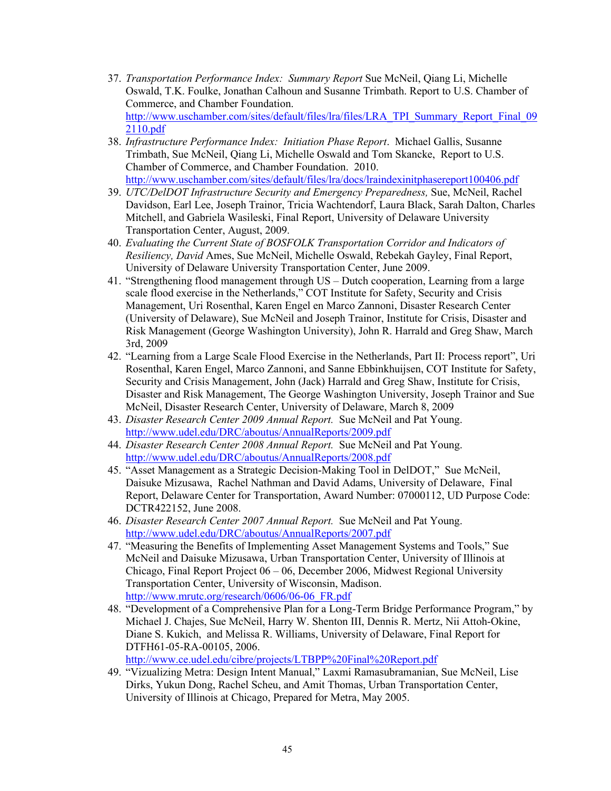- 37. *Transportation Performance Index: Summary Report* Sue McNeil, Qiang Li, Michelle Oswald, T.K. Foulke, Jonathan Calhoun and Susanne Trimbath. Report to U.S. Chamber of Commerce, and Chamber Foundation. [http://www.uschamber.com/sites/default/files/lra/files/LRA\\_TPI\\_Summary\\_Report\\_Final\\_09](http://www.uschamber.com/sites/default/files/lra/files/LRA_TPI_Summary_Report_Final_092110.pdf) [2110.pdf](http://www.uschamber.com/sites/default/files/lra/files/LRA_TPI_Summary_Report_Final_092110.pdf)
- 38. *Infrastructure Performance Index: Initiation Phase Report*. Michael Gallis, Susanne Trimbath, Sue McNeil, Qiang Li, Michelle Oswald and Tom Skancke, Report to U.S. Chamber of Commerce, and Chamber Foundation. 2010. <http://www.uschamber.com/sites/default/files/lra/docs/lraindexinitphasereport100406.pdf>
- 39. *UTC/DelDOT Infrastructure Security and Emergency Preparedness,* Sue, McNeil, Rachel Davidson, Earl Lee, Joseph Trainor, Tricia Wachtendorf, Laura Black, Sarah Dalton, Charles Mitchell, and Gabriela Wasileski, Final Report, University of Delaware University Transportation Center, August, 2009.
- 40. *Evaluating the Current State of BOSFOLK Transportation Corridor and Indicators of Resiliency, David* Ames, Sue McNeil, Michelle Oswald, Rebekah Gayley, Final Report, University of Delaware University Transportation Center, June 2009.
- 41. "Strengthening flood management through US Dutch cooperation, Learning from a large scale flood exercise in the Netherlands," COT Institute for Safety, Security and Crisis Management, Uri Rosenthal, Karen Engel en Marco Zannoni, Disaster Research Center (University of Delaware), Sue McNeil and Joseph Trainor, Institute for Crisis, Disaster and Risk Management (George Washington University), John R. Harrald and Greg Shaw, March 3rd, 2009
- 42. "Learning from a Large Scale Flood Exercise in the Netherlands, Part II: Process report", Uri Rosenthal, Karen Engel, Marco Zannoni, and Sanne Ebbinkhuijsen, COT Institute for Safety, Security and Crisis Management, John (Jack) Harrald and Greg Shaw, Institute for Crisis, Disaster and Risk Management, The George Washington University, Joseph Trainor and Sue McNeil, Disaster Research Center, University of Delaware, March 8, 2009
- 43. *Disaster Research Center 2009 Annual Report.* Sue McNeil and Pat Young. <http://www.udel.edu/DRC/aboutus/AnnualReports/2009.pdf>
- 44. *Disaster Research Center 2008 Annual Report.* Sue McNeil and Pat Young. <http://www.udel.edu/DRC/aboutus/AnnualReports/2008.pdf>
- 45. "Asset Management as a Strategic Decision-Making Tool in DelDOT," Sue McNeil, Daisuke Mizusawa, Rachel Nathman and David Adams, University of Delaware, Final Report, Delaware Center for Transportation, Award Number: 07000112, UD Purpose Code: DCTR422152, June 2008.
- 46. *Disaster Research Center 2007 Annual Report.* Sue McNeil and Pat Young. <http://www.udel.edu/DRC/aboutus/AnnualReports/2007.pdf>
- 47. "Measuring the Benefits of Implementing Asset Management Systems and Tools," Sue McNeil and Daisuke Mizusawa, Urban Transportation Center, University of Illinois at Chicago, Final Report Project 06 – 06, December 2006, Midwest Regional University Transportation Center, University of Wisconsin, Madison. [http://www.mrutc.org/research/0606/06-06\\_FR.pdf](http://www.mrutc.org/research/0606/06-06_FR.pdf)
- 48. "Development of a Comprehensive Plan for a Long-Term Bridge Performance Program," by Michael J. Chajes, Sue McNeil, Harry W. Shenton III, Dennis R. Mertz, Nii Attoh-Okine, Diane S. Kukich, and Melissa R. Williams, University of Delaware, Final Report for DTFH61-05-RA-00105, 2006.

<http://www.ce.udel.edu/cibre/projects/LTBPP%20Final%20Report.pdf>

49. "Vizualizing Metra: Design Intent Manual," Laxmi Ramasubramanian, Sue McNeil, Lise Dirks, Yukun Dong, Rachel Scheu, and Amit Thomas, Urban Transportation Center, University of Illinois at Chicago, Prepared for Metra, May 2005.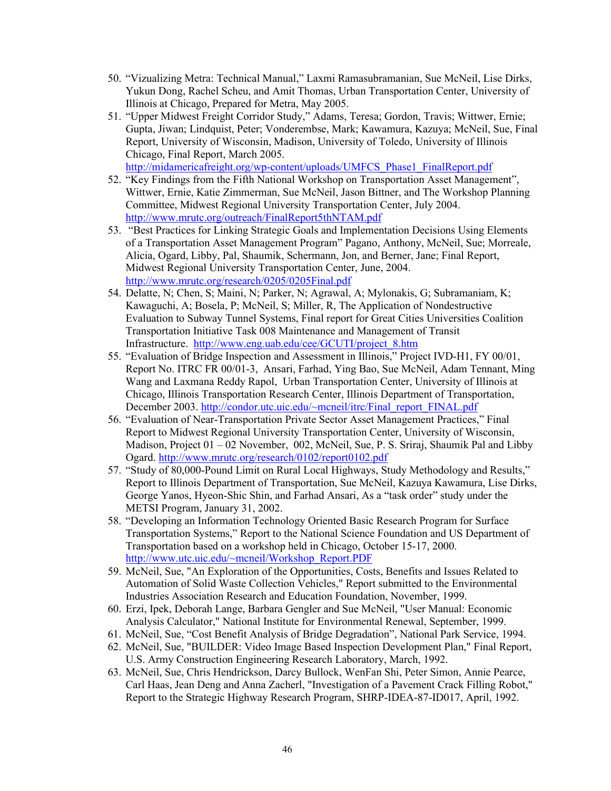- 50. "Vizualizing Metra: Technical Manual," Laxmi Ramasubramanian, Sue McNeil, Lise Dirks, Yukun Dong, Rachel Scheu, and Amit Thomas, Urban Transportation Center, University of Illinois at Chicago, Prepared for Metra, May 2005.
- 51. "Upper Midwest Freight Corridor Study," Adams, Teresa; Gordon, Travis; Wittwer, Ernie; Gupta, Jiwan; Lindquist, Peter; Vonderembse, Mark; Kawamura, Kazuya; McNeil, Sue, Final Report, University of Wisconsin, Madison, University of Toledo, University of Illinois Chicago, Final Report, March 2005.

[http://midamericafreight.org/wp-content/uploads/UMFCS\\_Phase1\\_FinalReport.pdf](http://midamericafreight.org/wp-content/uploads/UMFCS_Phase1_FinalReport.pdf) 

- 52. "Key Findings from the Fifth National Workshop on Transportation Asset Management", Wittwer, Ernie, Katie Zimmerman, Sue McNeil, Jason Bittner, and The Workshop Planning Committee, Midwest Regional University Transportation Center, July 2004. <http://www.mrutc.org/outreach/FinalReport5thNTAM.pdf>
- 53. "Best Practices for Linking Strategic Goals and Implementation Decisions Using Elements of a Transportation Asset Management Program" Pagano, Anthony, McNeil, Sue; Morreale, Alicia, Ogard, Libby, Pal, Shaumik, Schermann, Jon, and Berner, Jane; Final Report, Midwest Regional University Transportation Center, June, 2004. <http://www.mrutc.org/research/0205/0205Final.pdf>
- 54. Delatte, N; Chen, S; Maini, N; Parker, N; Agrawal, A; Mylonakis, G; Subramaniam, K; Kawaguchi, A; Bosela, P; McNeil, S; Miller, R, The Application of Nondestructive Evaluation to Subway Tunnel Systems, Final report for Great Cities Universities Coalition Transportation Initiative Task 008 Maintenance and Management of Transit Infrastructure. [http://www.eng.uab.edu/cee/GCUTI/project\\_8.htm](http://www.eng.uab.edu/cee/GCUTI/project_8.htm)
- 55. "Evaluation of Bridge Inspection and Assessment in Illinois," Project IVD-H1, FY 00/01, Report No. ITRC FR 00/01-3, Ansari, Farhad, Ying Bao, Sue McNeil, Adam Tennant, Ming Wang and Laxmana Reddy Rapol, Urban Transportation Center, University of Illinois at Chicago, Illinois Transportation Research Center, Illinois Department of Transportation, December 2003. [http://condor.utc.uic.edu/~mcneil/itrc/Final\\_report\\_FINAL.pdf](http://condor.utc.uic.edu/%7Emcneil/itrc/Final_report_FINAL.pdf)
- 56. "Evaluation of Near-Transportation Private Sector Asset Management Practices," Final Report to Midwest Regional University Transportation Center, University of Wisconsin, Madison, Project 01 – 02 November, 002, McNeil, Sue, P. S. Sriraj, Shaumik Pal and Libby Ogard.<http://www.mrutc.org/research/0102/report0102.pdf>
- 57. "Study of 80,000-Pound Limit on Rural Local Highways, Study Methodology and Results," Report to Illinois Department of Transportation, Sue McNeil, Kazuya Kawamura, Lise Dirks, George Yanos, Hyeon-Shic Shin, and Farhad Ansari, As a "task order" study under the METSI Program, January 31, 2002.
- 58. "Developing an Information Technology Oriented Basic Research Program for Surface Transportation Systems," Report to the National Science Foundation and US Department of Transportation based on a workshop held in Chicago, October 15-17, 2000. [http://www.utc.uic.edu/~mcneil/Workshop\\_Report.PDF](http://www.utc.uic.edu/%7Emcneil/)
- 59. McNeil, Sue, "An Exploration of the Opportunities, Costs, Benefits and Issues Related to Automation of Solid Waste Collection Vehicles," Report submitted to the Environmental Industries Association Research and Education Foundation, November, 1999.
- 60. Erzi, Ipek, Deborah Lange, Barbara Gengler and Sue McNeil, "User Manual: Economic Analysis Calculator," National Institute for Environmental Renewal, September, 1999.
- 61. McNeil, Sue, "Cost Benefit Analysis of Bridge Degradation", National Park Service, 1994.
- 62. McNeil, Sue, "BUILDER: Video Image Based Inspection Development Plan," Final Report, U.S. Army Construction Engineering Research Laboratory, March, 1992.
- 63. McNeil, Sue, Chris Hendrickson, Darcy Bullock, WenFan Shi, Peter Simon, Annie Pearce, Carl Haas, Jean Deng and Anna Zacherl, "Investigation of a Pavement Crack Filling Robot," Report to the Strategic Highway Research Program, SHRP-IDEA-87-ID017, April, 1992.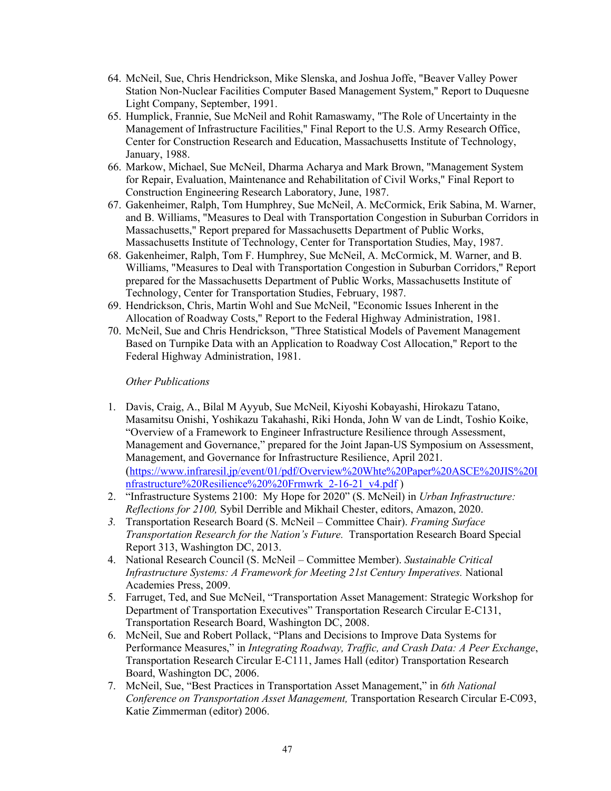- 64. McNeil, Sue, Chris Hendrickson, Mike Slenska, and Joshua Joffe, "Beaver Valley Power Station Non-Nuclear Facilities Computer Based Management System," Report to Duquesne Light Company, September, 1991.
- 65. Humplick, Frannie, Sue McNeil and Rohit Ramaswamy, "The Role of Uncertainty in the Management of Infrastructure Facilities," Final Report to the U.S. Army Research Office, Center for Construction Research and Education, Massachusetts Institute of Technology, January, 1988.
- 66. Markow, Michael, Sue McNeil, Dharma Acharya and Mark Brown, "Management System for Repair, Evaluation, Maintenance and Rehabilitation of Civil Works," Final Report to Construction Engineering Research Laboratory, June, 1987.
- 67. Gakenheimer, Ralph, Tom Humphrey, Sue McNeil, A. McCormick, Erik Sabina, M. Warner, and B. Williams, "Measures to Deal with Transportation Congestion in Suburban Corridors in Massachusetts," Report prepared for Massachusetts Department of Public Works, Massachusetts Institute of Technology, Center for Transportation Studies, May, 1987.
- 68. Gakenheimer, Ralph, Tom F. Humphrey, Sue McNeil, A. McCormick, M. Warner, and B. Williams, "Measures to Deal with Transportation Congestion in Suburban Corridors," Report prepared for the Massachusetts Department of Public Works, Massachusetts Institute of Technology, Center for Transportation Studies, February, 1987.
- 69. Hendrickson, Chris, Martin Wohl and Sue McNeil, "Economic Issues Inherent in the Allocation of Roadway Costs," Report to the Federal Highway Administration, 1981.
- 70. McNeil, Sue and Chris Hendrickson, "Three Statistical Models of Pavement Management Based on Turnpike Data with an Application to Roadway Cost Allocation," Report to the Federal Highway Administration, 1981.

## *Other Publications*

- 1. Davis, Craig, A., Bilal M Ayyub, Sue McNeil, Kiyoshi Kobayashi, Hirokazu Tatano, Masamitsu Onishi, Yoshikazu Takahashi, Riki Honda, John W van de Lindt, Toshio Koike, "Overview of a Framework to Engineer Infrastructure Resilience through Assessment, Management and Governance," prepared for the Joint Japan-US Symposium on Assessment, Management, and Governance for Infrastructure Resilience, April 2021. [\(https://www.infraresil.jp/event/01/pdf/Overview%20Whte%20Paper%20ASCE%20JIS%20I](https://www.infraresil.jp/event/01/pdf/Overview%20Whte%20Paper%20ASCE%20JIS%20Infrastructure%20Resilience%20%20Frmwrk_2-16-21_v4.pdf) [nfrastructure%20Resilience%20%20Frmwrk\\_2-16-21\\_v4.pdf](https://www.infraresil.jp/event/01/pdf/Overview%20Whte%20Paper%20ASCE%20JIS%20Infrastructure%20Resilience%20%20Frmwrk_2-16-21_v4.pdf) )
- 2. "Infrastructure Systems 2100: My Hope for 2020" (S. McNeil) in *Urban Infrastructure: Reflections for 2100,* Sybil Derrible and Mikhail Chester, editors, Amazon, 2020.
- *3.* Transportation Research Board (S. McNeil Committee Chair). *Framing Surface Transportation Research for the Nation's Future.* Transportation Research Board Special Report 313, Washington DC, 2013.
- 4. National Research Council (S. McNeil Committee Member). *Sustainable Critical Infrastructure Systems: A Framework for Meeting 21st Century Imperatives.* National Academies Press, 2009.
- 5. Farruget, Ted, and Sue McNeil, "Transportation Asset Management: Strategic Workshop for Department of Transportation Executives" Transportation Research Circular E-C131, Transportation Research Board, Washington DC, 2008.
- 6. McNeil, Sue and Robert Pollack, "Plans and Decisions to Improve Data Systems for Performance Measures," in *Integrating Roadway, Traffic, and Crash Data: A Peer Exchange*, Transportation Research Circular E-C111, James Hall (editor) Transportation Research Board, Washington DC, 2006.
- 7. McNeil, Sue, "Best Practices in Transportation Asset Management," in *6th National Conference on Transportation Asset Management,* Transportation Research Circular E-C093, Katie Zimmerman (editor) 2006.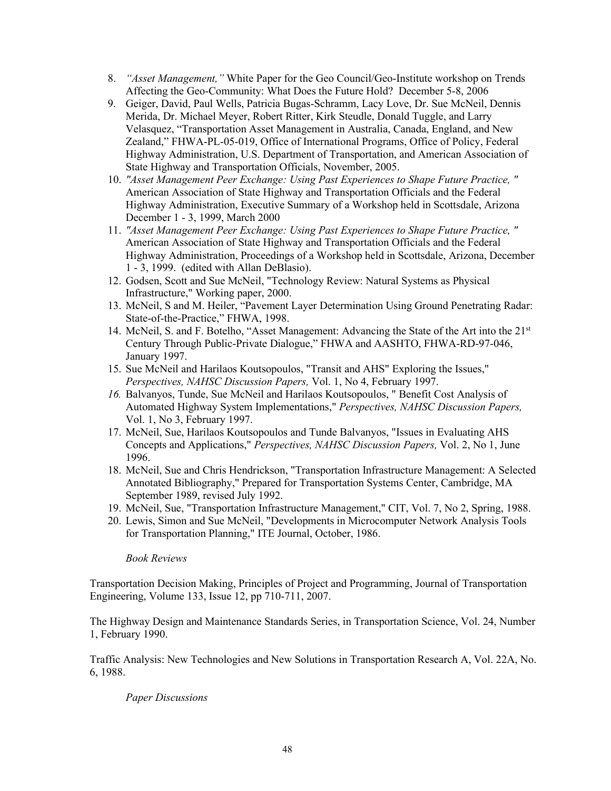- 8. *"Asset Management,"* White Paper for the Geo Council/Geo-Institute workshop on Trends Affecting the Geo-Community: What Does the Future Hold? December 5-8, 2006
- 9. Geiger, David, Paul Wells, Patricia Bugas-Schramm, Lacy Love, Dr. Sue McNeil, Dennis Merida, Dr. Michael Meyer, Robert Ritter, Kirk Steudle, Donald Tuggle, and Larry Velasquez, "Transportation Asset Management in Australia, Canada, England, and New Zealand," FHWA-PL-05-019, Office of International Programs, Office of Policy, Federal Highway Administration, U.S. Department of Transportation, and American Association of State Highway and Transportation Officials, November, 2005.
- 10. *"Asset Management Peer Exchange: Using Past Experiences to Shape Future Practice, "*  American Association of State Highway and Transportation Officials and the Federal Highway Administration, Executive Summary of a Workshop held in Scottsdale, Arizona December 1 - 3, 1999, March 2000
- 11. *"Asset Management Peer Exchange: Using Past Experiences to Shape Future Practice, "*  American Association of State Highway and Transportation Officials and the Federal Highway Administration, Proceedings of a Workshop held in Scottsdale, Arizona, December 1 - 3, 1999. (edited with Allan DeBlasio).
- 12. Godsen, Scott and Sue McNeil, "Technology Review: Natural Systems as Physical Infrastructure," Working paper, 2000.
- 13. McNeil, S and M. Heiler, "Pavement Layer Determination Using Ground Penetrating Radar: State-of-the-Practice," FHWA, 1998.
- 14. McNeil, S. and F. Botelho, "Asset Management: Advancing the State of the Art into the 21<sup>st</sup> Century Through Public-Private Dialogue," FHWA and AASHTO, FHWA-RD-97-046, January 1997.
- 15. Sue McNeil and Harilaos Koutsopoulos, "Transit and AHS" Exploring the Issues," *Perspectives, NAHSC Discussion Papers,* Vol. 1, No 4, February 1997.
- *16.* Balvanyos, Tunde, Sue McNeil and Harilaos Koutsopoulos, " Benefit Cost Analysis of Automated Highway System Implementations," *Perspectives, NAHSC Discussion Papers,* Vol. 1, No 3, February 1997.
- 17. McNeil, Sue, Harilaos Koutsopoulos and Tunde Balvanyos, "Issues in Evaluating AHS Concepts and Applications," *Perspectives, NAHSC Discussion Papers,* Vol. 2, No 1, June 1996.
- 18. McNeil, Sue and Chris Hendrickson, "Transportation Infrastructure Management: A Selected Annotated Bibliography," Prepared for Transportation Systems Center, Cambridge, MA September 1989, revised July 1992.
- 19. McNeil, Sue, "Transportation Infrastructure Management," CIT, Vol. 7, No 2, Spring, 1988.
- 20. Lewis, Simon and Sue McNeil, "Developments in Microcomputer Network Analysis Tools for Transportation Planning," ITE Journal, October, 1986.

## *Book Reviews*

Transportation Decision Making, Principles of Project and Programming, Journal of Transportation Engineering, Volume 133, Issue 12, pp 710-711, 2007.

The Highway Design and Maintenance Standards Series, in Transportation Science, Vol. 24, Number 1, February 1990.

Traffic Analysis: New Technologies and New Solutions in Transportation Research A, Vol. 22A, No. 6, 1988.

## *Paper Discussions*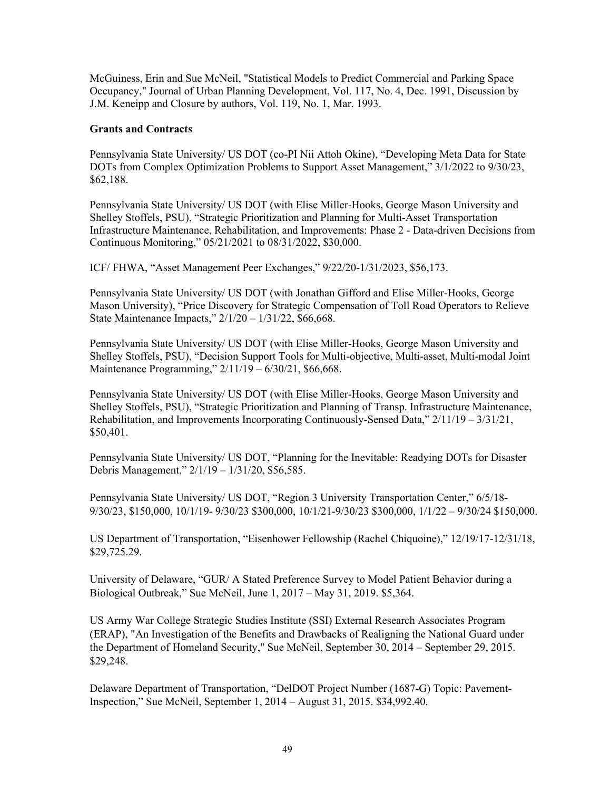McGuiness, Erin and Sue McNeil, "Statistical Models to Predict Commercial and Parking Space Occupancy," Journal of Urban Planning Development, Vol. 117, No. 4, Dec. 1991, Discussion by J.M. Keneipp and Closure by authors, Vol. 119, No. 1, Mar. 1993.

## **Grants and Contracts**

Pennsylvania State University/ US DOT (co-PI Nii Attoh Okine), "Developing Meta Data for State DOTs from Complex Optimization Problems to Support Asset Management," 3/1/2022 to 9/30/23, \$62,188.

Pennsylvania State University/ US DOT (with Elise Miller-Hooks, George Mason University and Shelley Stoffels, PSU), "Strategic Prioritization and Planning for Multi-Asset Transportation Infrastructure Maintenance, Rehabilitation, and Improvements: Phase 2 - Data-driven Decisions from Continuous Monitoring," 05/21/2021 to 08/31/2022, \$30,000.

ICF/ FHWA, "Asset Management Peer Exchanges," 9/22/20-1/31/2023, \$56,173.

Pennsylvania State University/ US DOT (with Jonathan Gifford and Elise Miller-Hooks, George Mason University), "Price Discovery for Strategic Compensation of Toll Road Operators to Relieve State Maintenance Impacts," 2/1/20 – 1/31/22, \$66,668.

Pennsylvania State University/ US DOT (with Elise Miller-Hooks, George Mason University and Shelley Stoffels, PSU), "Decision Support Tools for Multi-objective, Multi-asset, Multi-modal Joint Maintenance Programming," 2/11/19 – 6/30/21, \$66,668.

Pennsylvania State University/ US DOT (with Elise Miller-Hooks, George Mason University and Shelley Stoffels, PSU), "Strategic Prioritization and Planning of Transp. Infrastructure Maintenance, Rehabilitation, and Improvements Incorporating Continuously-Sensed Data," 2/11/19 – 3/31/21, \$50,401.

Pennsylvania State University/ US DOT, "Planning for the Inevitable: Readying DOTs for Disaster Debris Management," 2/1/19 – 1/31/20, \$56,585.

Pennsylvania State University/ US DOT, "Region 3 University Transportation Center," 6/5/18- 9/30/23, \$150,000, 10/1/19- 9/30/23 \$300,000, 10/1/21-9/30/23 \$300,000, 1/1/22 – 9/30/24 \$150,000.

US Department of Transportation, "Eisenhower Fellowship (Rachel Chiquoine)," 12/19/17-12/31/18, \$29,725.29.

University of Delaware, "GUR/ A Stated Preference Survey to Model Patient Behavior during a Biological Outbreak," Sue McNeil, June 1, 2017 – May 31, 2019. \$5,364.

US Army War College Strategic Studies Institute (SSI) External Research Associates Program (ERAP), "An Investigation of the Benefits and Drawbacks of Realigning the National Guard under the Department of Homeland Security," Sue McNeil, September 30, 2014 – September 29, 2015. \$29,248.

Delaware Department of Transportation, "DelDOT Project Number (1687-G) Topic: Pavement-Inspection," Sue McNeil, September 1, 2014 – August 31, 2015. \$34,992.40.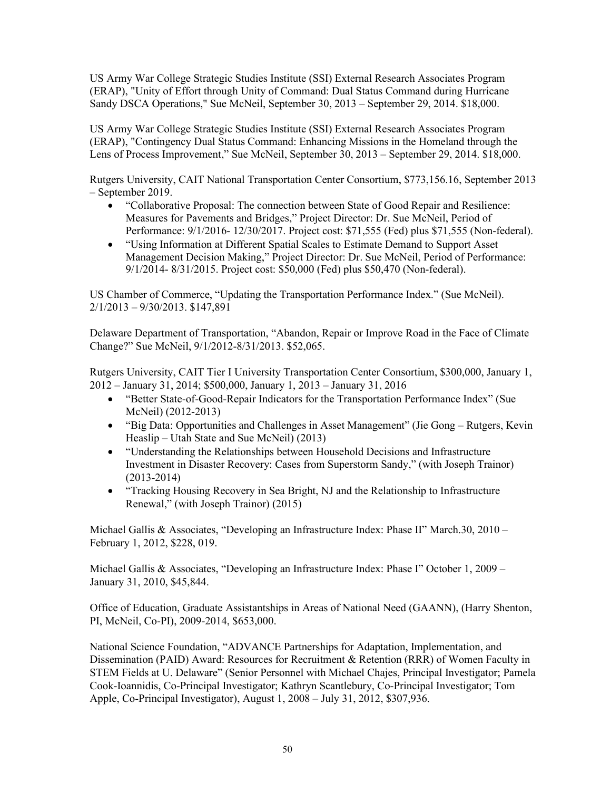US Army War College Strategic Studies Institute (SSI) External Research Associates Program (ERAP), "Unity of Effort through Unity of Command: Dual Status Command during Hurricane Sandy DSCA Operations," Sue McNeil, September 30, 2013 – September 29, 2014. \$18,000.

US Army War College Strategic Studies Institute (SSI) External Research Associates Program (ERAP), "Contingency Dual Status Command: Enhancing Missions in the Homeland through the Lens of Process Improvement," Sue McNeil, September 30, 2013 – September 29, 2014. \$18,000.

Rutgers University, CAIT National Transportation Center Consortium, \$773,156.16, September 2013 – September 2019.

- "Collaborative Proposal: The connection between State of Good Repair and Resilience: Measures for Pavements and Bridges," Project Director: Dr. Sue McNeil, Period of Performance: 9/1/2016- 12/30/2017. Project cost: \$71,555 (Fed) plus \$71,555 (Non-federal).
- "Using Information at Different Spatial Scales to Estimate Demand to Support Asset Management Decision Making," Project Director: Dr. Sue McNeil, Period of Performance: 9/1/2014- 8/31/2015. Project cost: \$50,000 (Fed) plus \$50,470 (Non-federal).

US Chamber of Commerce, "Updating the Transportation Performance Index." (Sue McNeil). 2/1/2013 – 9/30/2013. \$147,891

Delaware Department of Transportation, "Abandon, Repair or Improve Road in the Face of Climate Change?" Sue McNeil, 9/1/2012-8/31/2013. \$52,065.

Rutgers University, CAIT Tier I University Transportation Center Consortium, \$300,000, January 1, 2012 – January 31, 2014; \$500,000, January 1, 2013 – January 31, 2016

- "Better State-of-Good-Repair Indicators for the Transportation Performance Index" (Sue McNeil) (2012-2013)
- "Big Data: Opportunities and Challenges in Asset Management" (Jie Gong Rutgers, Kevin Heaslip – Utah State and Sue McNeil) (2013)
- "Understanding the Relationships between Household Decisions and Infrastructure Investment in Disaster Recovery: Cases from Superstorm Sandy," (with Joseph Trainor) (2013-2014)
- "Tracking Housing Recovery in Sea Bright, NJ and the Relationship to Infrastructure Renewal," (with Joseph Trainor) (2015)

Michael Gallis & Associates, "Developing an Infrastructure Index: Phase II" March.30, 2010 – February 1, 2012, \$228, 019.

Michael Gallis & Associates, "Developing an Infrastructure Index: Phase I" October 1, 2009 – January 31, 2010, \$45,844.

Office of Education, Graduate Assistantships in Areas of National Need (GAANN), (Harry Shenton, PI, McNeil, Co-PI), 2009-2014, \$653,000.

National Science Foundation, "ADVANCE Partnerships for Adaptation, Implementation, and Dissemination (PAID) Award: Resources for Recruitment & Retention (RRR) of Women Faculty in STEM Fields at U. Delaware" (Senior Personnel with Michael Chajes, Principal Investigator; Pamela Cook-Ioannidis, Co-Principal Investigator; Kathryn Scantlebury, Co-Principal Investigator; Tom Apple, Co-Principal Investigator), August 1, 2008 – July 31, 2012, \$307,936.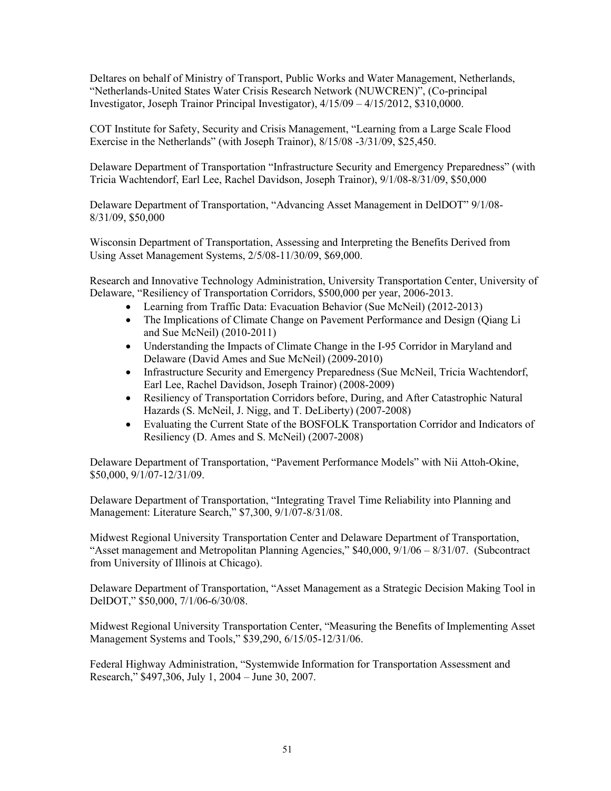Deltares on behalf of Ministry of Transport, Public Works and Water Management, Netherlands, "Netherlands-United States Water Crisis Research Network (NUWCREN)", (Co-principal Investigator, Joseph Trainor Principal Investigator), 4/15/09 – 4/15/2012, \$310,0000.

COT Institute for Safety, Security and Crisis Management, "Learning from a Large Scale Flood Exercise in the Netherlands" (with Joseph Trainor), 8/15/08 -3/31/09, \$25,450.

Delaware Department of Transportation "Infrastructure Security and Emergency Preparedness" (with Tricia Wachtendorf, Earl Lee, Rachel Davidson, Joseph Trainor), 9/1/08-8/31/09, \$50,000

Delaware Department of Transportation, "Advancing Asset Management in DelDOT" 9/1/08- 8/31/09, \$50,000

Wisconsin Department of Transportation, Assessing and Interpreting the Benefits Derived from Using Asset Management Systems, 2/5/08-11/30/09, \$69,000.

Research and Innovative Technology Administration, University Transportation Center, University of Delaware, "Resiliency of Transportation Corridors, \$500,000 per year, 2006-2013.

- Learning from Traffic Data: Evacuation Behavior (Sue McNeil) (2012-2013)
- The Implications of Climate Change on Pavement Performance and Design (Qiang Li and Sue McNeil) (2010-2011)
- Understanding the Impacts of Climate Change in the I-95 Corridor in Maryland and Delaware (David Ames and Sue McNeil) (2009-2010)
- Infrastructure Security and Emergency Preparedness (Sue McNeil, Tricia Wachtendorf, Earl Lee, Rachel Davidson, Joseph Trainor) (2008-2009)
- Resiliency of Transportation Corridors before, During, and After Catastrophic Natural Hazards (S. McNeil, J. Nigg, and T. DeLiberty) (2007-2008)
- Evaluating the Current State of the BOSFOLK Transportation Corridor and Indicators of Resiliency (D. Ames and S. McNeil) (2007-2008)

Delaware Department of Transportation, "Pavement Performance Models" with Nii Attoh-Okine, \$50,000, 9/1/07-12/31/09.

Delaware Department of Transportation, "Integrating Travel Time Reliability into Planning and Management: Literature Search," \$7,300, 9/1/07-8/31/08.

Midwest Regional University Transportation Center and Delaware Department of Transportation, "Asset management and Metropolitan Planning Agencies," \$40,000, 9/1/06 – 8/31/07. (Subcontract from University of Illinois at Chicago).

Delaware Department of Transportation, "Asset Management as a Strategic Decision Making Tool in DelDOT," \$50,000, 7/1/06-6/30/08.

Midwest Regional University Transportation Center, "Measuring the Benefits of Implementing Asset Management Systems and Tools," \$39,290, 6/15/05-12/31/06.

Federal Highway Administration, "Systemwide Information for Transportation Assessment and Research," \$497,306, July 1, 2004 – June 30, 2007.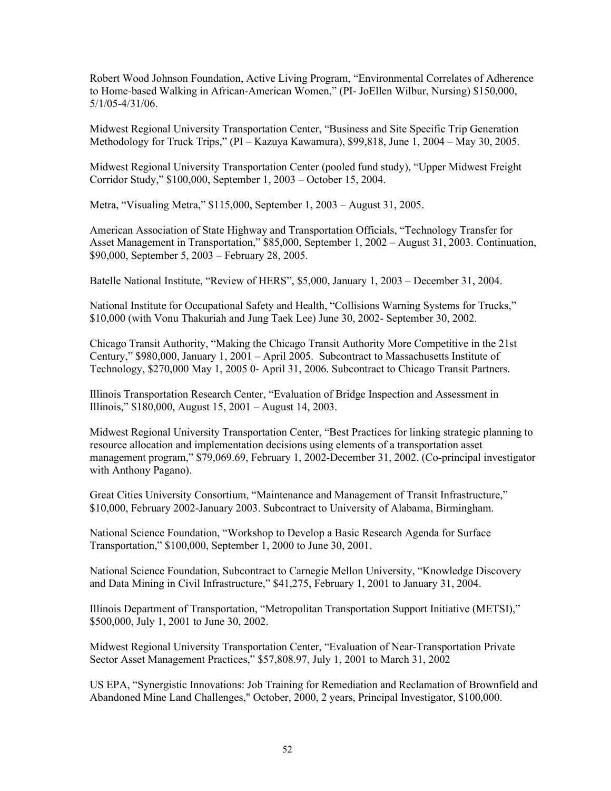Robert Wood Johnson Foundation, Active Living Program, "Environmental Correlates of Adherence to Home-based Walking in African-American Women," (PI- JoEllen Wilbur, Nursing) \$150,000, 5/1/05-4/31/06.

Midwest Regional University Transportation Center, "Business and Site Specific Trip Generation Methodology for Truck Trips," (PI – Kazuya Kawamura), \$99,818, June 1, 2004 – May 30, 2005.

Midwest Regional University Transportation Center (pooled fund study), "Upper Midwest Freight Corridor Study," \$100,000, September 1, 2003 – October 15, 2004.

Metra, "Visualing Metra," \$115,000, September 1, 2003 – August 31, 2005.

American Association of State Highway and Transportation Officials, "Technology Transfer for Asset Management in Transportation," \$85,000, September 1, 2002 – August 31, 2003. Continuation, \$90,000, September 5, 2003 – February 28, 2005.

Batelle National Institute, "Review of HERS", \$5,000, January 1, 2003 – December 31, 2004.

National Institute for Occupational Safety and Health, "Collisions Warning Systems for Trucks," \$10,000 (with Vonu Thakuriah and Jung Taek Lee) June 30, 2002- September 30, 2002.

Chicago Transit Authority, "Making the Chicago Transit Authority More Competitive in the 21st Century," \$980,000, January 1, 2001 – April 2005. Subcontract to Massachusetts Institute of Technology, \$270,000 May 1, 2005 0- April 31, 2006. Subcontract to Chicago Transit Partners.

Illinois Transportation Research Center, "Evaluation of Bridge Inspection and Assessment in Illinois," \$180,000, August 15, 2001 – August 14, 2003.

Midwest Regional University Transportation Center, "Best Practices for linking strategic planning to resource allocation and implementation decisions using elements of a transportation asset management program," \$79,069.69, February 1, 2002-December 31, 2002. (Co-principal investigator with Anthony Pagano).

Great Cities University Consortium, "Maintenance and Management of Transit Infrastructure," \$10,000, February 2002-January 2003. Subcontract to University of Alabama, Birmingham.

National Science Foundation, "Workshop to Develop a Basic Research Agenda for Surface Transportation," \$100,000, September 1, 2000 to June 30, 2001.

National Science Foundation, Subcontract to Carnegie Mellon University, "Knowledge Discovery and Data Mining in Civil Infrastructure," \$41,275, February 1, 2001 to January 31, 2004.

Illinois Department of Transportation, "Metropolitan Transportation Support Initiative (METSI)," \$500,000, July 1, 2001 to June 30, 2002.

Midwest Regional University Transportation Center, "Evaluation of Near-Transportation Private Sector Asset Management Practices," \$57,808.97, July 1, 2001 to March 31, 2002

US EPA, "Synergistic Innovations: Job Training for Remediation and Reclamation of Brownfield and Abandoned Mine Land Challenges," October, 2000, 2 years, Principal Investigator, \$100,000.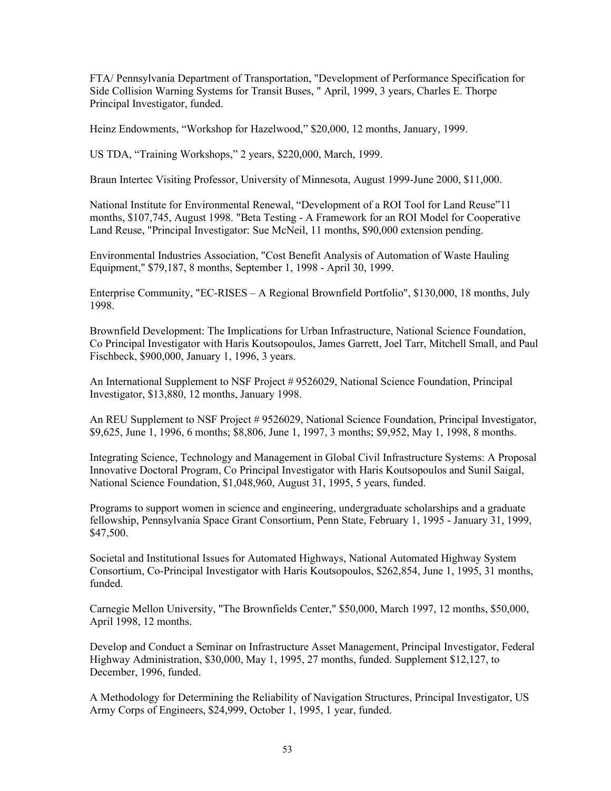FTA/ Pennsylvania Department of Transportation, "Development of Performance Specification for Side Collision Warning Systems for Transit Buses, " April, 1999, 3 years, Charles E. Thorpe Principal Investigator, funded.

Heinz Endowments, "Workshop for Hazelwood," \$20,000, 12 months, January, 1999.

US TDA, "Training Workshops," 2 years, \$220,000, March, 1999.

Braun Intertec Visiting Professor, University of Minnesota, August 1999-June 2000, \$11,000.

National Institute for Environmental Renewal, "Development of a ROI Tool for Land Reuse"11 months, \$107,745, August 1998. "Beta Testing - A Framework for an ROI Model for Cooperative Land Reuse, "Principal Investigator: Sue McNeil, 11 months, \$90,000 extension pending.

Environmental Industries Association, "Cost Benefit Analysis of Automation of Waste Hauling Equipment," \$79,187, 8 months, September 1, 1998 - April 30, 1999.

Enterprise Community, "EC-RISES – A Regional Brownfield Portfolio", \$130,000, 18 months, July 1998.

Brownfield Development: The Implications for Urban Infrastructure, National Science Foundation, Co Principal Investigator with Haris Koutsopoulos, James Garrett, Joel Tarr, Mitchell Small, and Paul Fischbeck, \$900,000, January 1, 1996, 3 years.

An International Supplement to NSF Project # 9526029, National Science Foundation, Principal Investigator, \$13,880, 12 months, January 1998.

An REU Supplement to NSF Project # 9526029, National Science Foundation, Principal Investigator, \$9,625, June 1, 1996, 6 months; \$8,806, June 1, 1997, 3 months; \$9,952, May 1, 1998, 8 months.

Integrating Science, Technology and Management in Global Civil Infrastructure Systems: A Proposal Innovative Doctoral Program, Co Principal Investigator with Haris Koutsopoulos and Sunil Saigal, National Science Foundation, \$1,048,960, August 31, 1995, 5 years, funded.

Programs to support women in science and engineering, undergraduate scholarships and a graduate fellowship, Pennsylvania Space Grant Consortium, Penn State, February 1, 1995 - January 31, 1999, \$47,500.

Societal and Institutional Issues for Automated Highways, National Automated Highway System Consortium, Co-Principal Investigator with Haris Koutsopoulos, \$262,854, June 1, 1995, 31 months, funded.

Carnegie Mellon University, "The Brownfields Center," \$50,000, March 1997, 12 months, \$50,000, April 1998, 12 months.

Develop and Conduct a Seminar on Infrastructure Asset Management, Principal Investigator, Federal Highway Administration, \$30,000, May 1, 1995, 27 months, funded. Supplement \$12,127, to December, 1996, funded.

A Methodology for Determining the Reliability of Navigation Structures, Principal Investigator, US Army Corps of Engineers, \$24,999, October 1, 1995, 1 year, funded.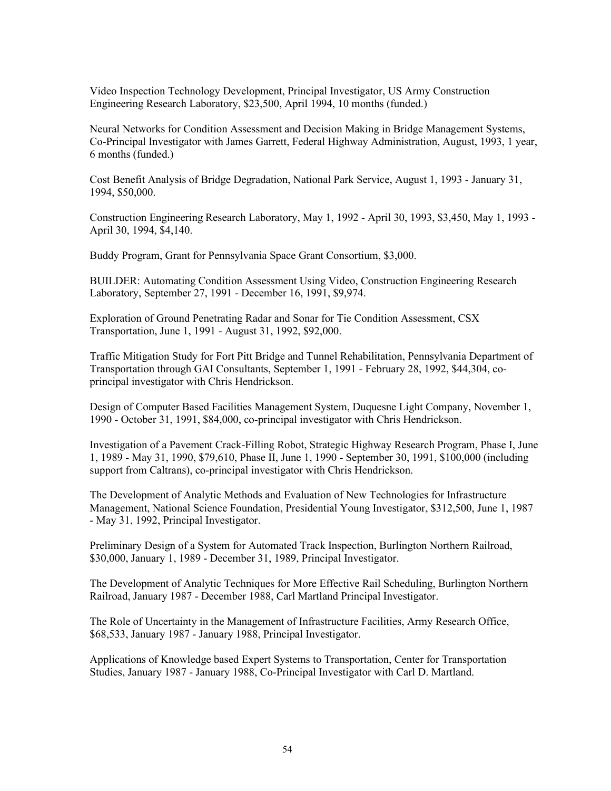Video Inspection Technology Development, Principal Investigator, US Army Construction Engineering Research Laboratory, \$23,500, April 1994, 10 months (funded.)

Neural Networks for Condition Assessment and Decision Making in Bridge Management Systems, Co-Principal Investigator with James Garrett, Federal Highway Administration, August, 1993, 1 year, 6 months (funded.)

Cost Benefit Analysis of Bridge Degradation, National Park Service, August 1, 1993 - January 31, 1994, \$50,000.

Construction Engineering Research Laboratory, May 1, 1992 - April 30, 1993, \$3,450, May 1, 1993 - April 30, 1994, \$4,140.

Buddy Program, Grant for Pennsylvania Space Grant Consortium, \$3,000.

BUILDER: Automating Condition Assessment Using Video, Construction Engineering Research Laboratory, September 27, 1991 - December 16, 1991, \$9,974.

Exploration of Ground Penetrating Radar and Sonar for Tie Condition Assessment, CSX Transportation, June 1, 1991 - August 31, 1992, \$92,000.

Traffic Mitigation Study for Fort Pitt Bridge and Tunnel Rehabilitation, Pennsylvania Department of Transportation through GAI Consultants, September 1, 1991 - February 28, 1992, \$44,304, coprincipal investigator with Chris Hendrickson.

Design of Computer Based Facilities Management System, Duquesne Light Company, November 1, 1990 - October 31, 1991, \$84,000, co-principal investigator with Chris Hendrickson.

Investigation of a Pavement Crack-Filling Robot, Strategic Highway Research Program, Phase I, June 1, 1989 - May 31, 1990, \$79,610, Phase II, June 1, 1990 - September 30, 1991, \$100,000 (including support from Caltrans), co-principal investigator with Chris Hendrickson.

The Development of Analytic Methods and Evaluation of New Technologies for Infrastructure Management, National Science Foundation, Presidential Young Investigator, \$312,500, June 1, 1987 - May 31, 1992, Principal Investigator.

Preliminary Design of a System for Automated Track Inspection, Burlington Northern Railroad, \$30,000, January 1, 1989 - December 31, 1989, Principal Investigator.

The Development of Analytic Techniques for More Effective Rail Scheduling, Burlington Northern Railroad, January 1987 - December 1988, Carl Martland Principal Investigator.

The Role of Uncertainty in the Management of Infrastructure Facilities, Army Research Office, \$68,533, January 1987 - January 1988, Principal Investigator.

Applications of Knowledge based Expert Systems to Transportation, Center for Transportation Studies, January 1987 - January 1988, Co-Principal Investigator with Carl D. Martland.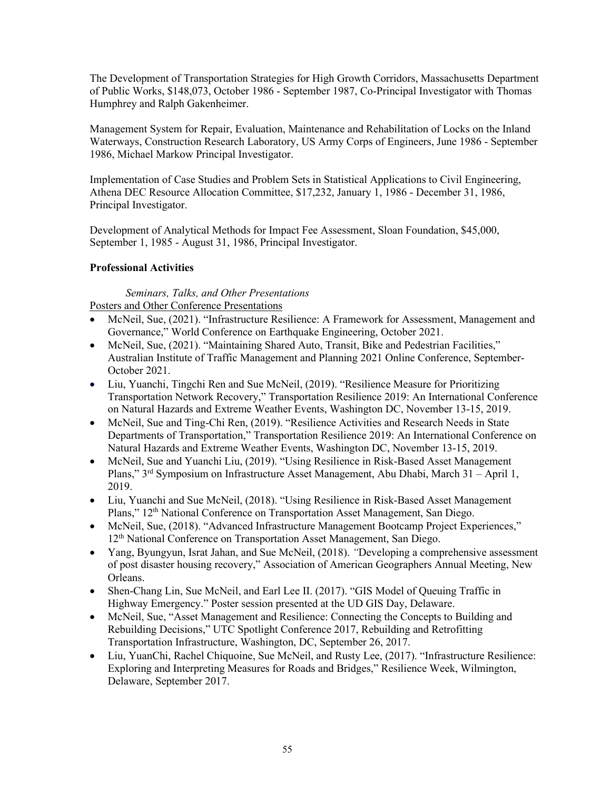The Development of Transportation Strategies for High Growth Corridors, Massachusetts Department of Public Works, \$148,073, October 1986 - September 1987, Co-Principal Investigator with Thomas Humphrey and Ralph Gakenheimer.

Management System for Repair, Evaluation, Maintenance and Rehabilitation of Locks on the Inland Waterways, Construction Research Laboratory, US Army Corps of Engineers, June 1986 - September 1986, Michael Markow Principal Investigator.

Implementation of Case Studies and Problem Sets in Statistical Applications to Civil Engineering, Athena DEC Resource Allocation Committee, \$17,232, January 1, 1986 - December 31, 1986, Principal Investigator.

Development of Analytical Methods for Impact Fee Assessment, Sloan Foundation, \$45,000, September 1, 1985 - August 31, 1986, Principal Investigator.

## **Professional Activities**

#### *Seminars, Talks, and Other Presentations* Posters and Other Conference Presentations

- McNeil, Sue, (2021). "Infrastructure Resilience: A Framework for Assessment, Management and Governance," World Conference on Earthquake Engineering, October 2021.
- McNeil, Sue, (2021). "Maintaining Shared Auto, Transit, Bike and Pedestrian Facilities," Australian Institute of Traffic Management and Planning 2021 Online Conference, September-October 2021.
- Liu, Yuanchi, Tingchi Ren and Sue McNeil, (2019). "Resilience Measure for Prioritizing Transportation Network Recovery," Transportation Resilience 2019: An International Conference on Natural Hazards and Extreme Weather Events, Washington DC, November 13-15, 2019.
- McNeil, Sue and Ting-Chi Ren, (2019). "Resilience Activities and Research Needs in State Departments of Transportation," Transportation Resilience 2019: An International Conference on Natural Hazards and Extreme Weather Events, Washington DC, November 13-15, 2019.
- McNeil, Sue and Yuanchi Liu, (2019). "Using Resilience in Risk-Based Asset Management Plans," 3rd Symposium on Infrastructure Asset Management, Abu Dhabi, March 31 – April 1, 2019.
- Liu, Yuanchi and Sue McNeil, (2018). "Using Resilience in Risk-Based Asset Management Plans," 12th National Conference on Transportation Asset Management, San Diego.
- McNeil, Sue, (2018). "Advanced Infrastructure Management Bootcamp Project Experiences," 12<sup>th</sup> National Conference on Transportation Asset Management, San Diego.
- Yang, Byungyun, Israt Jahan, and Sue McNeil, (2018). *"*Developing a comprehensive assessment of post disaster housing recovery," Association of American Geographers Annual Meeting, New Orleans.
- Shen-Chang Lin, Sue McNeil, and Earl Lee II. (2017). "GIS Model of Queuing Traffic in Highway Emergency." Poster session presented at the UD GIS Day, Delaware.
- McNeil, Sue, "Asset Management and Resilience: Connecting the Concepts to Building and Rebuilding Decisions," UTC Spotlight Conference 2017, Rebuilding and Retrofitting Transportation Infrastructure, Washington, DC, September 26, 2017.
- Liu, YuanChi, Rachel Chiquoine, Sue McNeil, and Rusty Lee, (2017). "Infrastructure Resilience: Exploring and Interpreting Measures for Roads and Bridges," Resilience Week, Wilmington, Delaware, September 2017.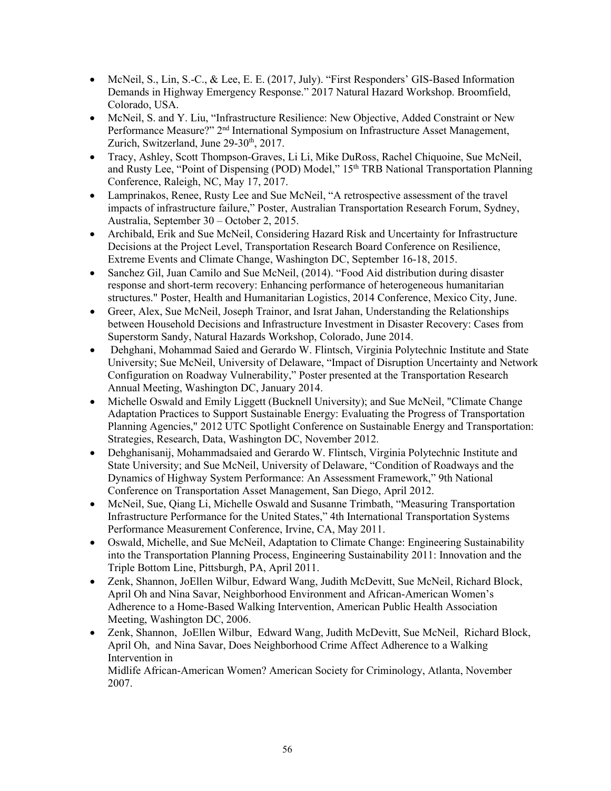- McNeil, S., Lin, S.-C., & Lee, E. E. (2017, July). "First Responders' GIS-Based Information Demands in Highway Emergency Response." 2017 Natural Hazard Workshop. Broomfield, Colorado, USA.
- McNeil, S. and Y. Liu, "Infrastructure Resilience: New Objective, Added Constraint or New Performance Measure?" 2nd International Symposium on Infrastructure Asset Management, Zurich, Switzerland, June 29-30<sup>th</sup>, 2017.
- Tracy, Ashley, Scott Thompson-Graves, Li Li, Mike DuRoss, Rachel Chiquoine, Sue McNeil, and Rusty Lee, "Point of Dispensing (POD) Model," 15<sup>th</sup> TRB National Transportation Planning Conference, Raleigh, NC, May 17, 2017.
- Lamprinakos, Renee, Rusty Lee and Sue McNeil, "A retrospective assessment of the travel impacts of infrastructure failure," Poster, Australian Transportation Research Forum, Sydney, Australia, September 30 – October 2, 2015.
- Archibald, Erik and Sue McNeil, Considering Hazard Risk and Uncertainty for Infrastructure Decisions at the Project Level, Transportation Research Board Conference on Resilience, Extreme Events and Climate Change, Washington DC, September 16-18, 2015.
- Sanchez Gil, Juan Camilo and Sue McNeil, (2014). "Food Aid distribution during disaster response and short-term recovery: Enhancing performance of heterogeneous humanitarian structures." Poster, Health and Humanitarian Logistics, 2014 Conference, Mexico City, June.
- Greer, Alex, Sue McNeil, Joseph Trainor, and Israt Jahan, Understanding the Relationships between Household Decisions and Infrastructure Investment in Disaster Recovery: Cases from Superstorm Sandy, Natural Hazards Workshop, Colorado, June 2014.
- Dehghani, Mohammad Saied and Gerardo W. Flintsch, Virginia Polytechnic Institute and State University; Sue McNeil, University of Delaware, "Impact of Disruption Uncertainty and Network Configuration on Roadway Vulnerability," Poster presented at the Transportation Research Annual Meeting, Washington DC, January 2014.
- Michelle Oswald and Emily Liggett (Bucknell University); and Sue McNeil, "Climate Change Adaptation Practices to Support Sustainable Energy: Evaluating the Progress of Transportation Planning Agencies," 2012 UTC Spotlight Conference on Sustainable Energy and Transportation: Strategies, Research, Data, Washington DC, November 2012.
- Dehghanisanij, Mohammadsaied and Gerardo W. Flintsch, Virginia Polytechnic Institute and State University; and Sue McNeil, University of Delaware, "Condition of Roadways and the Dynamics of Highway System Performance: An Assessment Framework," 9th National Conference on Transportation Asset Management, San Diego, April 2012.
- McNeil, Sue, Qiang Li, Michelle Oswald and Susanne Trimbath, "Measuring Transportation Infrastructure Performance for the United States," 4th International Transportation Systems Performance Measurement Conference, Irvine, CA, May 2011.
- Oswald, Michelle, and Sue McNeil, Adaptation to Climate Change: Engineering Sustainability into the Transportation Planning Process, Engineering Sustainability 2011: Innovation and the Triple Bottom Line, Pittsburgh, PA, April 2011.
- Zenk, Shannon, JoEllen Wilbur, Edward Wang, Judith McDevitt, Sue McNeil, Richard Block, April Oh and Nina Savar, Neighborhood Environment and African-American Women's Adherence to a Home-Based Walking Intervention, American Public Health Association Meeting, Washington DC, 2006.
- Zenk, Shannon, JoEllen Wilbur, Edward Wang, Judith McDevitt, Sue McNeil, Richard Block, April Oh, and Nina Savar, Does Neighborhood Crime Affect Adherence to a Walking Intervention in

Midlife African-American Women? American Society for Criminology, Atlanta, November 2007.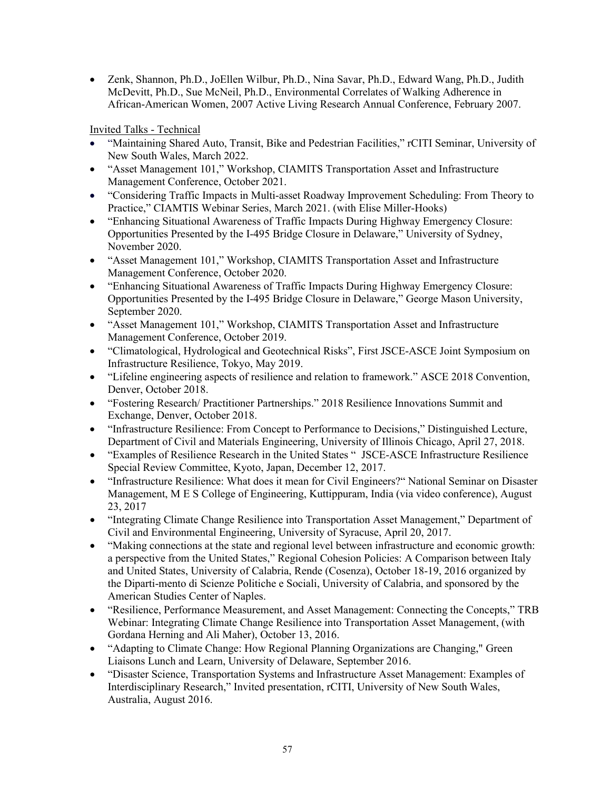• Zenk, Shannon, Ph.D., JoEllen Wilbur, Ph.D., Nina Savar, Ph.D., Edward Wang, Ph.D., Judith McDevitt, Ph.D., Sue McNeil, Ph.D., Environmental Correlates of Walking Adherence in African-American Women, 2007 Active Living Research Annual Conference, February 2007.

Invited Talks - Technical

- "Maintaining Shared Auto, Transit, Bike and Pedestrian Facilities," rCITI Seminar, University of New South Wales, March 2022.
- "Asset Management 101," Workshop, CIAMITS Transportation Asset and Infrastructure Management Conference, October 2021.
- "Considering Traffic Impacts in Multi-asset Roadway Improvement Scheduling: From Theory to Practice," CIAMTIS Webinar Series, March 2021. (with Elise Miller-Hooks)
- "Enhancing Situational Awareness of Traffic Impacts During Highway Emergency Closure: Opportunities Presented by the I-495 Bridge Closure in Delaware," University of Sydney, November 2020.
- "Asset Management 101," Workshop, CIAMITS Transportation Asset and Infrastructure Management Conference, October 2020.
- "Enhancing Situational Awareness of Traffic Impacts During Highway Emergency Closure: Opportunities Presented by the I-495 Bridge Closure in Delaware," George Mason University, September 2020.
- "Asset Management 101," Workshop, CIAMITS Transportation Asset and Infrastructure Management Conference, October 2019.
- "Climatological, Hydrological and Geotechnical Risks", First JSCE-ASCE Joint Symposium on Infrastructure Resilience, Tokyo, May 2019.
- "Lifeline engineering aspects of resilience and relation to framework." ASCE 2018 Convention, Denver, October 2018.
- "Fostering Research/ Practitioner Partnerships." 2018 Resilience Innovations Summit and Exchange, Denver, October 2018.
- "Infrastructure Resilience: From Concept to Performance to Decisions," Distinguished Lecture, Department of Civil and Materials Engineering, University of Illinois Chicago, April 27, 2018.
- "Examples of Resilience Research in the United States " JSCE-ASCE Infrastructure Resilience Special Review Committee, Kyoto, Japan, December 12, 2017.
- "Infrastructure Resilience: What does it mean for Civil Engineers?" National Seminar on Disaster Management, M E S College of Engineering, Kuttippuram, India (via video conference), August 23, 2017
- "Integrating Climate Change Resilience into Transportation Asset Management," Department of Civil and Environmental Engineering, University of Syracuse, April 20, 2017.
- "Making connections at the state and regional level between infrastructure and economic growth: a perspective from the United States," Regional Cohesion Policies: A Comparison between Italy and United States, University of Calabria, Rende (Cosenza), October 18-19, 2016 organized by the Diparti-mento di Scienze Politiche e Sociali, University of Calabria, and sponsored by the American Studies Center of Naples.
- "Resilience, Performance Measurement, and Asset Management: Connecting the Concepts," TRB Webinar: Integrating Climate Change Resilience into Transportation Asset Management, (with Gordana Herning and Ali Maher), October 13, 2016.
- "Adapting to Climate Change: How Regional Planning Organizations are Changing," Green Liaisons Lunch and Learn, University of Delaware, September 2016.
- "Disaster Science, Transportation Systems and Infrastructure Asset Management: Examples of Interdisciplinary Research," Invited presentation, rCITI, University of New South Wales, Australia, August 2016.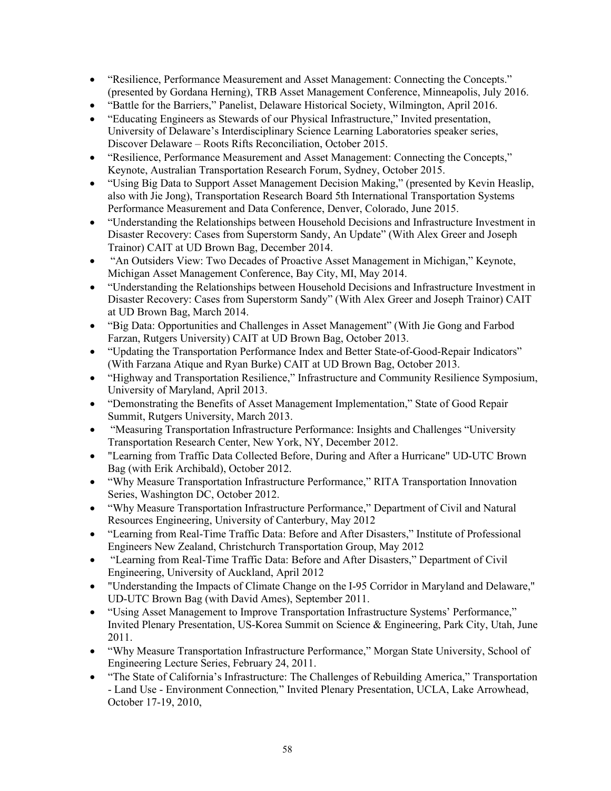- "Resilience, Performance Measurement and Asset Management: Connecting the Concepts." (presented by Gordana Herning), TRB Asset Management Conference, Minneapolis, July 2016.
- "Battle for the Barriers," Panelist, Delaware Historical Society, Wilmington, April 2016.
- "Educating Engineers as Stewards of our Physical Infrastructure," Invited presentation, University of Delaware's Interdisciplinary Science Learning Laboratories speaker series, Discover Delaware – Roots Rifts Reconciliation, October 2015.
- "Resilience, Performance Measurement and Asset Management: Connecting the Concepts," Keynote, Australian Transportation Research Forum, Sydney, October 2015.
- "Using Big Data to Support Asset Management Decision Making," (presented by Kevin Heaslip, also with Jie Jong), Transportation Research Board 5th International Transportation Systems Performance Measurement and Data Conference, Denver, Colorado, June 2015.
- "Understanding the Relationships between Household Decisions and Infrastructure Investment in Disaster Recovery: Cases from Superstorm Sandy, An Update" (With Alex Greer and Joseph Trainor) CAIT at UD Brown Bag, December 2014.
- "An Outsiders View: Two Decades of Proactive Asset Management in Michigan," Keynote, Michigan Asset Management Conference, Bay City, MI, May 2014.
- "Understanding the Relationships between Household Decisions and Infrastructure Investment in Disaster Recovery: Cases from Superstorm Sandy" (With Alex Greer and Joseph Trainor) CAIT at UD Brown Bag, March 2014.
- "Big Data: Opportunities and Challenges in Asset Management" (With Jie Gong and Farbod Farzan, Rutgers University) CAIT at UD Brown Bag, October 2013.
- "Updating the Transportation Performance Index and Better State-of-Good-Repair Indicators" (With Farzana Atique and Ryan Burke) CAIT at UD Brown Bag, October 2013.
- "Highway and Transportation Resilience," Infrastructure and Community Resilience Symposium, University of Maryland, April 2013.
- "Demonstrating the Benefits of Asset Management Implementation," State of Good Repair Summit, Rutgers University, March 2013.
- "Measuring Transportation Infrastructure Performance: Insights and Challenges "University" Transportation Research Center, New York, NY, December 2012.
- "Learning from Traffic Data Collected Before, During and After a Hurricane" UD-UTC Brown Bag (with Erik Archibald), October 2012.
- "Why Measure Transportation Infrastructure Performance," RITA Transportation Innovation Series, Washington DC, October 2012.
- "Why Measure Transportation Infrastructure Performance," Department of Civil and Natural Resources Engineering, University of Canterbury, May 2012
- "Learning from Real-Time Traffic Data: Before and After Disasters," Institute of Professional Engineers New Zealand, Christchurch Transportation Group, May 2012
- "Learning from Real-Time Traffic Data: Before and After Disasters," Department of Civil Engineering, University of Auckland, April 2012
- "Understanding the Impacts of Climate Change on the I-95 Corridor in Maryland and Delaware," UD-UTC Brown Bag (with David Ames), September 2011.
- "Using Asset Management to Improve Transportation Infrastructure Systems' Performance," Invited Plenary Presentation, US-Korea Summit on Science & Engineering, Park City, Utah, June 2011.
- "Why Measure Transportation Infrastructure Performance," Morgan State University, School of Engineering Lecture Series, February 24, 2011.
- "The State of California's Infrastructure: The Challenges of Rebuilding America," Transportation - Land Use - Environment Connection*,*" Invited Plenary Presentation, UCLA, Lake Arrowhead, October 17-19, 2010,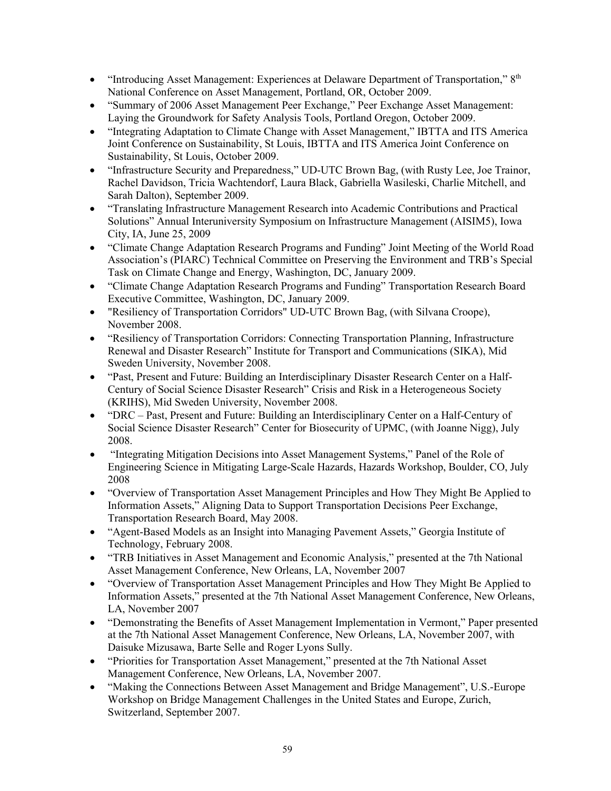- "Introducing Asset Management: Experiences at Delaware Department of Transportation," 8<sup>th</sup> National Conference on Asset Management, Portland, OR, October 2009.
- "Summary of 2006 Asset Management Peer Exchange," Peer Exchange Asset Management: Laying the Groundwork for Safety Analysis Tools, Portland Oregon, October 2009.
- "Integrating Adaptation to Climate Change with Asset Management," IBTTA and ITS America Joint Conference on Sustainability, St Louis, IBTTA and ITS America Joint Conference on Sustainability, St Louis, October 2009.
- "Infrastructure Security and Preparedness," UD-UTC Brown Bag, (with Rusty Lee, Joe Trainor, Rachel Davidson, Tricia Wachtendorf, Laura Black, Gabriella Wasileski, Charlie Mitchell, and Sarah Dalton), September 2009.
- "Translating Infrastructure Management Research into Academic Contributions and Practical Solutions" Annual Interuniversity Symposium on Infrastructure Management (AISIM5), Iowa City, IA, June 25, 2009
- "Climate Change Adaptation Research Programs and Funding" Joint Meeting of the World Road Association's (PIARC) Technical Committee on Preserving the Environment and TRB's Special Task on Climate Change and Energy, Washington, DC, January 2009.
- "Climate Change Adaptation Research Programs and Funding" Transportation Research Board Executive Committee, Washington, DC, January 2009.
- "Resiliency of Transportation Corridors" UD-UTC Brown Bag, (with Silvana Croope), November 2008.
- "Resiliency of Transportation Corridors: Connecting Transportation Planning, Infrastructure Renewal and Disaster Research" Institute for Transport and Communications (SIKA), Mid Sweden University, November 2008.
- "Past, Present and Future: Building an Interdisciplinary Disaster Research Center on a Half-Century of Social Science Disaster Research" Crisis and Risk in a Heterogeneous Society (KRIHS), Mid Sweden University, November 2008.
- "DRC Past, Present and Future: Building an Interdisciplinary Center on a Half-Century of Social Science Disaster Research" Center for Biosecurity of UPMC, (with Joanne Nigg), July 2008.
- "Integrating Mitigation Decisions into Asset Management Systems," Panel of the Role of Engineering Science in Mitigating Large-Scale Hazards, Hazards Workshop, Boulder, CO, July 2008
- "Overview of Transportation Asset Management Principles and How They Might Be Applied to Information Assets," Aligning Data to Support Transportation Decisions Peer Exchange, Transportation Research Board, May 2008.
- "Agent-Based Models as an Insight into Managing Pavement Assets," Georgia Institute of Technology, February 2008.
- "TRB Initiatives in Asset Management and Economic Analysis," presented at the 7th National Asset Management Conference, New Orleans, LA, November 2007
- "Overview of Transportation Asset Management Principles and How They Might Be Applied to Information Assets," presented at the 7th National Asset Management Conference, New Orleans, LA, November 2007
- "Demonstrating the Benefits of Asset Management Implementation in Vermont," Paper presented at the 7th National Asset Management Conference, New Orleans, LA, November 2007, with Daisuke Mizusawa, Barte Selle and Roger Lyons Sully.
- "Priorities for Transportation Asset Management," presented at the 7th National Asset Management Conference, New Orleans, LA, November 2007.
- "Making the Connections Between Asset Management and Bridge Management", U.S.-Europe Workshop on Bridge Management Challenges in the United States and Europe, Zurich, Switzerland, September 2007.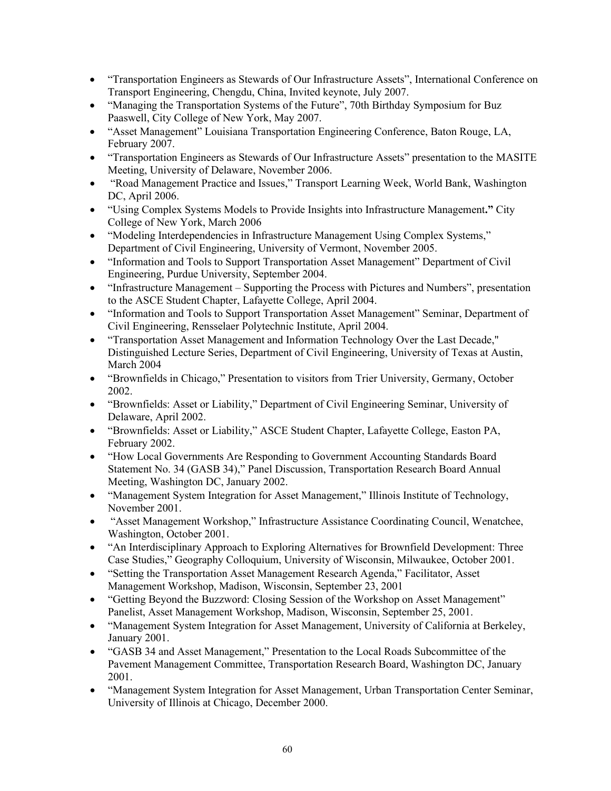- "Transportation Engineers as Stewards of Our Infrastructure Assets", International Conference on Transport Engineering, Chengdu, China, Invited keynote, July 2007.
- "Managing the Transportation Systems of the Future", 70th Birthday Symposium for Buz Paaswell, City College of New York, May 2007.
- "Asset Management" Louisiana Transportation Engineering Conference, Baton Rouge, LA, February 2007.
- "Transportation Engineers as Stewards of Our Infrastructure Assets" presentation to the MASITE Meeting, University of Delaware, November 2006.
- "Road Management Practice and Issues," Transport Learning Week, World Bank, Washington DC, April 2006.
- "Using Complex Systems Models to Provide Insights into Infrastructure Management**."** City College of New York, March 2006
- "Modeling Interdependencies in Infrastructure Management Using Complex Systems," Department of Civil Engineering, University of Vermont, November 2005.
- "Information and Tools to Support Transportation Asset Management" Department of Civil Engineering, Purdue University, September 2004.
- "Infrastructure Management Supporting the Process with Pictures and Numbers", presentation to the ASCE Student Chapter, Lafayette College, April 2004.
- "Information and Tools to Support Transportation Asset Management" Seminar, Department of Civil Engineering, Rensselaer Polytechnic Institute, April 2004.
- "Transportation Asset Management and Information Technology Over the Last Decade," Distinguished Lecture Series, Department of Civil Engineering, University of Texas at Austin, March 2004
- "Brownfields in Chicago," Presentation to visitors from Trier University, Germany, October 2002.
- "Brownfields: Asset or Liability," Department of Civil Engineering Seminar, University of Delaware, April 2002.
- "Brownfields: Asset or Liability," ASCE Student Chapter, Lafayette College, Easton PA, February 2002.
- "How Local Governments Are Responding to Government Accounting Standards Board Statement No. 34 (GASB 34)," Panel Discussion, Transportation Research Board Annual Meeting, Washington DC, January 2002.
- "Management System Integration for Asset Management," Illinois Institute of Technology, November 2001.
- "Asset Management Workshop," Infrastructure Assistance Coordinating Council, Wenatchee, Washington, October 2001.
- "An Interdisciplinary Approach to Exploring Alternatives for Brownfield Development: Three Case Studies," Geography Colloquium, University of Wisconsin, Milwaukee, October 2001.
- "Setting the Transportation Asset Management Research Agenda," Facilitator, Asset Management Workshop, Madison, Wisconsin, September 23, 2001
- "Getting Beyond the Buzzword: Closing Session of the Workshop on Asset Management" Panelist, Asset Management Workshop, Madison, Wisconsin, September 25, 2001.
- "Management System Integration for Asset Management, University of California at Berkeley, January 2001.
- "GASB 34 and Asset Management," Presentation to the Local Roads Subcommittee of the Pavement Management Committee, Transportation Research Board, Washington DC, January 2001.
- "Management System Integration for Asset Management, Urban Transportation Center Seminar, University of Illinois at Chicago, December 2000.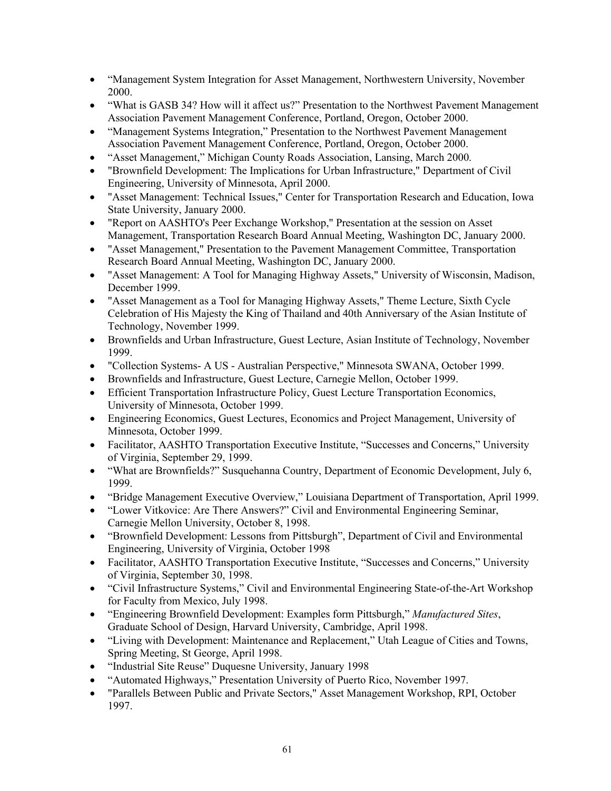- "Management System Integration for Asset Management, Northwestern University, November 2000.
- "What is GASB 34? How will it affect us?" Presentation to the Northwest Pavement Management Association Pavement Management Conference, Portland, Oregon, October 2000.
- "Management Systems Integration," Presentation to the Northwest Pavement Management Association Pavement Management Conference, Portland, Oregon, October 2000.
- "Asset Management," Michigan County Roads Association, Lansing, March 2000.
- "Brownfield Development: The Implications for Urban Infrastructure," Department of Civil Engineering, University of Minnesota, April 2000.
- "Asset Management: Technical Issues," Center for Transportation Research and Education, Iowa State University, January 2000.
- "Report on AASHTO's Peer Exchange Workshop," Presentation at the session on Asset Management, Transportation Research Board Annual Meeting, Washington DC, January 2000.
- "Asset Management," Presentation to the Pavement Management Committee, Transportation Research Board Annual Meeting, Washington DC, January 2000.
- "Asset Management: A Tool for Managing Highway Assets," University of Wisconsin, Madison, December 1999.
- "Asset Management as a Tool for Managing Highway Assets," Theme Lecture, Sixth Cycle Celebration of His Majesty the King of Thailand and 40th Anniversary of the Asian Institute of Technology, November 1999.
- Brownfields and Urban Infrastructure, Guest Lecture, Asian Institute of Technology, November 1999.
- "Collection Systems- A US Australian Perspective," Minnesota SWANA, October 1999.
- Brownfields and Infrastructure, Guest Lecture, Carnegie Mellon, October 1999.
- Efficient Transportation Infrastructure Policy, Guest Lecture Transportation Economics, University of Minnesota, October 1999.
- Engineering Economics, Guest Lectures, Economics and Project Management, University of Minnesota, October 1999.
- Facilitator, AASHTO Transportation Executive Institute, "Successes and Concerns," University of Virginia, September 29, 1999.
- "What are Brownfields?" Susquehanna Country, Department of Economic Development, July 6, 1999.
- "Bridge Management Executive Overview," Louisiana Department of Transportation, April 1999.
- "Lower Vitkovice: Are There Answers?" Civil and Environmental Engineering Seminar, Carnegie Mellon University, October 8, 1998.
- "Brownfield Development: Lessons from Pittsburgh", Department of Civil and Environmental Engineering, University of Virginia, October 1998
- Facilitator, AASHTO Transportation Executive Institute, "Successes and Concerns," University of Virginia, September 30, 1998.
- "Civil Infrastructure Systems," Civil and Environmental Engineering State-of-the-Art Workshop for Faculty from Mexico, July 1998.
- "Engineering Brownfield Development: Examples form Pittsburgh," *Manufactured Sites*, Graduate School of Design, Harvard University, Cambridge, April 1998.
- "Living with Development: Maintenance and Replacement," Utah League of Cities and Towns, Spring Meeting, St George, April 1998.
- "Industrial Site Reuse" Duquesne University, January 1998
- "Automated Highways," Presentation University of Puerto Rico, November 1997.
- "Parallels Between Public and Private Sectors," Asset Management Workshop, RPI, October 1997.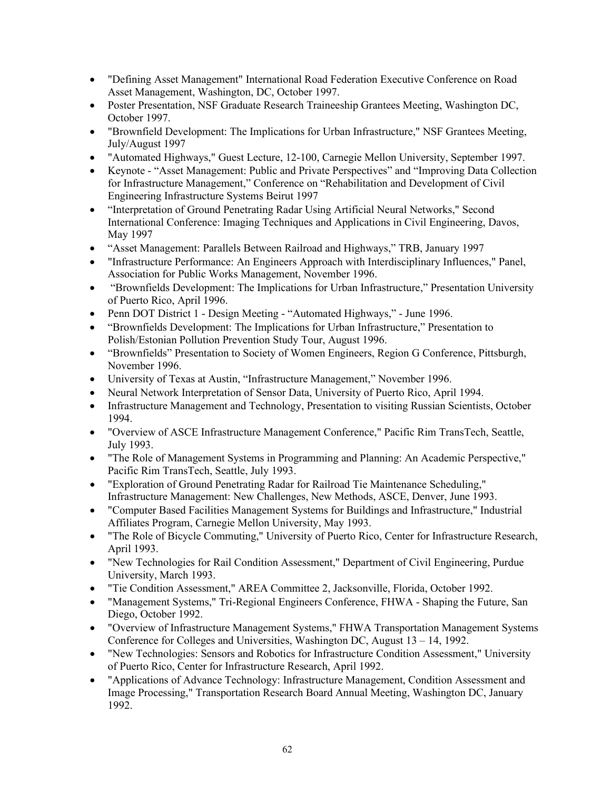- "Defining Asset Management" International Road Federation Executive Conference on Road Asset Management, Washington, DC, October 1997.
- Poster Presentation, NSF Graduate Research Traineeship Grantees Meeting, Washington DC, October 1997.
- "Brownfield Development: The Implications for Urban Infrastructure," NSF Grantees Meeting, July/August 1997
- "Automated Highways," Guest Lecture, 12-100, Carnegie Mellon University, September 1997.
- Keynote "Asset Management: Public and Private Perspectives" and "Improving Data Collection for Infrastructure Management," Conference on "Rehabilitation and Development of Civil Engineering Infrastructure Systems Beirut 1997
- "Interpretation of Ground Penetrating Radar Using Artificial Neural Networks," Second International Conference: Imaging Techniques and Applications in Civil Engineering, Davos, May 1997
- "Asset Management: Parallels Between Railroad and Highways," TRB, January 1997
- "Infrastructure Performance: An Engineers Approach with Interdisciplinary Influences," Panel, Association for Public Works Management, November 1996.
- "Brownfields Development: The Implications for Urban Infrastructure," Presentation University of Puerto Rico, April 1996.
- Penn DOT District 1 Design Meeting "Automated Highways," June 1996.
- "Brownfields Development: The Implications for Urban Infrastructure," Presentation to Polish/Estonian Pollution Prevention Study Tour, August 1996.
- "Brownfields" Presentation to Society of Women Engineers, Region G Conference, Pittsburgh, November 1996.
- University of Texas at Austin, "Infrastructure Management," November 1996.
- Neural Network Interpretation of Sensor Data, University of Puerto Rico, April 1994.
- Infrastructure Management and Technology, Presentation to visiting Russian Scientists, October 1994.
- "Overview of ASCE Infrastructure Management Conference," Pacific Rim TransTech, Seattle, July 1993.
- "The Role of Management Systems in Programming and Planning: An Academic Perspective," Pacific Rim TransTech, Seattle, July 1993.
- "Exploration of Ground Penetrating Radar for Railroad Tie Maintenance Scheduling," Infrastructure Management: New Challenges, New Methods, ASCE, Denver, June 1993.
- "Computer Based Facilities Management Systems for Buildings and Infrastructure," Industrial Affiliates Program, Carnegie Mellon University, May 1993.
- "The Role of Bicycle Commuting," University of Puerto Rico, Center for Infrastructure Research, April 1993.
- "New Technologies for Rail Condition Assessment," Department of Civil Engineering, Purdue University, March 1993.
- "Tie Condition Assessment," AREA Committee 2, Jacksonville, Florida, October 1992.
- "Management Systems," Tri-Regional Engineers Conference, FHWA Shaping the Future, San Diego, October 1992.
- "Overview of Infrastructure Management Systems," FHWA Transportation Management Systems Conference for Colleges and Universities, Washington DC, August 13 – 14, 1992.
- "New Technologies: Sensors and Robotics for Infrastructure Condition Assessment," University of Puerto Rico, Center for Infrastructure Research, April 1992.
- "Applications of Advance Technology: Infrastructure Management, Condition Assessment and Image Processing," Transportation Research Board Annual Meeting, Washington DC, January 1992.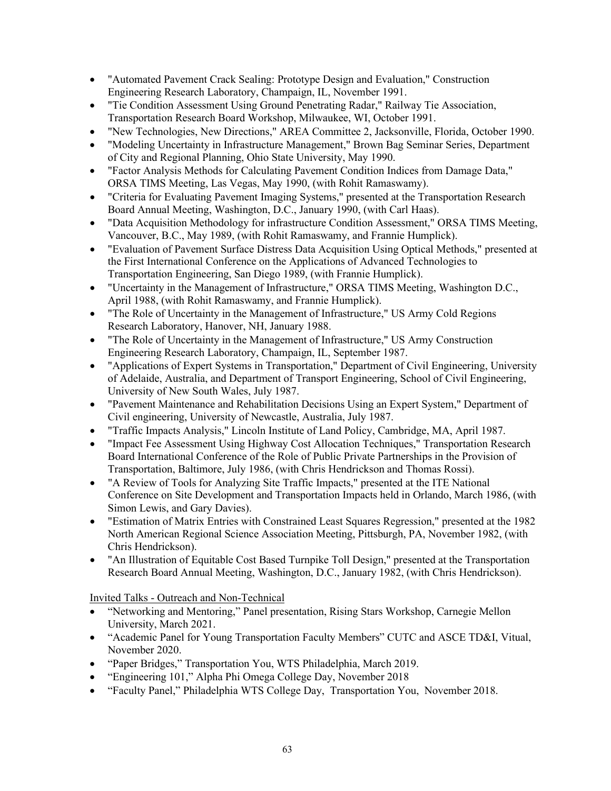- "Automated Pavement Crack Sealing: Prototype Design and Evaluation," Construction Engineering Research Laboratory, Champaign, IL, November 1991.
- "Tie Condition Assessment Using Ground Penetrating Radar," Railway Tie Association, Transportation Research Board Workshop, Milwaukee, WI, October 1991.
- "New Technologies, New Directions," AREA Committee 2, Jacksonville, Florida, October 1990.
- "Modeling Uncertainty in Infrastructure Management," Brown Bag Seminar Series, Department of City and Regional Planning, Ohio State University, May 1990.
- "Factor Analysis Methods for Calculating Pavement Condition Indices from Damage Data," ORSA TIMS Meeting, Las Vegas, May 1990, (with Rohit Ramaswamy).
- "Criteria for Evaluating Pavement Imaging Systems," presented at the Transportation Research Board Annual Meeting, Washington, D.C., January 1990, (with Carl Haas).
- "Data Acquisition Methodology for infrastructure Condition Assessment," ORSA TIMS Meeting, Vancouver, B.C., May 1989, (with Rohit Ramaswamy, and Frannie Humplick).
- "Evaluation of Pavement Surface Distress Data Acquisition Using Optical Methods," presented at the First International Conference on the Applications of Advanced Technologies to Transportation Engineering, San Diego 1989, (with Frannie Humplick).
- "Uncertainty in the Management of Infrastructure," ORSA TIMS Meeting, Washington D.C., April 1988, (with Rohit Ramaswamy, and Frannie Humplick).
- "The Role of Uncertainty in the Management of Infrastructure," US Army Cold Regions Research Laboratory, Hanover, NH, January 1988.
- "The Role of Uncertainty in the Management of Infrastructure," US Army Construction Engineering Research Laboratory, Champaign, IL, September 1987.
- "Applications of Expert Systems in Transportation," Department of Civil Engineering, University of Adelaide, Australia, and Department of Transport Engineering, School of Civil Engineering, University of New South Wales, July 1987.
- "Pavement Maintenance and Rehabilitation Decisions Using an Expert System," Department of Civil engineering, University of Newcastle, Australia, July 1987.
- "Traffic Impacts Analysis," Lincoln Institute of Land Policy, Cambridge, MA, April 1987.
- "Impact Fee Assessment Using Highway Cost Allocation Techniques," Transportation Research Board International Conference of the Role of Public Private Partnerships in the Provision of Transportation, Baltimore, July 1986, (with Chris Hendrickson and Thomas Rossi).
- "A Review of Tools for Analyzing Site Traffic Impacts," presented at the ITE National Conference on Site Development and Transportation Impacts held in Orlando, March 1986, (with Simon Lewis, and Gary Davies).
- "Estimation of Matrix Entries with Constrained Least Squares Regression," presented at the 1982 North American Regional Science Association Meeting, Pittsburgh, PA, November 1982, (with Chris Hendrickson).
- "An Illustration of Equitable Cost Based Turnpike Toll Design," presented at the Transportation Research Board Annual Meeting, Washington, D.C., January 1982, (with Chris Hendrickson).

Invited Talks - Outreach and Non-Technical

- "Networking and Mentoring," Panel presentation, Rising Stars Workshop, Carnegie Mellon University, March 2021.
- "Academic Panel for Young Transportation Faculty Members" CUTC and ASCE TD&I, Vitual, November 2020.
- "Paper Bridges," Transportation You, WTS Philadelphia, March 2019.
- "Engineering 101," Alpha Phi Omega College Day, November 2018
- "Faculty Panel," Philadelphia WTS College Day, Transportation You, November 2018.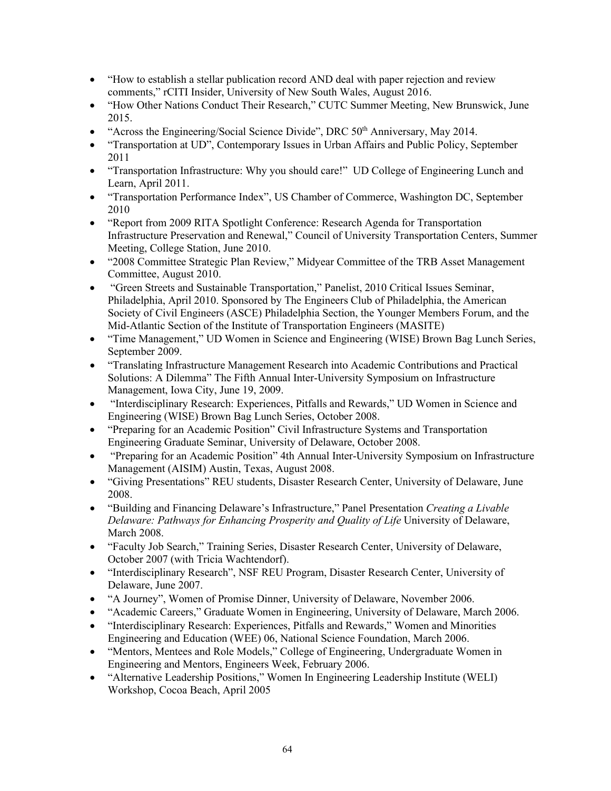- "How to establish a stellar publication record AND deal with paper rejection and review comments," rCITI Insider, University of New South Wales, August 2016.
- "How Other Nations Conduct Their Research," CUTC Summer Meeting, New Brunswick, June 2015.
- "Across the Engineering/Social Science Divide", DRC  $50<sup>th</sup>$  Anniversary, May 2014.
- "Transportation at UD", Contemporary Issues in Urban Affairs and Public Policy, September 2011
- "Transportation Infrastructure: Why you should care!" UD College of Engineering Lunch and Learn, April 2011.
- "Transportation Performance Index", US Chamber of Commerce, Washington DC, September 2010
- "Report from 2009 RITA Spotlight Conference: Research Agenda for Transportation Infrastructure Preservation and Renewal," Council of University Transportation Centers, Summer Meeting, College Station, June 2010.
- "2008 Committee Strategic Plan Review," Midyear Committee of the TRB Asset Management Committee, August 2010.
- "Green Streets and Sustainable Transportation," Panelist, 2010 Critical Issues Seminar, Philadelphia, April 2010. Sponsored by The Engineers Club of Philadelphia, the American Society of Civil Engineers (ASCE) Philadelphia Section, the Younger Members Forum, and the Mid-Atlantic Section of the Institute of Transportation Engineers (MASITE)
- "Time Management," UD Women in Science and Engineering (WISE) Brown Bag Lunch Series, September 2009.
- "Translating Infrastructure Management Research into Academic Contributions and Practical Solutions: A Dilemma" The Fifth Annual Inter-University Symposium on Infrastructure Management, Iowa City, June 19, 2009.
- "Interdisciplinary Research: Experiences, Pitfalls and Rewards," UD Women in Science and Engineering (WISE) Brown Bag Lunch Series, October 2008.
- "Preparing for an Academic Position" Civil Infrastructure Systems and Transportation Engineering Graduate Seminar, University of Delaware, October 2008.
- "Preparing for an Academic Position" 4th Annual Inter-University Symposium on Infrastructure Management (AISIM) Austin, Texas, August 2008.
- "Giving Presentations" REU students, Disaster Research Center, University of Delaware, June 2008.
- "Building and Financing Delaware's Infrastructure," Panel Presentation *Creating a Livable Delaware: Pathways for Enhancing Prosperity and Quality of Life* University of Delaware, March 2008.
- "Faculty Job Search," Training Series, Disaster Research Center, University of Delaware, October 2007 (with Tricia Wachtendorf).
- "Interdisciplinary Research", NSF REU Program, Disaster Research Center, University of Delaware, June 2007.
- "A Journey", Women of Promise Dinner, University of Delaware, November 2006.
- "Academic Careers," Graduate Women in Engineering, University of Delaware, March 2006.
- "Interdisciplinary Research: Experiences, Pitfalls and Rewards," Women and Minorities Engineering and Education (WEE) 06, National Science Foundation, March 2006.
- "Mentors, Mentees and Role Models," College of Engineering, Undergraduate Women in Engineering and Mentors, Engineers Week, February 2006.
- "Alternative Leadership Positions," Women In Engineering Leadership Institute (WELI) Workshop, Cocoa Beach, April 2005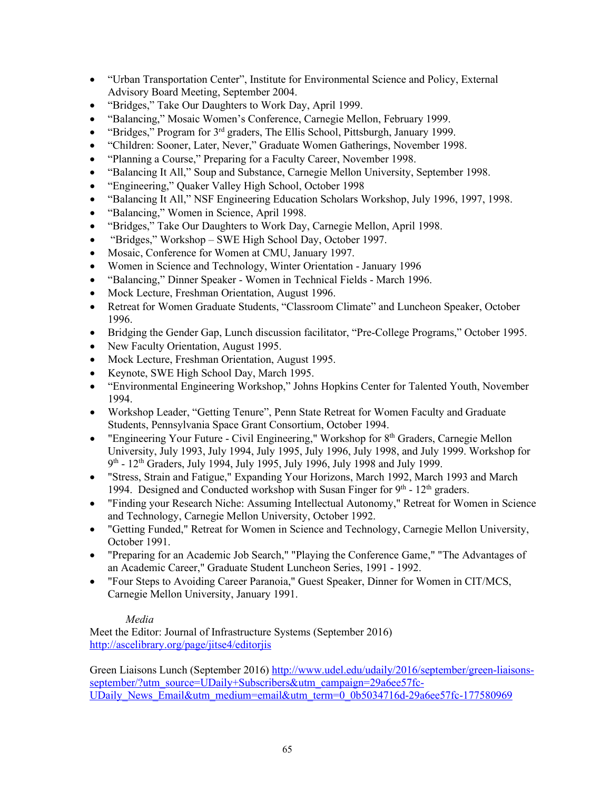- "Urban Transportation Center", Institute for Environmental Science and Policy, External Advisory Board Meeting, September 2004.
- "Bridges," Take Our Daughters to Work Day, April 1999.
- "Balancing," Mosaic Women's Conference, Carnegie Mellon, February 1999.
- "Bridges," Program for  $3<sup>rd</sup>$  graders, The Ellis School, Pittsburgh, January 1999.
- "Children: Sooner, Later, Never," Graduate Women Gatherings, November 1998.
- "Planning a Course," Preparing for a Faculty Career, November 1998.
- "Balancing It All," Soup and Substance, Carnegie Mellon University, September 1998.
- "Engineering," Quaker Valley High School, October 1998
- "Balancing It All," NSF Engineering Education Scholars Workshop, July 1996, 1997, 1998.
- "Balancing," Women in Science, April 1998.
- "Bridges," Take Our Daughters to Work Day, Carnegie Mellon, April 1998.
- "Bridges," Workshop SWE High School Day, October 1997.
- Mosaic, Conference for Women at CMU, January 1997.
- Women in Science and Technology, Winter Orientation January 1996
- "Balancing," Dinner Speaker Women in Technical Fields March 1996.
- Mock Lecture, Freshman Orientation, August 1996.
- Retreat for Women Graduate Students, "Classroom Climate" and Luncheon Speaker, October 1996.
- Bridging the Gender Gap, Lunch discussion facilitator, "Pre-College Programs," October 1995.
- New Faculty Orientation, August 1995.
- Mock Lecture, Freshman Orientation, August 1995.
- Keynote, SWE High School Day, March 1995.
- "Environmental Engineering Workshop," Johns Hopkins Center for Talented Youth, November 1994.
- Workshop Leader, "Getting Tenure", Penn State Retreat for Women Faculty and Graduate Students, Pennsylvania Space Grant Consortium, October 1994.
- "Engineering Your Future Civil Engineering," Workshop for 8th Graders, Carnegie Mellon University, July 1993, July 1994, July 1995, July 1996, July 1998, and July 1999. Workshop for 9<sup>th</sup> - 12<sup>th</sup> Graders, July 1994, July 1995, July 1996, July 1998 and July 1999.
- "Stress, Strain and Fatigue," Expanding Your Horizons, March 1992, March 1993 and March 1994. Designed and Conducted workshop with Susan Finger for  $9<sup>th</sup>$  -  $12<sup>th</sup>$  graders.
- "Finding your Research Niche: Assuming Intellectual Autonomy," Retreat for Women in Science and Technology, Carnegie Mellon University, October 1992.
- "Getting Funded," Retreat for Women in Science and Technology, Carnegie Mellon University, October 1991.
- "Preparing for an Academic Job Search," "Playing the Conference Game," "The Advantages of an Academic Career," Graduate Student Luncheon Series, 1991 - 1992.
- "Four Steps to Avoiding Career Paranoia," Guest Speaker, Dinner for Women in CIT/MCS, Carnegie Mellon University, January 1991.

## *Media*

Meet the Editor: Journal of Infrastructure Systems (September 2016) <http://ascelibrary.org/page/jitse4/editorjis>

Green Liaisons Lunch (September 2016) [http://www.udel.edu/udaily/2016/september/green-liaisons](http://www.udel.edu/udaily/2016/september/green-liaisons-september/?utm_source=UDaily+Subscribers&utm_campaign=29a6ee57fc-UDaily_News_Email&utm_medium=email&utm_term=0_0b5034716d-29a6ee57fc-177580969)[september/?utm\\_source=UDaily+Subscribers&utm\\_campaign=29a6ee57fc-](http://www.udel.edu/udaily/2016/september/green-liaisons-september/?utm_source=UDaily+Subscribers&utm_campaign=29a6ee57fc-UDaily_News_Email&utm_medium=email&utm_term=0_0b5034716d-29a6ee57fc-177580969)UDaily News Email&utm\_medium=email&utm\_term=0\_0b5034716d-29a6ee57fc-177580969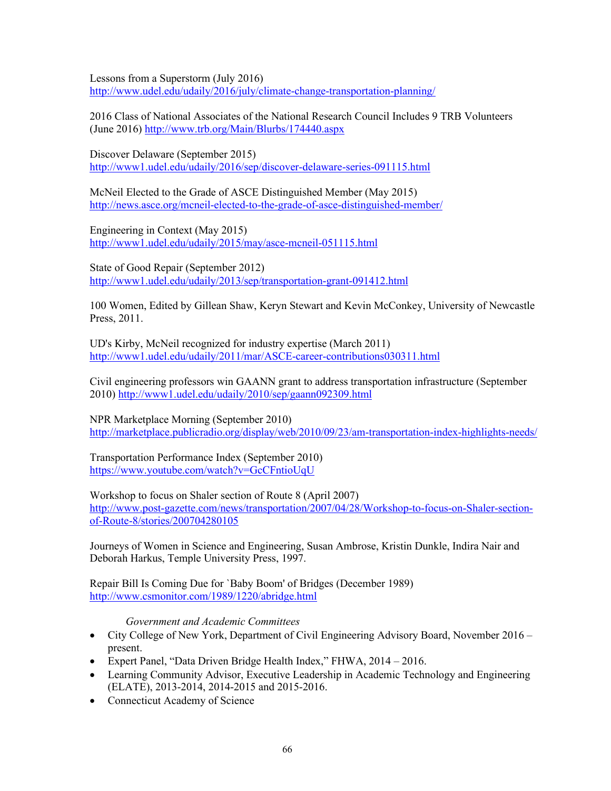Lessons from a Superstorm (July 2016) <http://www.udel.edu/udaily/2016/july/climate-change-transportation-planning/>

2016 Class of National Associates of the National Research Council Includes 9 TRB Volunteers (June 2016)<http://www.trb.org/Main/Blurbs/174440.aspx>

Discover Delaware (September 2015) <http://www1.udel.edu/udaily/2016/sep/discover-delaware-series-091115.html>

McNeil Elected to the Grade of ASCE Distinguished Member (May 2015) <http://news.asce.org/mcneil-elected-to-the-grade-of-asce-distinguished-member/>

Engineering in Context (May 2015) <http://www1.udel.edu/udaily/2015/may/asce-mcneil-051115.html>

State of Good Repair (September 2012) <http://www1.udel.edu/udaily/2013/sep/transportation-grant-091412.html>

100 Women, Edited by Gillean Shaw, Keryn Stewart and Kevin McConkey, University of Newcastle Press, 2011.

UD's Kirby, McNeil recognized for industry expertise (March 2011) <http://www1.udel.edu/udaily/2011/mar/ASCE-career-contributions030311.html>

Civil engineering professors win GAANN grant to address transportation infrastructure (September 2010)<http://www1.udel.edu/udaily/2010/sep/gaann092309.html>

NPR Marketplace Morning (September 2010) <http://marketplace.publicradio.org/display/web/2010/09/23/am-transportation-index-highlights-needs/>

Transportation Performance Index (September 2010) <https://www.youtube.com/watch?v=GcCFntioUqU>

Workshop to focus on Shaler section of Route 8 (April 2007) [http://www.post-gazette.com/news/transportation/2007/04/28/Workshop-to-focus-on-Shaler-section](http://www.post-gazette.com/news/transportation/2007/04/28/Workshop-to-focus-on-Shaler-section-of-Route-8/stories/200704280105)[of-Route-8/stories/200704280105](http://www.post-gazette.com/news/transportation/2007/04/28/Workshop-to-focus-on-Shaler-section-of-Route-8/stories/200704280105) 

Journeys of Women in Science and Engineering, Susan Ambrose, Kristin Dunkle, Indira Nair and Deborah Harkus, Temple University Press, 1997.

Repair Bill Is Coming Due for `Baby Boom' of Bridges (December 1989) <http://www.csmonitor.com/1989/1220/abridge.html>

*Government and Academic Committees*

- City College of New York, Department of Civil Engineering Advisory Board, November 2016 present.
- Expert Panel, "Data Driven Bridge Health Index," FHWA, 2014 2016.
- Learning Community Advisor, Executive Leadership in Academic Technology and Engineering (ELATE), 2013-2014, 2014-2015 and 2015-2016.
- Connecticut Academy of Science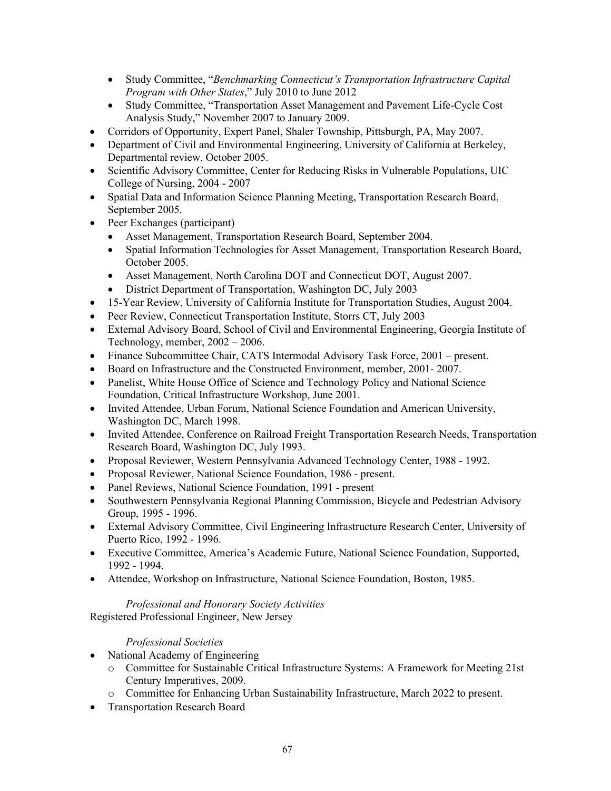- Study Committee, "*Benchmarking Connecticut's Transportation Infrastructure Capital Program with Other States*," July 2010 to June 2012
- Study Committee, "Transportation Asset Management and Pavement Life-Cycle Cost Analysis Study," November 2007 to January 2009.
- Corridors of Opportunity, Expert Panel, Shaler Township, Pittsburgh, PA, May 2007.
- Department of Civil and Environmental Engineering, University of California at Berkeley, Departmental review, October 2005.
- Scientific Advisory Committee, Center for Reducing Risks in Vulnerable Populations, UIC College of Nursing, 2004 - 2007
- Spatial Data and Information Science Planning Meeting, Transportation Research Board, September 2005.
- Peer Exchanges (participant)
	- Asset Management, Transportation Research Board, September 2004.
	- Spatial Information Technologies for Asset Management, Transportation Research Board, October 2005.
	- Asset Management, North Carolina DOT and Connecticut DOT, August 2007.
	- District Department of Transportation, Washington DC, July 2003
- 15-Year Review, University of California Institute for Transportation Studies, August 2004.
- Peer Review, Connecticut Transportation Institute, Storrs CT, July 2003
- External Advisory Board, School of Civil and Environmental Engineering, Georgia Institute of Technology, member, 2002 – 2006.
- Finance Subcommittee Chair, CATS Intermodal Advisory Task Force, 2001 present.
- Board on Infrastructure and the Constructed Environment, member, 2001- 2007.
- Panelist, White House Office of Science and Technology Policy and National Science Foundation, Critical Infrastructure Workshop, June 2001.
- Invited Attendee, Urban Forum, National Science Foundation and American University, Washington DC, March 1998.
- Invited Attendee, Conference on Railroad Freight Transportation Research Needs, Transportation Research Board, Washington DC, July 1993.
- Proposal Reviewer, Western Pennsylvania Advanced Technology Center, 1988 1992.
- Proposal Reviewer, National Science Foundation, 1986 present.
- Panel Reviews, National Science Foundation, 1991 present
- Southwestern Pennsylvania Regional Planning Commission, Bicycle and Pedestrian Advisory Group, 1995 - 1996.
- External Advisory Committee, Civil Engineering Infrastructure Research Center, University of Puerto Rico, 1992 - 1996.
- Executive Committee, America's Academic Future, National Science Foundation, Supported, 1992 - 1994.
- Attendee, Workshop on Infrastructure, National Science Foundation, Boston, 1985.

## *Professional and Honorary Society Activities* Registered Professional Engineer, New Jersey

## *Professional Societies*

- National Academy of Engineering
	- o Committee for Sustainable Critical Infrastructure Systems: A Framework for Meeting 21st Century Imperatives, 2009.
	- Committee for Enhancing Urban Sustainability Infrastructure, March 2022 to present.
- Transportation Research Board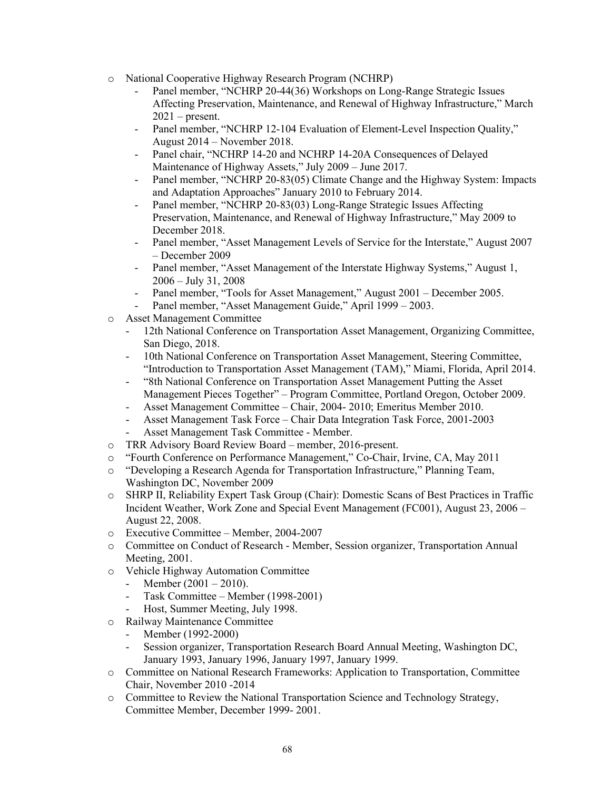- o National Cooperative Highway Research Program (NCHRP)
	- Panel member, "NCHRP 20-44(36) Workshops on Long-Range Strategic Issues Affecting Preservation, Maintenance, and Renewal of Highway Infrastructure," March  $2021$  – present.
	- Panel member, "NCHRP 12-104 Evaluation of Element-Level Inspection Quality," August 2014 – November 2018.
	- Panel chair, "NCHRP 14-20 and NCHRP 14-20A Consequences of Delayed Maintenance of Highway Assets," July 2009 – June 2017.
	- Panel member, "NCHRP 20-83(05) Climate Change and the Highway System: Impacts and Adaptation Approaches" January 2010 to February 2014.
	- Panel member, "NCHRP 20-83(03) Long-Range Strategic Issues Affecting Preservation, Maintenance, and Renewal of Highway Infrastructure," May 2009 to December 2018.
	- Panel member, "Asset Management Levels of Service for the Interstate," August 2007 – December 2009
	- Panel member, "Asset Management of the Interstate Highway Systems," August 1, 2006 – July 31, 2008
	- Panel member, "Tools for Asset Management," August 2001 December 2005.
	- Panel member, "Asset Management Guide," April 1999 2003.
- o Asset Management Committee
	- 12th National Conference on Transportation Asset Management, Organizing Committee, San Diego, 2018.
	- 10th National Conference on Transportation Asset Management, Steering Committee, "Introduction to Transportation Asset Management (TAM)," Miami, Florida, April 2014.
	- "8th National Conference on Transportation Asset Management Putting the Asset Management Pieces Together" – Program Committee, Portland Oregon, October 2009.
	- Asset Management Committee Chair, 2004- 2010; Emeritus Member 2010.
	- Asset Management Task Force Chair Data Integration Task Force, 2001-2003
	- Asset Management Task Committee Member.
- o TRR Advisory Board Review Board member, 2016-present.
- o "Fourth Conference on Performance Management," Co-Chair, Irvine, CA, May 2011
- o "Developing a Research Agenda for Transportation Infrastructure," Planning Team, Washington DC, November 2009
- o SHRP II, Reliability Expert Task Group (Chair): Domestic Scans of Best Practices in Traffic Incident Weather, Work Zone and Special Event Management (FC001), August 23, 2006 – August 22, 2008.
- o Executive Committee Member, 2004-2007
- o Committee on Conduct of Research Member, Session organizer, Transportation Annual Meeting, 2001.
- o Vehicle Highway Automation Committee<br>- Member (2001 2010).
	- Member  $(2001 2010)$ .
	- Task Committee Member (1998-2001)
	- Host, Summer Meeting, July 1998.
- o Railway Maintenance Committee
	- Member (1992-2000)
	- Session organizer, Transportation Research Board Annual Meeting, Washington DC, January 1993, January 1996, January 1997, January 1999.
- o Committee on National Research Frameworks: Application to Transportation, Committee Chair, November 2010 -2014
- o Committee to Review the National Transportation Science and Technology Strategy, Committee Member, December 1999- 2001.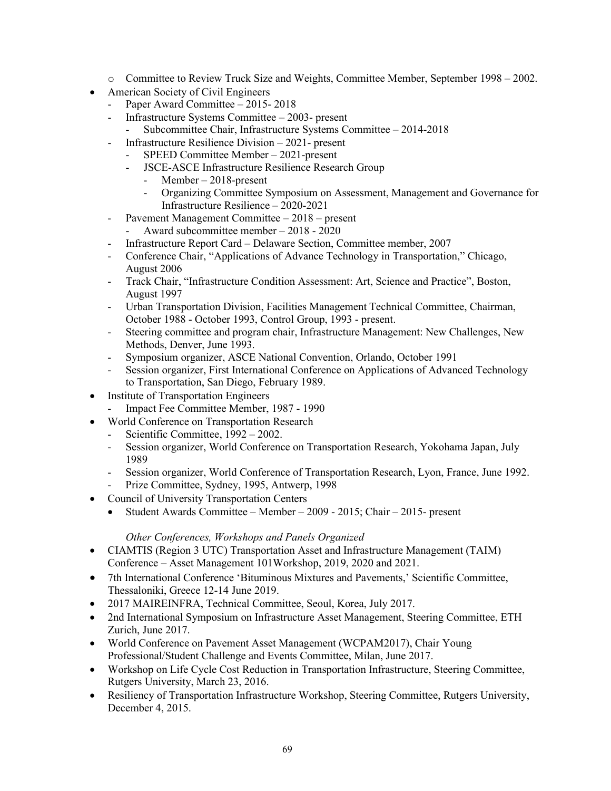- o Committee to Review Truck Size and Weights, Committee Member, September 1998 2002.
- American Society of Civil Engineers
	- Paper Award Committee 2015- 2018
	- Infrastructure Systems Committee 2003- present
	- Subcommittee Chair, Infrastructure Systems Committee 2014-2018
	- Infrastructure Resilience Division 2021- present
		- SPEED Committee Member 2021-present
		- JSCE-ASCE Infrastructure Resilience Research Group
			- Member 2018-present
			- Organizing Committee Symposium on Assessment, Management and Governance for Infrastructure Resilience – 2020-2021
	- Pavement Management Committee 2018 present
		- Award subcommittee member 2018 2020
	- Infrastructure Report Card Delaware Section, Committee member, 2007
	- Conference Chair, "Applications of Advance Technology in Transportation," Chicago, August 2006
	- Track Chair, "Infrastructure Condition Assessment: Art, Science and Practice", Boston, August 1997
	- Urban Transportation Division, Facilities Management Technical Committee, Chairman, October 1988 - October 1993, Control Group, 1993 - present.
	- Steering committee and program chair, Infrastructure Management: New Challenges, New Methods, Denver, June 1993.
	- Symposium organizer, ASCE National Convention, Orlando, October 1991
	- Session organizer, First International Conference on Applications of Advanced Technology to Transportation, San Diego, February 1989.
- **Institute of Transportation Engineers**
- Impact Fee Committee Member, 1987 1990
- World Conference on Transportation Research
	- Scientific Committee, 1992 2002.
	- Session organizer, World Conference on Transportation Research, Yokohama Japan, July 1989
	- Session organizer, World Conference of Transportation Research, Lyon, France, June 1992.
	- Prize Committee, Sydney, 1995, Antwerp, 1998
- Council of University Transportation Centers
	- Student Awards Committee Member 2009 2015; Chair 2015- present

## *Other Conferences, Workshops and Panels Organized*

- CIAMTIS (Region 3 UTC) Transportation Asset and Infrastructure Management (TAIM) Conference – Asset Management 101Workshop, 2019, 2020 and 2021.
- 7th International Conference 'Bituminous Mixtures and Pavements,' Scientific Committee, Thessaloniki, Greece 12-14 June 2019.
- 2017 MAIREINFRA, Technical Committee, Seoul, Korea, July 2017.
- 2nd International Symposium on Infrastructure Asset Management, Steering Committee, ETH Zurich, June 2017.
- World Conference on Pavement Asset Management (WCPAM2017), Chair Young Professional/Student Challenge and Events Committee, Milan, June 2017.
- Workshop on Life Cycle Cost Reduction in Transportation Infrastructure, Steering Committee, Rutgers University, March 23, 2016.
- Resiliency of Transportation Infrastructure Workshop, Steering Committee, Rutgers University, December 4, 2015.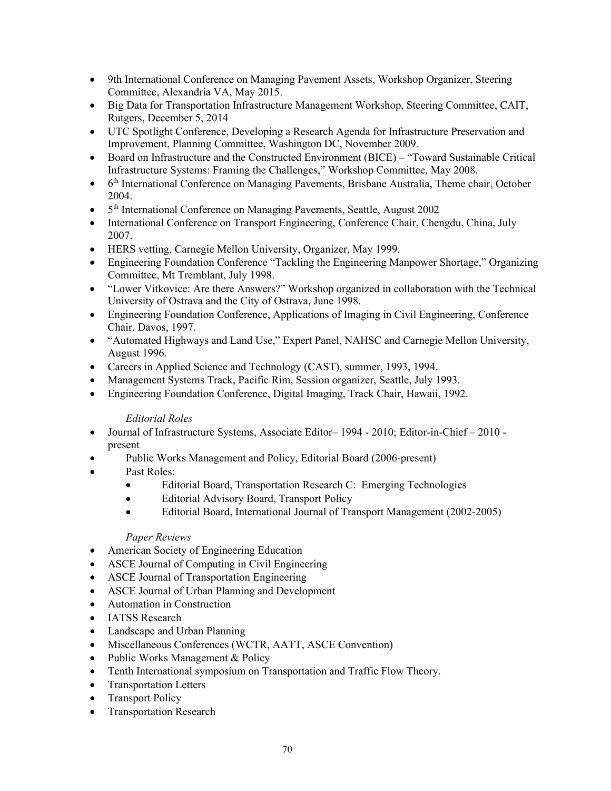- 9th International Conference on Managing Pavement Assets, Workshop Organizer, Steering Committee, Alexandria VA, May 2015.
- Big Data for Transportation Infrastructure Management Workshop, Steering Committee, CAIT, Rutgers, December 5, 2014
- UTC Spotlight Conference, Developing a Research Agenda for Infrastructure Preservation and Improvement, Planning Committee, Washington DC, November 2009.
- Board on Infrastructure and the Constructed Environment (BICE) "Toward Sustainable Critical Infrastructure Systems: Framing the Challenges," Workshop Committee, May 2008.
- 6<sup>th</sup> International Conference on Managing Pavements, Brisbane Australia, Theme chair, October 2004.
- 5<sup>th</sup> International Conference on Managing Pavements, Seattle, August 2002
- International Conference on Transport Engineering, Conference Chair, Chengdu, China, July 2007.
- HERS vetting, Carnegie Mellon University, Organizer, May 1999.
- Engineering Foundation Conference "Tackling the Engineering Manpower Shortage," Organizing Committee, Mt Tremblant, July 1998.
- "Lower Vitkovice: Are there Answers?" Workshop organized in collaboration with the Technical University of Ostrava and the City of Ostrava, June 1998.
- Engineering Foundation Conference, Applications of Imaging in Civil Engineering, Conference Chair, Davos, 1997.
- "Automated Highways and Land Use," Expert Panel, NAHSC and Carnegie Mellon University, August 1996.
- Careers in Applied Science and Technology (CAST), summer, 1993, 1994.
- Management Systems Track, Pacific Rim, Session organizer, Seattle, July 1993.
- Engineering Foundation Conference, Digital Imaging, Track Chair, Hawaii, 1992.

## *Editorial Roles*

- Journal of Infrastructure Systems, Associate Editor-1994 2010; Editor-in-Chief 2010 present
- Public Works Management and Policy, Editorial Board (2006-present)
- Past Roles:
	- Editorial Board, Transportation Research C: Emerging Technologies
	- Editorial Advisory Board, Transport Policy
	- Editorial Board, International Journal of Transport Management (2002-2005)

## *Paper Reviews*

- American Society of Engineering Education
- ASCE Journal of Computing in Civil Engineering
- ASCE Journal of Transportation Engineering
- ASCE Journal of Urban Planning and Development
- Automation in Construction
- IATSS Research
- Landscape and Urban Planning
- Miscellaneous Conferences (WCTR, AATT, ASCE Convention)
- Public Works Management & Policy
- Tenth International symposium on Transportation and Traffic Flow Theory.
- Transportation Letters
- Transport Policy
- Transportation Research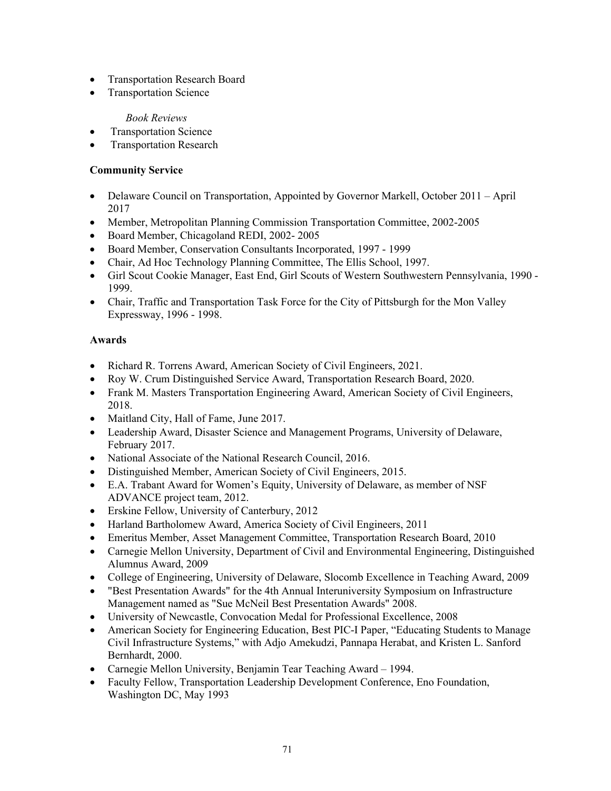- Transportation Research Board
- Transportation Science

## *Book Reviews*

- Transportation Science
- **Transportation Research**

# **Community Service**

- Delaware Council on Transportation, Appointed by Governor Markell, October 2011 April 2017
- Member, Metropolitan Planning Commission Transportation Committee, 2002-2005
- Board Member, Chicagoland REDI, 2002- 2005
- Board Member, Conservation Consultants Incorporated, 1997 1999
- Chair, Ad Hoc Technology Planning Committee, The Ellis School, 1997.
- Girl Scout Cookie Manager, East End, Girl Scouts of Western Southwestern Pennsylvania, 1990 1999.
- Chair, Traffic and Transportation Task Force for the City of Pittsburgh for the Mon Valley Expressway, 1996 - 1998.

# **Awards**

- Richard R. Torrens Award, American Society of Civil Engineers, 2021.
- Roy W. Crum Distinguished Service Award, Transportation Research Board, 2020.
- Frank M. Masters Transportation Engineering Award, American Society of Civil Engineers, 2018.
- Maitland City, Hall of Fame, June 2017.
- Leadership Award, Disaster Science and Management Programs, University of Delaware, February 2017.
- National Associate of the National Research Council, 2016.
- Distinguished Member, American Society of Civil Engineers, 2015.
- E.A. Trabant Award for Women's Equity, University of Delaware, as member of NSF ADVANCE project team, 2012.
- Erskine Fellow, University of Canterbury, 2012
- Harland Bartholomew Award, America Society of Civil Engineers, 2011
- Emeritus Member, Asset Management Committee, Transportation Research Board, 2010
- Carnegie Mellon University, Department of Civil and Environmental Engineering, Distinguished Alumnus Award, 2009
- College of Engineering, University of Delaware, Slocomb Excellence in Teaching Award, 2009
- "Best Presentation Awards" for the 4th Annual Interuniversity Symposium on Infrastructure Management named as "Sue McNeil Best Presentation Awards" 2008.
- University of Newcastle, Convocation Medal for Professional Excellence, 2008
- American Society for Engineering Education, Best PIC-I Paper, "Educating Students to Manage" [Civil Infrastructure Systems,](http://www.asee.org/conferences/search/20181.pdf)" with Adjo Amekudzi, Pannapa Herabat, and Kristen L. Sanford Bernhardt, 2000.
- Carnegie Mellon University, Benjamin Tear Teaching Award 1994.
- Faculty Fellow, Transportation Leadership Development Conference, Eno Foundation, Washington DC, May 1993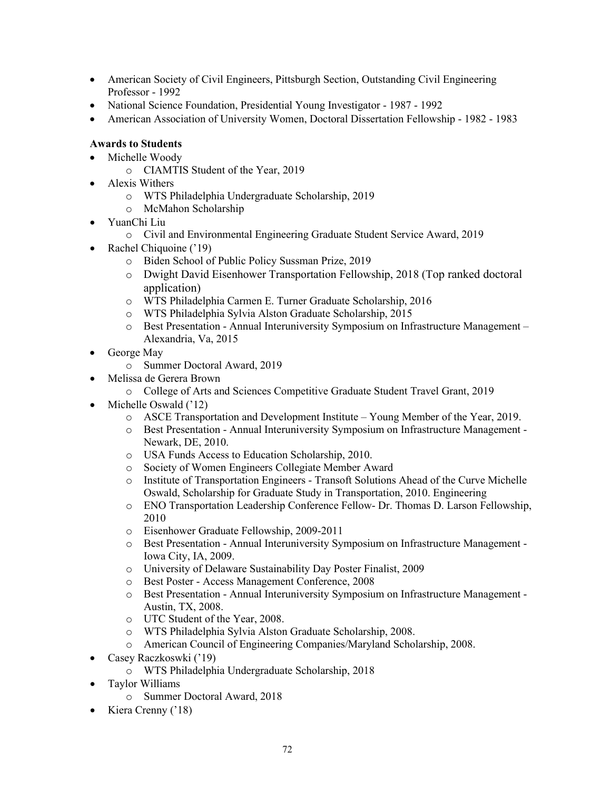- American Society of Civil Engineers, Pittsburgh Section, Outstanding Civil Engineering Professor - 1992
- National Science Foundation, Presidential Young Investigator 1987 1992
- American Association of University Women, Doctoral Dissertation Fellowship 1982 1983

# **Awards to Students**

- Michelle Woody
	- o CIAMTIS Student of the Year, 2019
- Alexis Withers
	- o WTS Philadelphia Undergraduate Scholarship, 2019
	- o McMahon Scholarship
- YuanChi Liu
	- o Civil and Environmental Engineering Graduate Student Service Award, 2019
- Rachel Chiquoine ('19)
	- o Biden School of Public Policy Sussman Prize, 2019
	- o Dwight David Eisenhower Transportation Fellowship, 2018 (Top ranked doctoral application)
	- o WTS Philadelphia Carmen E. Turner Graduate Scholarship, 2016
	- o WTS Philadelphia Sylvia Alston Graduate Scholarship, 2015
	- o Best Presentation Annual Interuniversity Symposium on Infrastructure Management Alexandria, Va, 2015
- George May
	- o Summer Doctoral Award, 2019
- Melissa de Gerera Brown
	- o College of Arts and Sciences Competitive Graduate Student Travel Grant, 2019
- Michelle Oswald ('12)
	- o ASCE Transportation and Development Institute Young Member of the Year, 2019.
	- o Best Presentation Annual Interuniversity Symposium on Infrastructure Management Newark, DE, 2010.
	- o USA Funds Access to Education Scholarship, 2010.
	- o Society of Women Engineers Collegiate Member Award
	- Institute of Transportation Engineers Transoft Solutions Ahead of the Curve Michelle Oswald, Scholarship for Graduate Study in Transportation, 2010. Engineering
	- o ENO Transportation Leadership Conference Fellow- Dr. Thomas D. Larson Fellowship, 2010
	- o Eisenhower Graduate Fellowship, 2009-2011
	- o Best Presentation Annual Interuniversity Symposium on Infrastructure Management Iowa City, IA, 2009.
	- o University of Delaware Sustainability Day Poster Finalist, 2009
	- o Best Poster Access Management Conference, 2008
	- o Best Presentation Annual Interuniversity Symposium on Infrastructure Management Austin, TX, 2008.
	- o UTC Student of the Year, 2008.
	- o WTS Philadelphia Sylvia Alston Graduate Scholarship, 2008.
	- o American Council of Engineering Companies/Maryland Scholarship, 2008.
- Casey Raczkoswki ('19)
	- o WTS Philadelphia Undergraduate Scholarship, 2018
- Taylor Williams
	- o Summer Doctoral Award, 2018
- Kiera Crenny ('18)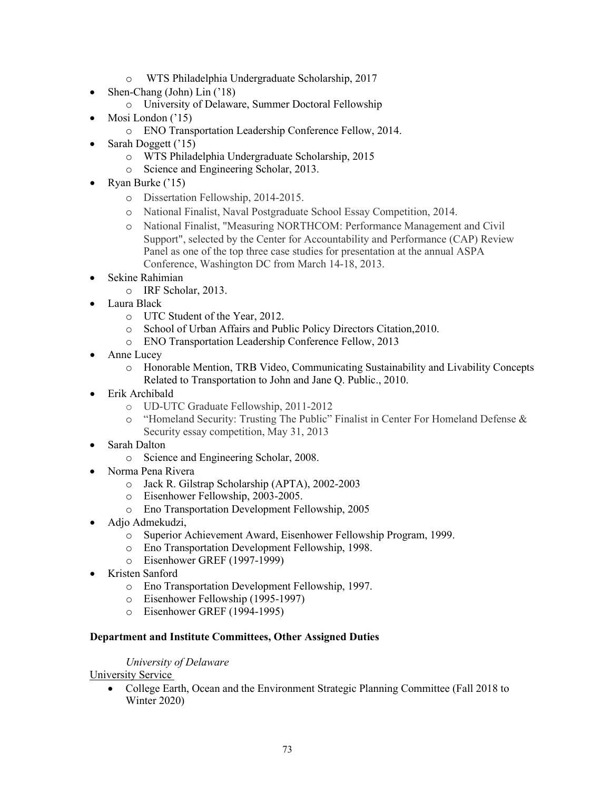- o WTS Philadelphia Undergraduate Scholarship, 2017
- Shen-Chang (John) Lin ('18)
	- o University of Delaware, Summer Doctoral Fellowship
- Mosi London ('15)
	- o ENO Transportation Leadership Conference Fellow, 2014.
- Sarah Doggett ('15)
	- o WTS Philadelphia Undergraduate Scholarship, 2015
	- o Science and Engineering Scholar, 2013.
- Ryan Burke ('15)
	- o Dissertation Fellowship, 2014-2015.
	- o National Finalist, Naval Postgraduate School Essay Competition, 2014.
	- o National Finalist, "Measuring NORTHCOM: Performance Management and Civil Support", selected by the Center for Accountability and Performance (CAP) Review Panel as one of the top three case studies for presentation at the annual ASPA Conference, Washington DC from March 14-18, 2013.
- Sekine Rahimian
	- o IRF Scholar, 2013.
- Laura Black
	- o UTC Student of the Year, 2012.
	- o School of Urban Affairs and Public Policy Directors Citation,2010.
	- o ENO Transportation Leadership Conference Fellow, 2013
- Anne Lucey
	- o Honorable Mention, TRB Video, Communicating Sustainability and Livability Concepts Related to Transportation to John and Jane Q. Public., 2010.
- Erik Archibald
	- o UD-UTC Graduate Fellowship, 2011-2012
	- o "Homeland Security: Trusting The Public" Finalist in Center For Homeland Defense & Security essay competition, May 31, 2013
- Sarah Dalton
	- o Science and Engineering Scholar, 2008.
- Norma Pena Rivera
	- o Jack R. Gilstrap Scholarship (APTA), 2002-2003
	- o Eisenhower Fellowship, 2003-2005.
	- o Eno Transportation Development Fellowship, 2005
- Adjo Admekudzi,
	- o Superior Achievement Award, Eisenhower Fellowship Program, 1999.
	- o Eno Transportation Development Fellowship, 1998.
	- o Eisenhower GREF (1997-1999)
- Kristen Sanford
	- o Eno Transportation Development Fellowship, 1997.
	- o Eisenhower Fellowship (1995-1997)
	- o Eisenhower GREF (1994-1995)

# **Department and Institute Committees, Other Assigned Duties**

# *University of Delaware*

University Service

• College Earth, Ocean and the Environment Strategic Planning Committee (Fall 2018 to Winter 2020)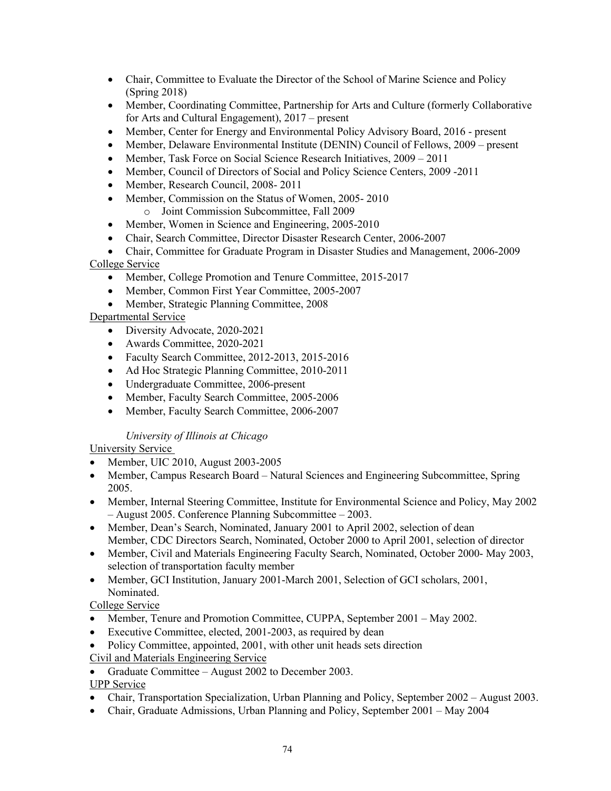- Chair, Committee to Evaluate the Director of the School of Marine Science and Policy (Spring 2018)
- Member, Coordinating Committee, Partnership for Arts and Culture (formerly Collaborative for Arts and Cultural Engagement), 2017 – present
- Member, Center for Energy and Environmental Policy Advisory Board, 2016 present
- Member, Delaware Environmental Institute (DENIN) Council of Fellows, 2009 present
- Member, Task Force on Social Science Research Initiatives, 2009 2011
- Member, Council of Directors of Social and Policy Science Centers, 2009 -2011
- Member, Research Council, 2008-2011
- Member, Commission on the Status of Women, 2005-2010 o Joint Commission Subcommittee, Fall 2009
- Member, Women in Science and Engineering, 2005-2010
- Chair, Search Committee, Director Disaster Research Center, 2006-2007
- Chair, Committee for Graduate Program in Disaster Studies and Management, 2006-2009 College Service
	- Member, College Promotion and Tenure Committee, 2015-2017
	- Member, Common First Year Committee, 2005-2007
	- Member, Strategic Planning Committee, 2008

# Departmental Service

- Diversity Advocate, 2020-2021
- Awards Committee, 2020-2021
- Faculty Search Committee, 2012-2013, 2015-2016
- Ad Hoc Strategic Planning Committee, 2010-2011
- Undergraduate Committee, 2006-present
- Member, Faculty Search Committee, 2005-2006
- Member, Faculty Search Committee, 2006-2007

# *University of Illinois at Chicago*

# University Service

- Member, UIC 2010, August 2003-2005
- Member, Campus Research Board Natural Sciences and Engineering Subcommittee, Spring 2005.
- Member, Internal Steering Committee, Institute for Environmental Science and Policy, May 2002 – August 2005. Conference Planning Subcommittee – 2003.
- Member, Dean's Search, Nominated, January 2001 to April 2002, selection of dean Member, CDC Directors Search, Nominated, October 2000 to April 2001, selection of director
- Member, Civil and Materials Engineering Faculty Search, Nominated, October 2000- May 2003, selection of transportation faculty member
- Member, GCI Institution, January 2001-March 2001, Selection of GCI scholars, 2001, Nominated.

# College Service

- Member, Tenure and Promotion Committee, CUPPA, September 2001 May 2002.
- Executive Committee, elected, 2001-2003, as required by dean
- Policy Committee, appointed, 2001, with other unit heads sets direction

Civil and Materials Engineering Service

• Graduate Committee – August 2002 to December 2003.

# UPP Service

- Chair, Transportation Specialization, Urban Planning and Policy, September 2002 August 2003.
- Chair, Graduate Admissions, Urban Planning and Policy, September 2001 May 2004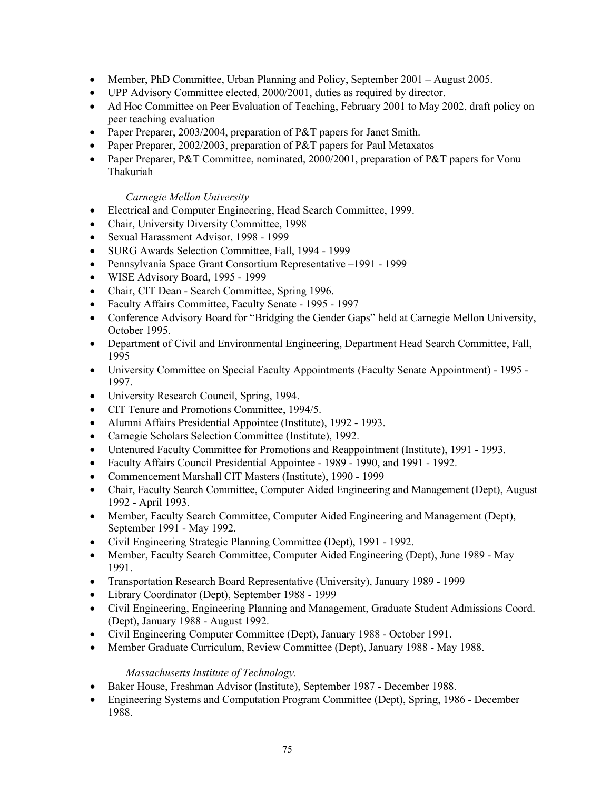- Member, PhD Committee, Urban Planning and Policy, September 2001 August 2005.
- UPP Advisory Committee elected, 2000/2001, duties as required by director.
- Ad Hoc Committee on Peer Evaluation of Teaching, February 2001 to May 2002, draft policy on peer teaching evaluation
- Paper Preparer, 2003/2004, preparation of P&T papers for Janet Smith.
- Paper Preparer, 2002/2003, preparation of P&T papers for Paul Metaxatos
- Paper Preparer, P&T Committee, nominated, 2000/2001, preparation of P&T papers for Vonu Thakuriah

### *Carnegie Mellon University*

- Electrical and Computer Engineering, Head Search Committee, 1999.
- Chair, University Diversity Committee, 1998
- Sexual Harassment Advisor, 1998 1999
- SURG Awards Selection Committee, Fall, 1994 1999
- Pennsylvania Space Grant Consortium Representative –1991 1999
- WISE Advisory Board, 1995 1999
- Chair, CIT Dean Search Committee, Spring 1996.
- Faculty Affairs Committee, Faculty Senate 1995 1997
- Conference Advisory Board for "Bridging the Gender Gaps" held at Carnegie Mellon University, October 1995.
- Department of Civil and Environmental Engineering, Department Head Search Committee, Fall, 1995
- University Committee on Special Faculty Appointments (Faculty Senate Appointment) 1995 -1997.
- University Research Council, Spring, 1994.
- CIT Tenure and Promotions Committee, 1994/5.
- Alumni Affairs Presidential Appointee (Institute), 1992 1993.
- Carnegie Scholars Selection Committee (Institute), 1992.
- Untenured Faculty Committee for Promotions and Reappointment (Institute), 1991 1993.
- Faculty Affairs Council Presidential Appointee 1989 1990, and 1991 1992.
- Commencement Marshall CIT Masters (Institute), 1990 1999
- Chair, Faculty Search Committee, Computer Aided Engineering and Management (Dept), August 1992 - April 1993.
- Member, Faculty Search Committee, Computer Aided Engineering and Management (Dept), September 1991 - May 1992.
- Civil Engineering Strategic Planning Committee (Dept), 1991 1992.
- Member, Faculty Search Committee, Computer Aided Engineering (Dept), June 1989 May 1991.
- Transportation Research Board Representative (University), January 1989 1999
- Library Coordinator (Dept), September 1988 1999
- Civil Engineering, Engineering Planning and Management, Graduate Student Admissions Coord. (Dept), January 1988 - August 1992.
- Civil Engineering Computer Committee (Dept), January 1988 October 1991.
- Member Graduate Curriculum, Review Committee (Dept), January 1988 May 1988.

### *Massachusetts Institute of Technology.*

- Baker House, Freshman Advisor (Institute), September 1987 December 1988.
- Engineering Systems and Computation Program Committee (Dept), Spring, 1986 December 1988.